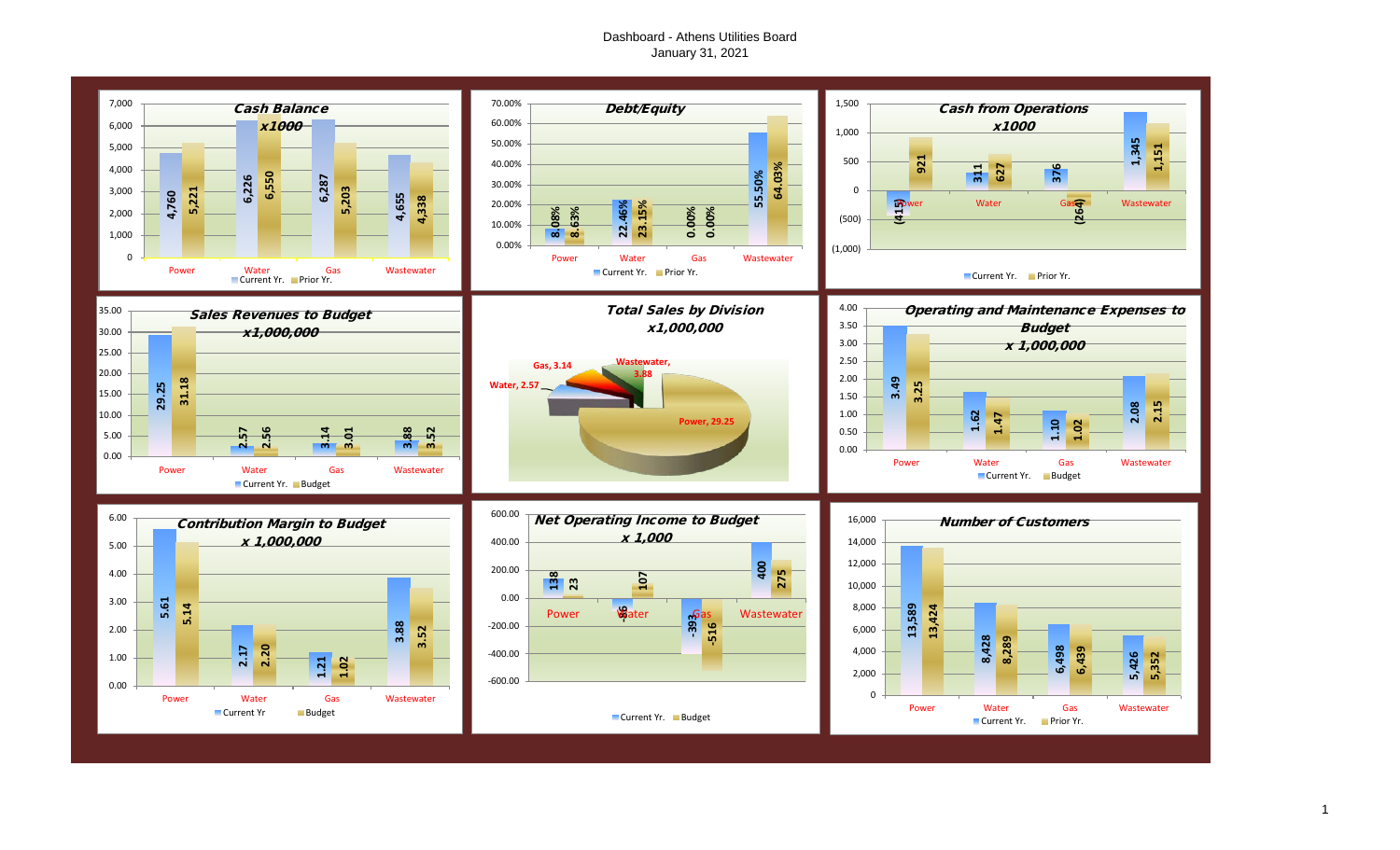## Dashboard - Athens Utilities Board January 31, 2021

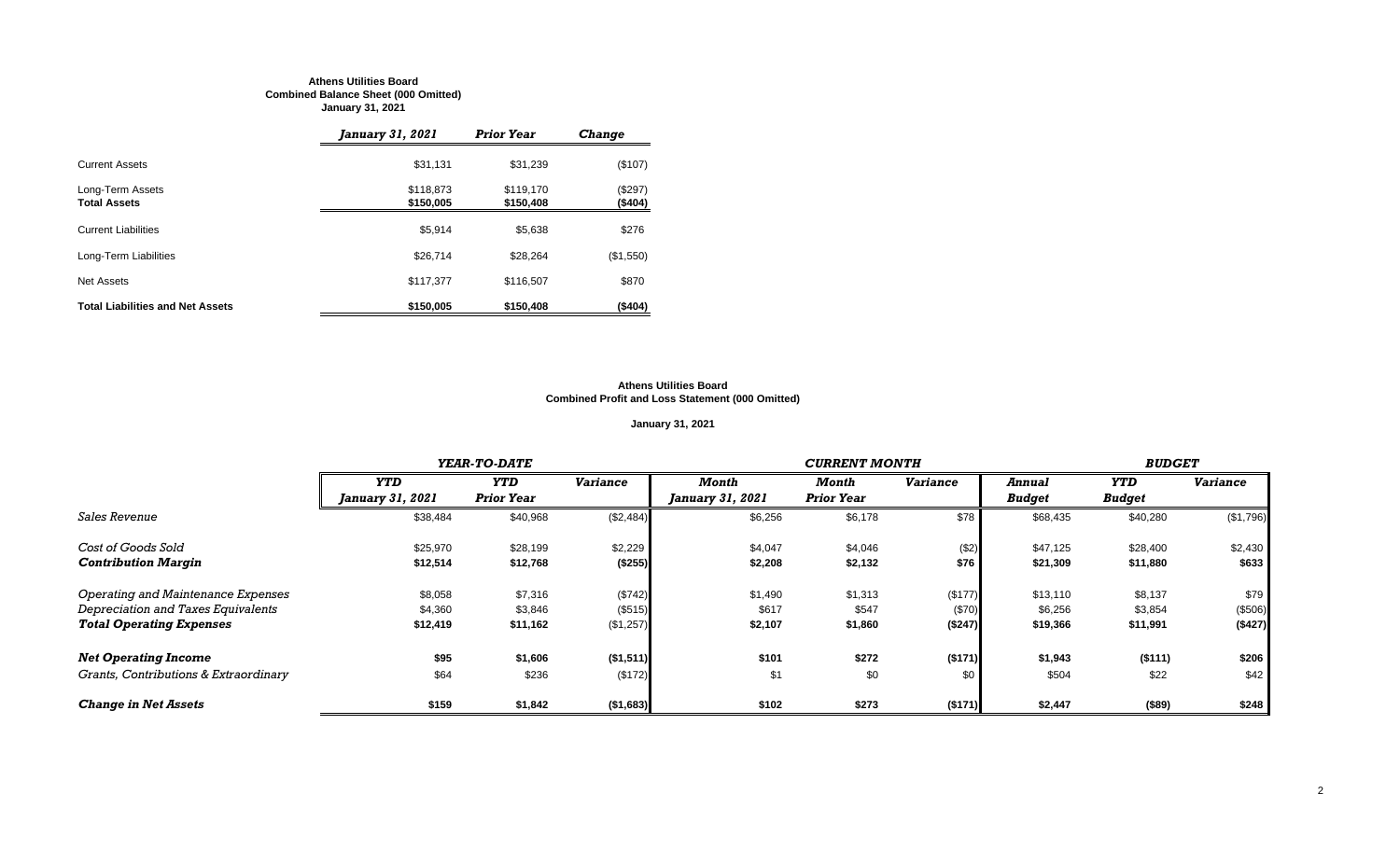#### **Athens Utilities Board Combined Balance Sheet (000 Omitted) January 31, 2021**

|                                         | January 31, 2021       | <b>Prior Year</b>      | <b>Change</b>      |
|-----------------------------------------|------------------------|------------------------|--------------------|
| <b>Current Assets</b>                   | \$31,131               | \$31.239               | (\$107)            |
| Long-Term Assets<br><b>Total Assets</b> | \$118,873<br>\$150,005 | \$119.170<br>\$150,408 | (\$297)<br>(\$404) |
| <b>Current Liabilities</b>              | \$5,914                | \$5.638                | \$276              |
| Long-Term Liabilities                   | \$26,714               | \$28.264               | (\$1,550)          |
| Net Assets                              | \$117,377              | \$116,507              | \$870              |
| <b>Total Liabilities and Net Assets</b> | \$150,005              | \$150,408              | (\$404)            |

#### **Athens Utilities Board Combined Profit and Loss Statement (000 Omitted)**

## **January 31, 2021**

|                                       |                         | YEAR-TO-DATE      |                 |                         | <b>CURRENT MONTH</b> |                 |               |               |                 |  |
|---------------------------------------|-------------------------|-------------------|-----------------|-------------------------|----------------------|-----------------|---------------|---------------|-----------------|--|
|                                       | <b>YTD</b>              | <b>YTD</b>        | <b>Variance</b> | Month                   | Month                | <b>Variance</b> | Annual        | <b>YTD</b>    | <b>Variance</b> |  |
|                                       | <b>January 31, 2021</b> | <b>Prior Year</b> |                 | <i>January 31, 2021</i> | <b>Prior Year</b>    |                 | <b>Budget</b> | <b>Budget</b> |                 |  |
| <b>Sales Revenue</b>                  | \$38,484                | \$40,968          | (\$2,484)       | \$6,256                 | \$6,178              | \$78            | \$68,435      | \$40,280      | (\$1,796)       |  |
| Cost of Goods Sold                    | \$25,970                | \$28,199          | \$2,229         | \$4,047                 | \$4,046              | (\$2)           | \$47,125      | \$28,400      | \$2,430         |  |
| <b>Contribution Margin</b>            | \$12,514                | \$12,768          | (\$255)         | \$2,208                 | \$2,132              | \$76            | \$21,309      | \$11,880      | \$633           |  |
| Operating and Maintenance Expenses    | \$8,058                 | \$7,316           | (\$742)         | \$1,490                 | \$1,313              | (\$177)         | \$13,110      | \$8,137       | \$79            |  |
| Depreciation and Taxes Equivalents    | \$4,360                 | \$3,846           | (\$515)         | \$617                   | \$547                | (\$70)          | \$6,256       | \$3,854       | (\$506)         |  |
| <b>Total Operating Expenses</b>       | \$12,419                | \$11,162          | (\$1,257)       | \$2,107                 | \$1,860              | (\$247)         | \$19,366      | \$11,991      | (\$427)         |  |
| <b>Net Operating Income</b>           | \$95                    | \$1,606           | (\$1,511)       | \$101                   | \$272                | (\$171)         | \$1,943       | ( \$111)      | \$206           |  |
| Grants, Contributions & Extraordinary | \$64                    | \$236             | (\$172)         | \$1                     | \$0                  | \$0             | \$504         | \$22          | \$42            |  |
| <b>Change in Net Assets</b>           | \$159                   | \$1,842           | ( \$1,683)      | \$102                   | \$273                | ( \$171)        | \$2,447       | (\$89)        | \$248           |  |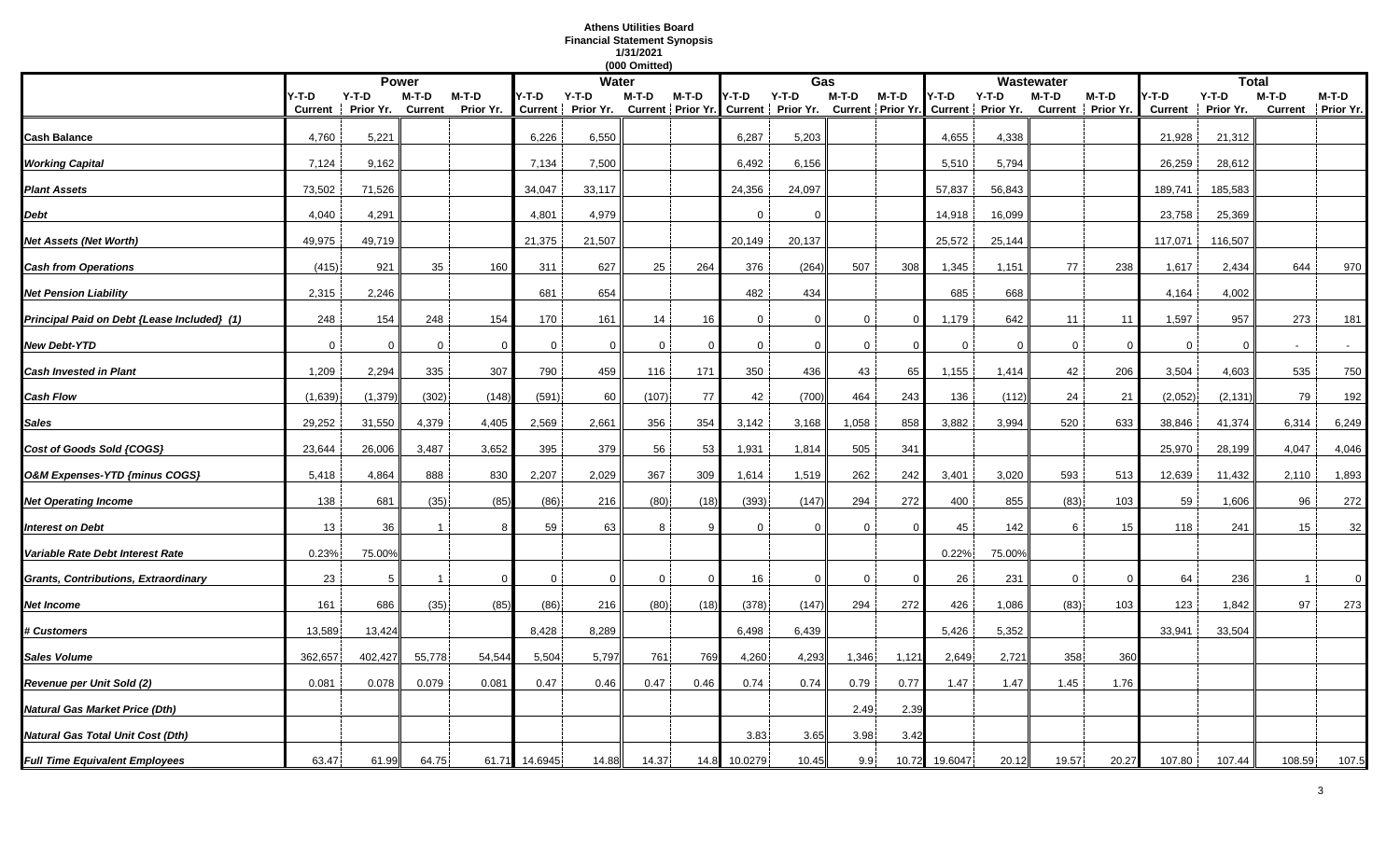## **Athens Utilities Board Financial Statement Synopsis 1/31/2021**

|                                             |                  |                      |                  |                      |             |                            | (000 Omitted) |          |              |                                                |              |          |             |                                                |             |                            |                        |                      |         |                            |
|---------------------------------------------|------------------|----------------------|------------------|----------------------|-------------|----------------------------|---------------|----------|--------------|------------------------------------------------|--------------|----------|-------------|------------------------------------------------|-------------|----------------------------|------------------------|----------------------|---------|----------------------------|
|                                             |                  |                      | <b>Power</b>     |                      |             | <b>Water</b>               |               |          |              | Gas                                            |              |          |             |                                                | Wastewater  |                            |                        | <b>Total</b>         |         |                            |
|                                             | Y-T-D<br>Current | $Y-T-D$<br>Prior Yr. | M-T-D<br>Current | $M-T-D$<br>Prior Yr. | Y-T-D       | Y-T-D<br>Current Prior Yr. | M-T-D         | M-T-D    | Y-T-D        | $Y-T-D$<br>Current Prior Yr. Current Prior Yr. | $M-T-D$      | M-T-D    | Y-T-D       | $Y-T-D$<br>Current Prior Yr. Current Prior Yr. | M-T-D       | M-T-D<br>Current Prior Yr. | -T-D<br><b>Current</b> | $Y-T-D$<br>Prior Yr. | $M-T-D$ | M-T-D<br>Current Prior Yr. |
| Cash Balance                                | 4,760            | 5,221                |                  |                      | 6,226       | 6,550                      |               |          | 6,287        | 5,203                                          |              |          | 4,655       | 4,338                                          |             |                            | 21,928                 | 21,312               |         |                            |
| <b>Working Capital</b>                      | 7,124            | 9,162                |                  |                      | 7,134       | 7,500                      |               |          | 6,492        | 6,156                                          |              |          | 5,510       | 5,794                                          |             |                            | 26,259                 | 28,612               |         |                            |
| <b>Plant Assets</b>                         | 73,502           | 71,526               |                  |                      | 34,047      | 33,117                     |               |          | 24,356       | 24,097                                         |              |          | 57,837      | 56,843                                         |             |                            | 189,741                | 185,583              |         |                            |
| Debt                                        | 4,040            | 4,291                |                  |                      | 4,801       | 4,979                      |               |          | $\Omega$     | $\Omega$                                       |              |          | 14,918      | 16,099                                         |             |                            | 23,758                 | 25,369               |         |                            |
| Net Assets (Net Worth)                      | 49,975           | 49,719               |                  |                      | 21,375      | 21,507                     |               |          | 20,149       | 20,137                                         |              |          | 25,572      | 25,144                                         |             |                            | 117,071                | 116,507              |         |                            |
| <b>Cash from Operations</b>                 | (415)            | 921                  | 35               | 160                  | 311         | 627                        | 25            | 264      | 376          | (264)                                          | 507          | 308      | 1,345       | 1,151                                          | 77          | 238                        | 1,617                  | 2,434                | 644     | 970                        |
| <b>Net Pension Liability</b>                | 2,315            | 2,246                |                  |                      | 681         | 654                        |               |          | 482          | 434                                            |              |          | 685         | 668                                            |             |                            | 4,164                  | 4,002                |         |                            |
| Principal Paid on Debt {Lease Included} (1) | 248              | 154                  | 248              | 154                  | 170         | 161                        | 14            | 16       | $\mathbf{0}$ | $\Omega$                                       | $\Omega$     | $\Omega$ | 1,179       | 642                                            | 11          | 11                         | 1,597                  | 957                  | 273     | 181                        |
| <b>New Debt-YTD</b>                         | $\overline{0}$   | $\Omega$             | $\mathbf{0}$     | $\Omega$             | $\mathbf 0$ | $\mathbf 0$                | $\mathbf 0$   |          | $\mathbf 0$  | $\overline{0}$                                 | $\mathbf 0$  | $\Omega$ | $\mathbf 0$ | $\Omega$                                       | $\mathbf 0$ | -0                         | $\mathbf{0}$           | $\Omega$             |         |                            |
| <b>Cash Invested in Plant</b>               | 1,209            | 2,294                | 335              | 307                  | 790         | 459                        | 116           | 171      | 350          | 436                                            | 43           | 65       | 1,155       | 1,414                                          | 42          | 206                        | 3,504                  | 4,603                | 535     | 750                        |
| <b>Cash Flow</b>                            | (1,639)          | (1, 379)             | (302)            | (148)                | (591)       | 60                         | (107)         | 77       | 42           | (700)                                          | 464          | 243      | 136         | (112)                                          | 24          | 21                         | (2,052)                | (2, 131)             | 79      | 192                        |
| Sales                                       | 29,252           | 31,550               | 4,379            | 4,405                | 2,569       | 2,661                      | 356           | 354      | 3,142        | 3,168                                          | 1,058        | 858      | 3,882       | 3,994                                          | 520         | 633                        | 38,846                 | 41,374               | 6,314   | 6,249                      |
| Cost of Goods Sold {COGS}                   | 23,644           | 26,006               | 3,487            | 3,652                | 395         | 379                        | 56            | 53       | 1,931        | 1,814                                          | 505          | 341      |             |                                                |             |                            | 25,970                 | 28,199               | 4,047   | 4,046                      |
| O&M Expenses-YTD {minus COGS}               | 5,418            | 4,864                | 888              | 830                  | 2,207       | 2,029                      | 367           | 309      | 1,614        | 1,519                                          | 262          | 242      | 3,401       | 3,020                                          | 593         | 513                        | 12,639                 | 11,432               | 2,110   | 1,893                      |
| <b>Net Operating Income</b>                 | 138              | 681                  | (35)             | (85)                 | (86)        | 216                        | (80)          | (18)     | (393)        | (147)                                          | 294          | 272      | 400         | 855                                            | (83)        | 103                        | 59                     | 1,606                | 96      | 272                        |
| <b>Interest on Debt</b>                     | 13               | 36                   |                  |                      | 59          | 63                         | 8             |          | $\Omega$     | $\Omega$                                       | $\mathbf{0}$ |          | 45          | 142                                            | 6           | 15                         | 118                    | 241                  | 15      | 32                         |
| Variable Rate Debt Interest Rate            | 0.23%            | 75.00%               |                  |                      |             |                            |               |          |              |                                                |              |          | 0.22%       | 75.00%                                         |             |                            |                        |                      |         |                            |
| Grants, Contributions, Extraordinary        | 23               | 5                    |                  | $\Omega$             | $\Omega$    | $\Omega$                   | 0             | $\Omega$ | 16           | 0                                              | $\mathbf{0}$ | - 0      | 26          | 231                                            | $\mathbf 0$ |                            | 64                     | 236                  |         | 0                          |
| Net Income                                  | 161              | 686                  | (35)             | (85)                 | (86)        | 216                        | (80)          | (18)     | (378)        | (147)                                          | 294          | 272      | 426         | 1,086                                          | (83)        | 103                        | 123                    | 1,842                | 97      | 273                        |
| <b># Customers</b>                          | 13,589           | 13,424               |                  |                      | 8,428       | 8,289                      |               |          | 6,498        | 6,439                                          |              |          | 5,426       | 5,352                                          |             |                            | 33,941                 | 33,504               |         |                            |
| <b>Sales Volume</b>                         | 362,657          | 402,427              | 55,778           | 54,544               | 5,504       | 5,797                      | 761           | 769      | 4,260        | 4,293                                          | 1,346        | 1,121    | 2,649       | 2,721                                          | 358         | 360                        |                        |                      |         |                            |
| Revenue per Unit Sold (2)                   | 0.081            | 0.078                | 0.079            | 0.081                | 0.47        | 0.46                       | 0.47          | 0.46     | 0.74         | 0.74                                           | 0.79         | 0.77     | 1.47        | 1.47                                           | 1.45        | 1.76                       |                        |                      |         |                            |
| Natural Gas Market Price (Dth)              |                  |                      |                  |                      |             |                            |               |          |              |                                                | 2.49         | 2.39     |             |                                                |             |                            |                        |                      |         |                            |
| <b>Natural Gas Total Unit Cost (Dth)</b>    |                  |                      |                  |                      |             |                            |               |          | 3.83         | 3.65                                           | 3.98         | 3.42     |             |                                                |             |                            |                        |                      |         |                            |
| <b>Full Time Equivalent Employees</b>       | 63.47            | 61.99                | 64.75            | 61.71                | 14.6945     | 14.88                      | 14.37         | 14.8     | 10.0279      | 10.45                                          | 9.9          | 10.72    | 19.6047     | 20.12                                          | 19.57       | 20.27                      | 107.80                 | 107.44               | 108.59  | 107.5                      |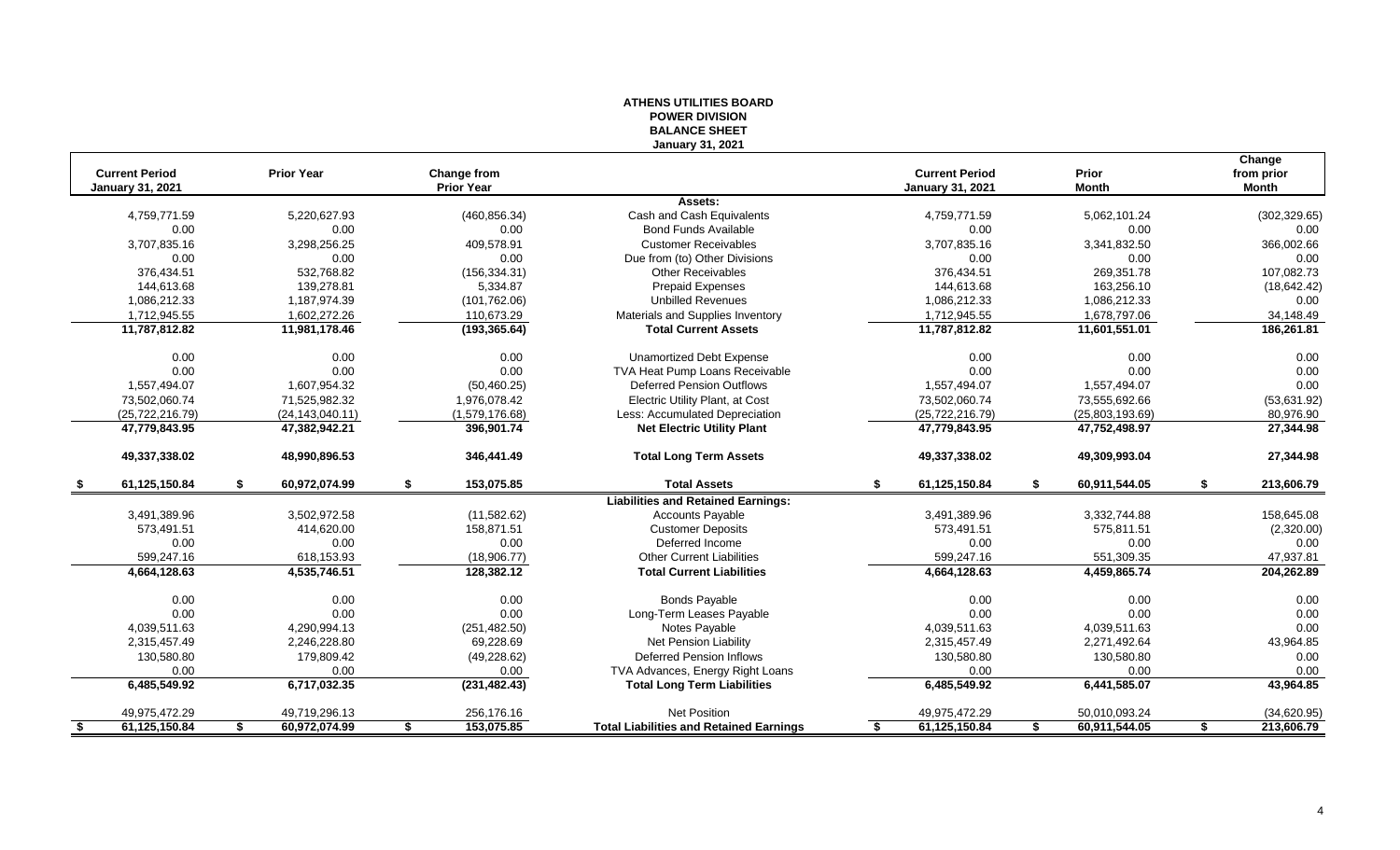|                         |                     |                                         | <b>BALANCE SHEET</b>                           |                         |                     |                            |
|-------------------------|---------------------|-----------------------------------------|------------------------------------------------|-------------------------|---------------------|----------------------------|
| <b>Current Period</b>   | <b>Prior Year</b>   |                                         | <b>January 31, 2021</b>                        | <b>Current Period</b>   | <b>Prior</b>        | Change                     |
| <b>January 31, 2021</b> |                     | <b>Change from</b><br><b>Prior Year</b> |                                                | <b>January 31, 2021</b> | <b>Month</b>        | from prior<br><b>Month</b> |
|                         |                     |                                         | Assets:                                        |                         |                     |                            |
| 4,759,771.59            | 5.220.627.93        | (460, 856.34)                           | Cash and Cash Equivalents                      | 4,759,771.59            | 5,062,101.24        | (302, 329.65)              |
| 0.00                    | 0.00                | 0.00                                    | <b>Bond Funds Available</b>                    | 0.00                    | 0.00                | 0.00                       |
| 3,707,835.16            | 3,298,256.25        | 409,578.91                              | <b>Customer Receivables</b>                    | 3,707,835.16            | 3,341,832.50        | 366,002.66                 |
| 0.00                    | 0.00                | 0.00                                    | Due from (to) Other Divisions                  | 0.00                    | 0.00                | 0.00                       |
| 376,434.51              | 532,768.82          | (156, 334.31)                           | <b>Other Receivables</b>                       | 376,434.51              | 269,351.78          | 107,082.73                 |
| 144.613.68              | 139.278.81          | 5,334.87                                | <b>Prepaid Expenses</b>                        | 144,613.68              | 163.256.10          | (18, 642.42)               |
| 1,086,212.33            | 1,187,974.39        | (101, 762.06)                           | <b>Unbilled Revenues</b>                       | 1,086,212.33            | 1,086,212.33        | 0.00                       |
| 1,712,945.55            | 1,602,272.26        | 110,673.29                              | Materials and Supplies Inventory               | 1,712,945.55            | 1,678,797.06        | 34,148.49                  |
| 11,787,812.82           | 11,981,178.46       | (193, 365.64)                           | <b>Total Current Assets</b>                    | 11,787,812.82           | 11,601,551.01       | 186,261.81                 |
| 0.00                    | 0.00                | 0.00                                    | <b>Unamortized Debt Expense</b>                | 0.00                    | 0.00                | 0.00                       |
| 0.00                    | 0.00                | 0.00                                    | TVA Heat Pump Loans Receivable                 | 0.00                    | 0.00                | 0.00                       |
| 1,557,494.07            | 1,607,954.32        | (50, 460.25)                            | <b>Deferred Pension Outflows</b>               | 1,557,494.07            | 1,557,494.07        | 0.00                       |
| 73,502,060.74           | 71,525,982.32       | 1,976,078.42                            | Electric Utility Plant, at Cost                | 73,502,060.74           | 73,555,692.66       | (53,631.92)                |
| (25, 722, 216.79)       | (24, 143, 040.11)   | (1,579,176.68)                          | Less: Accumulated Depreciation                 | (25, 722, 216.79)       | (25,803,193.69)     | 80,976.90                  |
| 47,779,843.95           | 47,382,942.21       | 396,901.74                              | <b>Net Electric Utility Plant</b>              | 47,779,843.95           | 47,752,498.97       | 27,344.98                  |
| 49,337,338.02           | 48.990.896.53       | 346,441.49                              | <b>Total Long Term Assets</b>                  | 49,337,338.02           | 49,309,993.04       | 27,344.98                  |
| 61,125,150.84           | 60,972,074.99       | 153,075.85<br>\$.                       | <b>Total Assets</b>                            | 61,125,150.84           | 60,911,544.05       | 213,606.79<br>-S           |
|                         |                     |                                         | <b>Liabilities and Retained Earnings:</b>      |                         |                     |                            |
| 3,491,389.96            | 3,502,972.58        | (11,582.62)                             | <b>Accounts Payable</b>                        | 3,491,389.96            | 3,332,744.88        | 158,645.08                 |
| 573,491.51              | 414,620.00          | 158,871.51                              | <b>Customer Deposits</b>                       | 573,491.51              | 575,811.51          | (2,320.00)                 |
| 0.00                    | 0.00                | 0.00                                    | Deferred Income                                | 0.00                    | 0.00                | 0.00                       |
| 599,247.16              | 618,153.93          | (18,906.77)                             | <b>Other Current Liabilities</b>               | 599,247.16              | 551,309.35          | 47,937.81                  |
| 4,664,128.63            | 4,535,746.51        | 128.382.12                              | <b>Total Current Liabilities</b>               | 4,664,128.63            | 4,459,865.74        | 204,262.89                 |
| 0.00                    | 0.00                | 0.00                                    | <b>Bonds Payable</b>                           | 0.00                    | 0.00                | 0.00                       |
| 0.00                    | 0.00                | 0.00                                    | Long-Term Leases Payable                       | 0.00                    | 0.00                | 0.00                       |
| 4,039,511.63            | 4,290,994.13        | (251, 482.50)                           | Notes Payable                                  | 4,039,511.63            | 4,039,511.63        | 0.00                       |
| 2,315,457.49            | 2,246,228.80        | 69,228.69                               | Net Pension Liability                          | 2,315,457.49            | 2,271,492.64        | 43,964.85                  |
| 130,580.80              | 179,809.42          | (49, 228.62)                            | <b>Deferred Pension Inflows</b>                | 130,580.80              | 130,580.80          | 0.00                       |
| 0.00                    | 0.00                | 0.00                                    | TVA Advances, Energy Right Loans               | 0.00                    | 0.00                | 0.00                       |
| 6,485,549.92            | 6,717,032.35        | (231, 482.43)                           | <b>Total Long Term Liabilities</b>             | 6,485,549.92            | 6,441,585.07        | 43,964.85                  |
| 49,975,472.29           | 49,719,296.13       | 256,176.16                              | <b>Net Position</b>                            | 49,975,472.29           | 50,010,093.24       | (34,620.95)                |
| 61,125,150.84<br>-\$    | 60,972,074.99<br>\$ | 153,075.85<br>\$                        | <b>Total Liabilities and Retained Earnings</b> | 61,125,150.84<br>S.     | 60,911,544.05<br>\$ | 213,606.79<br>\$           |

# **ATHENS UTILITIES BOARD POWER DIVISION**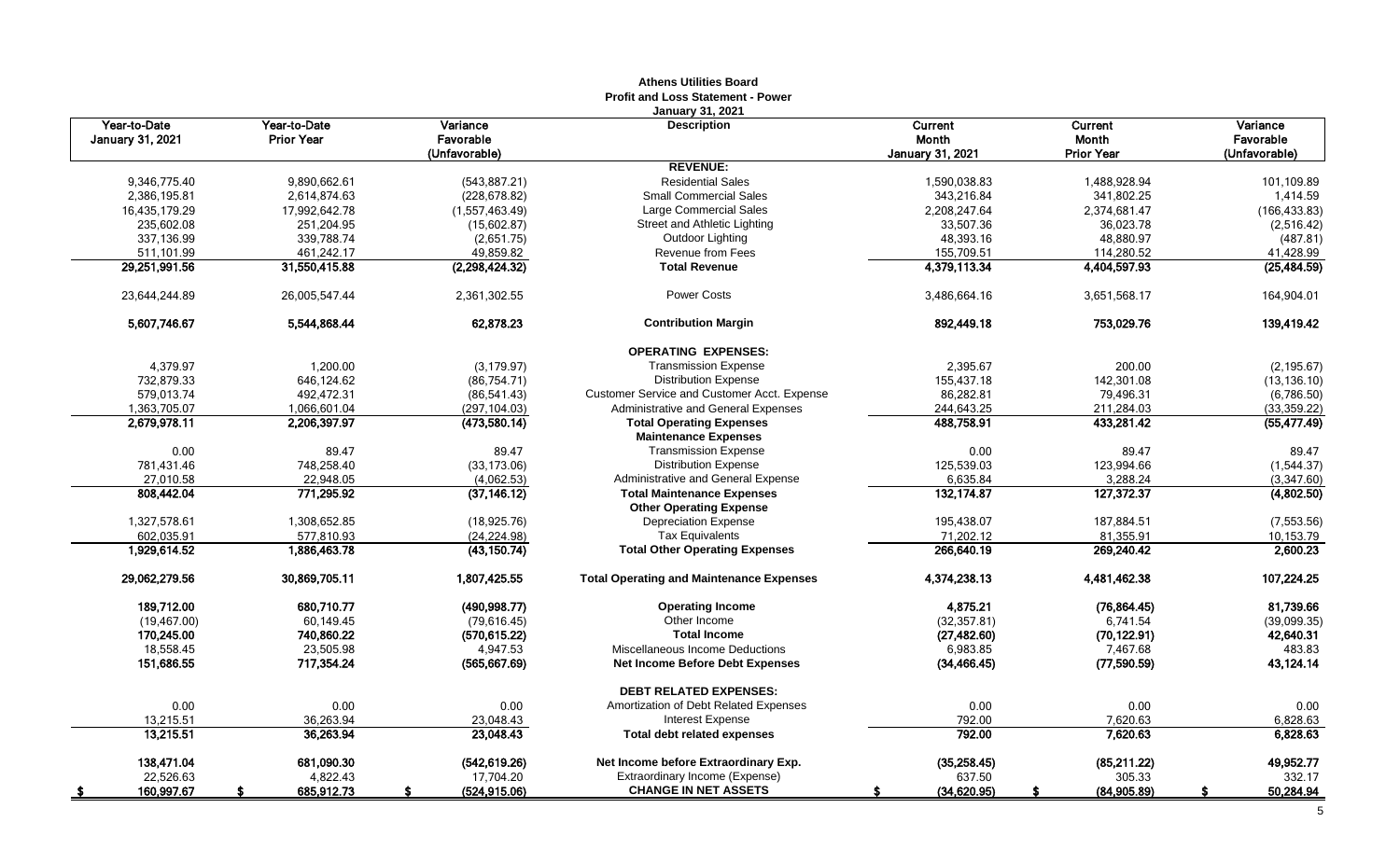|                                         |                                   |                                        | AUJUIS VUIILUUS DUATU<br><b>Profit and Loss Statement - Power</b> |                                             |                                       |                                        |
|-----------------------------------------|-----------------------------------|----------------------------------------|-------------------------------------------------------------------|---------------------------------------------|---------------------------------------|----------------------------------------|
| Year-to-Date<br><b>January 31, 2021</b> | Year-to-Date<br><b>Prior Year</b> | Variance<br>Favorable<br>(Unfavorable) | <b>January 31, 2021</b><br><b>Description</b>                     | Current<br>Month<br><b>January 31, 2021</b> | Current<br>Month<br><b>Prior Year</b> | Variance<br>Favorable<br>(Unfavorable) |
|                                         |                                   |                                        | <b>REVENUE:</b>                                                   |                                             |                                       |                                        |
| 9,346,775.40                            | 9,890,662.61                      | (543, 887.21)                          | <b>Residential Sales</b>                                          | 1,590,038.83                                | 1,488,928.94                          | 101,109.89                             |
| 2,386,195.81                            | 2,614,874.63                      | (228, 678.82)                          | <b>Small Commercial Sales</b>                                     | 343,216.84                                  | 341,802.25                            | 1,414.59                               |
| 16,435,179.29                           | 17,992,642.78                     | (1,557,463.49)                         | Large Commercial Sales                                            | 2,208,247.64                                | 2,374,681.47                          | (166, 433.83)                          |
| 235,602.08                              | 251,204.95                        | (15,602.87)                            | Street and Athletic Lighting                                      | 33,507.36                                   | 36,023.78                             | (2,516.42)                             |
| 337,136.99                              | 339,788.74                        | (2,651.75)                             | Outdoor Lighting                                                  | 48,393.16                                   | 48,880.97                             | (487.81)                               |
| 511,101.99                              | 461,242.17                        | 49,859.82                              | Revenue from Fees                                                 | 155,709.51                                  | 114,280.52                            | 41,428.99                              |
| 29,251,991.56                           | 31,550,415.88                     | (2,298,424.32)                         | <b>Total Revenue</b>                                              | 4,379,113.34                                | 4,404,597.93                          | (25, 484.59)                           |
| 23,644,244.89                           | 26,005,547.44                     | 2,361,302.55                           | <b>Power Costs</b>                                                | 3,486,664.16                                | 3,651,568.17                          | 164,904.01                             |
| 5,607,746.67                            | 5,544,868.44                      | 62,878.23                              | <b>Contribution Margin</b>                                        | 892,449.18                                  | 753,029.76                            | 139,419.42                             |
|                                         |                                   |                                        | <b>OPERATING EXPENSES:</b>                                        |                                             |                                       |                                        |
| 4,379.97                                | 1,200.00                          | (3, 179.97)                            | <b>Transmission Expense</b>                                       | 2,395.67                                    | 200.00                                | (2, 195.67)                            |
| 732,879.33                              | 646,124.62                        | (86, 754.71)                           | <b>Distribution Expense</b>                                       | 155,437.18                                  | 142,301.08                            | (13, 136.10)                           |
| 579,013.74                              | 492,472.31                        | (86, 541.43)                           | Customer Service and Customer Acct. Expense                       | 86,282.81                                   | 79,496.31                             | (6,786.50)                             |
| 1,363,705.07                            | 1,066,601.04                      | (297,104.03)                           | <b>Administrative and General Expenses</b>                        | 244,643.25                                  | 211,284.03                            | (33, 359.22)                           |
| 2,679,978.11                            | 2,206,397.97                      | (473,580.14)                           | <b>Total Operating Expenses</b><br><b>Maintenance Expenses</b>    | 488,758.91                                  | 433,281.42                            | (55, 477.49)                           |
| 0.00                                    | 89.47                             | 89.47                                  | <b>Transmission Expense</b>                                       | 0.00                                        | 89.47                                 | 89.47                                  |
| 781,431.46                              | 748,258.40                        | (33, 173.06)                           | <b>Distribution Expense</b>                                       | 125,539.03                                  | 123,994.66                            | (1,544.37)                             |
| 27.010.58                               | 22,948.05                         | (4,062.53)                             | Administrative and General Expense                                | 6,635.84                                    | 3,288.24                              | (3,347.60)                             |
| 808,442.04                              | 771,295.92                        | (37, 146.12)                           | <b>Total Maintenance Expenses</b>                                 | 132,174.87                                  | 127,372.37                            | (4,802.50)                             |
|                                         |                                   |                                        | <b>Other Operating Expense</b>                                    |                                             |                                       |                                        |
| 1,327,578.61                            | 1,308,652.85                      | (18,925.76)                            | <b>Depreciation Expense</b>                                       | 195,438.07                                  | 187,884.51                            | (7, 553.56)                            |
| 602,035.91<br>1,929,614.52              | 577,810.93<br>1,886,463.78        | (24, 224.98)<br>(43, 150.74)           | <b>Tax Equivalents</b><br><b>Total Other Operating Expenses</b>   | 71,202.12<br>266,640.19                     | 81,355.91<br>269,240.42               | 10,153.79<br>2,600.23                  |
| 29,062,279.56                           | 30,869,705.11                     | 1,807,425.55                           | <b>Total Operating and Maintenance Expenses</b>                   | 4,374,238.13                                | 4,481,462.38                          | 107,224.25                             |
| 189,712.00                              | 680.710.77                        | (490,998.77)                           | <b>Operating Income</b>                                           | 4,875.21                                    | (76, 864.45)                          | 81,739.66                              |
| (19, 467.00)                            | 60,149.45                         | (79, 616.45)                           | Other Income                                                      | (32, 357.81)                                | 6,741.54                              | (39,099.35)                            |
| 170,245.00                              | 740,860.22                        | (570, 615.22)                          | <b>Total Income</b>                                               | (27, 482.60)                                | (70, 122.91)                          | 42,640.31                              |
| 18,558.45                               | 23,505.98                         | 4,947.53                               | Miscellaneous Income Deductions                                   | 6,983.85                                    | 7,467.68                              | 483.83                                 |
| 151,686.55                              | 717,354.24                        | (565, 667.69)                          | <b>Net Income Before Debt Expenses</b>                            | (34, 466.45)                                | (77,590.59)                           | 43,124.14                              |
|                                         |                                   |                                        | <b>DEBT RELATED EXPENSES:</b>                                     |                                             |                                       |                                        |
| 0.00                                    | 0.00                              | 0.00                                   | Amortization of Debt Related Expenses                             | 0.00                                        | 0.00                                  | 0.00                                   |
| 13,215.51                               | 36,263.94                         | 23,048.43                              | <b>Interest Expense</b>                                           | 792.00                                      | 7,620.63                              | 6,828.63                               |
| 13,215.51                               | 36,263.94                         | 23,048.43                              | <b>Total debt related expenses</b>                                | 792.00                                      | 7,620.63                              | 6,828.63                               |
| 138,471.04                              | 681,090.30                        | (542, 619.26)                          | Net Income before Extraordinary Exp.                              | (35, 258.45)                                | (85, 211.22)                          | 49,952.77                              |
| 22,526.63                               | 4,822.43                          | 17,704.20                              | Extraordinary Income (Expense)                                    | 637.50                                      | 305.33                                | 332.17                                 |
| 160,997.67<br>- 56                      | 685,912.73                        | (524, 915.06)                          | <b>CHANGE IN NET ASSETS</b>                                       | (34,620.95)                                 | (84,905.89)<br>S                      | 50,284.94<br>s                         |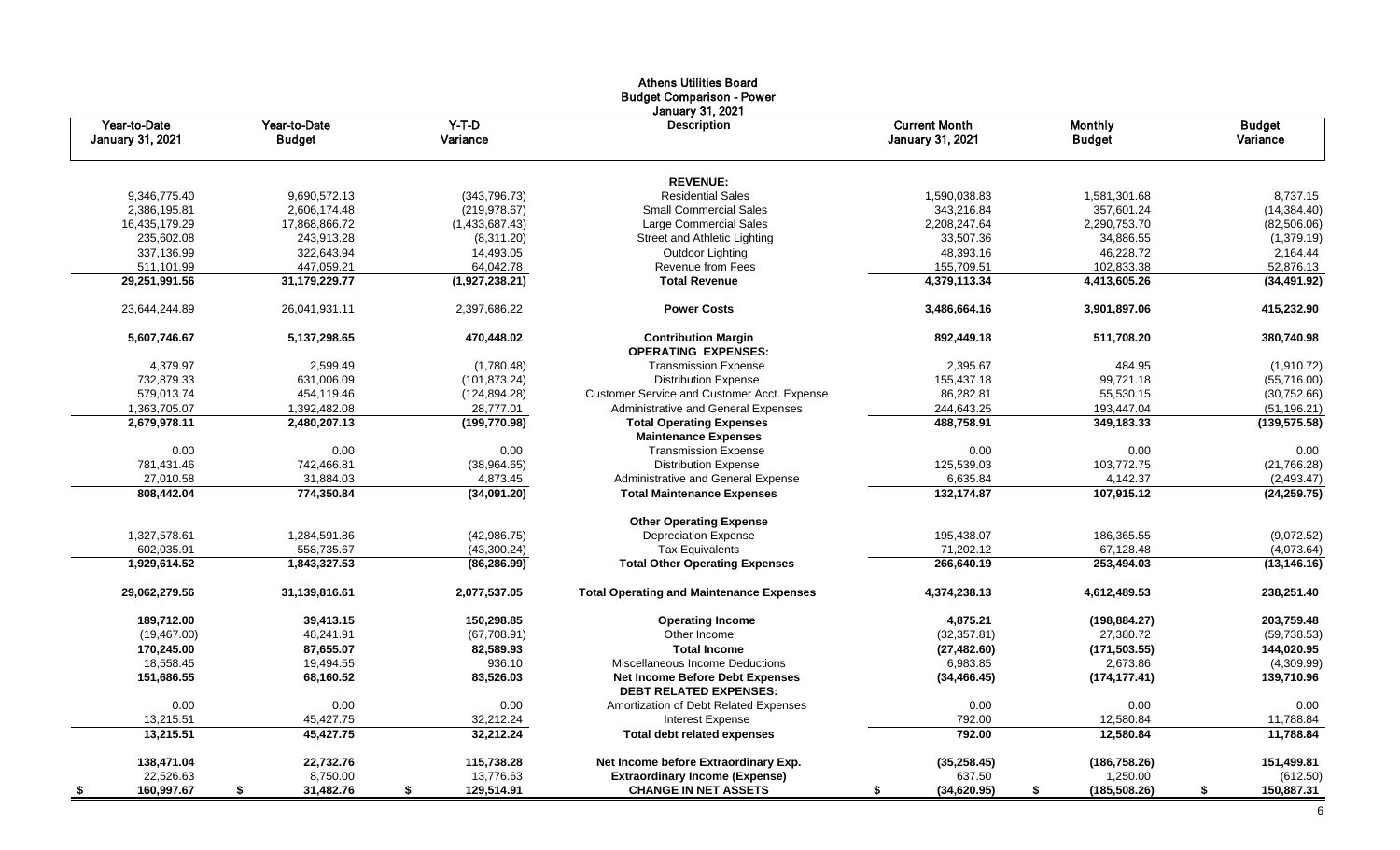|                                         |                               |                     | <b>Athens Utilities Board</b><br><b>Budget Comparison - Power</b><br><b>January 31, 2021</b> |                                                 |                                 |                           |
|-----------------------------------------|-------------------------------|---------------------|----------------------------------------------------------------------------------------------|-------------------------------------------------|---------------------------------|---------------------------|
| Year-to-Date<br><b>January 31, 2021</b> | Year-to-Date<br><b>Budget</b> | $Y-T-D$<br>Variance | <b>Description</b>                                                                           | <b>Current Month</b><br><b>January 31, 2021</b> | <b>Monthly</b><br><b>Budget</b> | <b>Budget</b><br>Variance |
|                                         |                               |                     | <b>REVENUE:</b>                                                                              |                                                 |                                 |                           |
| 9,346,775.40                            | 9,690,572.13                  | (343,796.73)        | <b>Residential Sales</b>                                                                     | 1,590,038.83                                    | 1,581,301.68                    | 8,737.15                  |
| 2,386,195.81                            | 2,606,174.48                  | (219, 978.67)       | <b>Small Commercial Sales</b>                                                                | 343,216.84                                      | 357,601.24                      | (14, 384.40)              |
| 16,435,179.29                           | 17,868,866.72                 | (1,433,687.43)      | Large Commercial Sales                                                                       | 2,208,247.64                                    | 2,290,753.70                    | (82, 506.06)              |
| 235,602.08                              | 243,913.28                    | (8,311.20)          | Street and Athletic Lighting                                                                 | 33,507.36                                       | 34,886.55                       | (1,379.19)                |
| 337,136.99                              | 322,643.94                    | 14,493.05           | Outdoor Lighting                                                                             | 48,393.16                                       | 46,228.72                       | 2,164.44                  |
| 511,101.99                              | 447,059.21                    | 64,042.78           | Revenue from Fees                                                                            | 155,709.51                                      | 102,833.38                      | 52,876.13                 |
| 29,251,991.56                           | 31,179,229.77                 | (1,927,238.21)      | <b>Total Revenue</b>                                                                         | 4,379,113.34                                    | 4,413,605.26                    | (34, 491.92)              |
| 23,644,244.89                           | 26,041,931.11                 | 2,397,686.22        | <b>Power Costs</b>                                                                           | 3,486,664.16                                    | 3,901,897.06                    | 415,232.90                |
| 5,607,746.67                            | 5,137,298.65                  | 470,448.02          | <b>Contribution Margin</b><br><b>OPERATING EXPENSES:</b>                                     | 892,449.18                                      | 511,708.20                      | 380,740.98                |
| 4,379.97                                | 2,599.49                      | (1,780.48)          | <b>Transmission Expense</b>                                                                  | 2,395.67                                        | 484.95                          | (1,910.72)                |
| 732,879.33                              | 631,006.09                    | (101, 873.24)       | <b>Distribution Expense</b>                                                                  | 155,437.18                                      | 99,721.18                       | (55,716.00)               |
| 579,013.74                              | 454.119.46                    | (124, 894.28)       | Customer Service and Customer Acct. Expense                                                  | 86,282.81                                       | 55,530.15                       | (30,752.66)               |
| 1,363,705.07                            | 1,392,482.08                  | 28,777.01           | Administrative and General Expenses                                                          | 244,643.25                                      | 193,447.04                      | (51, 196.21)              |
| 2,679,978.11                            | 2,480,207.13                  | (199, 770.98)       | <b>Total Operating Expenses</b><br><b>Maintenance Expenses</b>                               | 488,758.91                                      | 349,183.33                      | (139, 575.58)             |
| 0.00                                    | 0.00                          | 0.00                | <b>Transmission Expense</b>                                                                  | 0.00                                            | 0.00                            | 0.00                      |
| 781,431.46                              | 742,466.81                    | (38,964.65)         | <b>Distribution Expense</b>                                                                  | 125,539.03                                      | 103,772.75                      | (21,766.28)               |
| 27,010.58                               | 31,884.03                     | 4,873.45            | Administrative and General Expense                                                           | 6,635.84                                        | 4,142.37                        | (2,493.47)                |
| 808,442.04                              | 774,350.84                    | (34,091.20)         | <b>Total Maintenance Expenses</b>                                                            | 132,174.87                                      | 107,915.12                      | (24, 259.75)              |
|                                         |                               |                     | <b>Other Operating Expense</b>                                                               |                                                 |                                 |                           |
| 1,327,578.61                            | 1,284,591.86                  | (42,986.75)         | <b>Depreciation Expense</b>                                                                  | 195,438.07                                      | 186,365.55                      | (9,072.52)                |
| 602,035.91                              | 558,735.67                    | (43,300.24)         | <b>Tax Equivalents</b>                                                                       | 71,202.12                                       | 67,128.48                       | (4,073.64)                |
| 1,929,614.52                            | 1,843,327.53                  | (86, 286.99)        | <b>Total Other Operating Expenses</b>                                                        | 266,640.19                                      | 253,494.03                      | (13, 146.16)              |
| 29,062,279.56                           | 31,139,816.61                 | 2,077,537.05        | <b>Total Operating and Maintenance Expenses</b>                                              | 4,374,238.13                                    | 4,612,489.53                    | 238,251.40                |
| 189,712.00                              | 39,413.15                     | 150,298.85          | <b>Operating Income</b>                                                                      | 4,875.21                                        | (198, 884.27)                   | 203,759.48                |
| (19, 467.00)                            | 48,241.91                     | (67,708.91)         | Other Income                                                                                 | (32, 357.81)                                    | 27,380.72                       | (59, 738.53)              |
| 170,245.00                              | 87,655.07                     | 82,589.93           | <b>Total Income</b>                                                                          | (27, 482.60)                                    | (171, 503.55)                   | 144,020.95                |
| 18,558.45                               | 19,494.55                     | 936.10              | Miscellaneous Income Deductions                                                              | 6,983.85                                        | 2,673.86                        | (4,309.99)                |
| 151,686.55                              | 68,160.52                     | 83,526.03           | Net Income Before Debt Expenses<br><b>DEBT RELATED EXPENSES:</b>                             | (34, 466.45)                                    | (174, 177.41)                   | 139,710.96                |
| 0.00                                    | 0.00                          | 0.00                | Amortization of Debt Related Expenses                                                        | 0.00                                            | $0.00\,$                        | 0.00                      |
| 13,215.51                               | 45,427.75                     | 32,212.24           | <b>Interest Expense</b>                                                                      | 792.00                                          | 12,580.84                       | 11,788.84                 |
| 13,215.51                               | 45,427.75                     | 32,212.24           | <b>Total debt related expenses</b>                                                           | 792.00                                          | 12,580.84                       | 11,788.84                 |
| 138,471.04                              | 22,732.76                     | 115,738.28          | Net Income before Extraordinary Exp.                                                         | (35, 258.45)                                    | (186, 758.26)                   | 151,499.81                |
| 22,526.63                               | 8,750.00                      | 13,776.63           | <b>Extraordinary Income (Expense)</b>                                                        | 637.50                                          | 1,250.00                        | (612.50)                  |
| 160,997.67                              | 31,482.76<br>S                | 129,514.91<br>S.    | <b>CHANGE IN NET ASSETS</b>                                                                  | (34, 620.95)<br>S.                              | (185, 508.26)                   | 150,887.31                |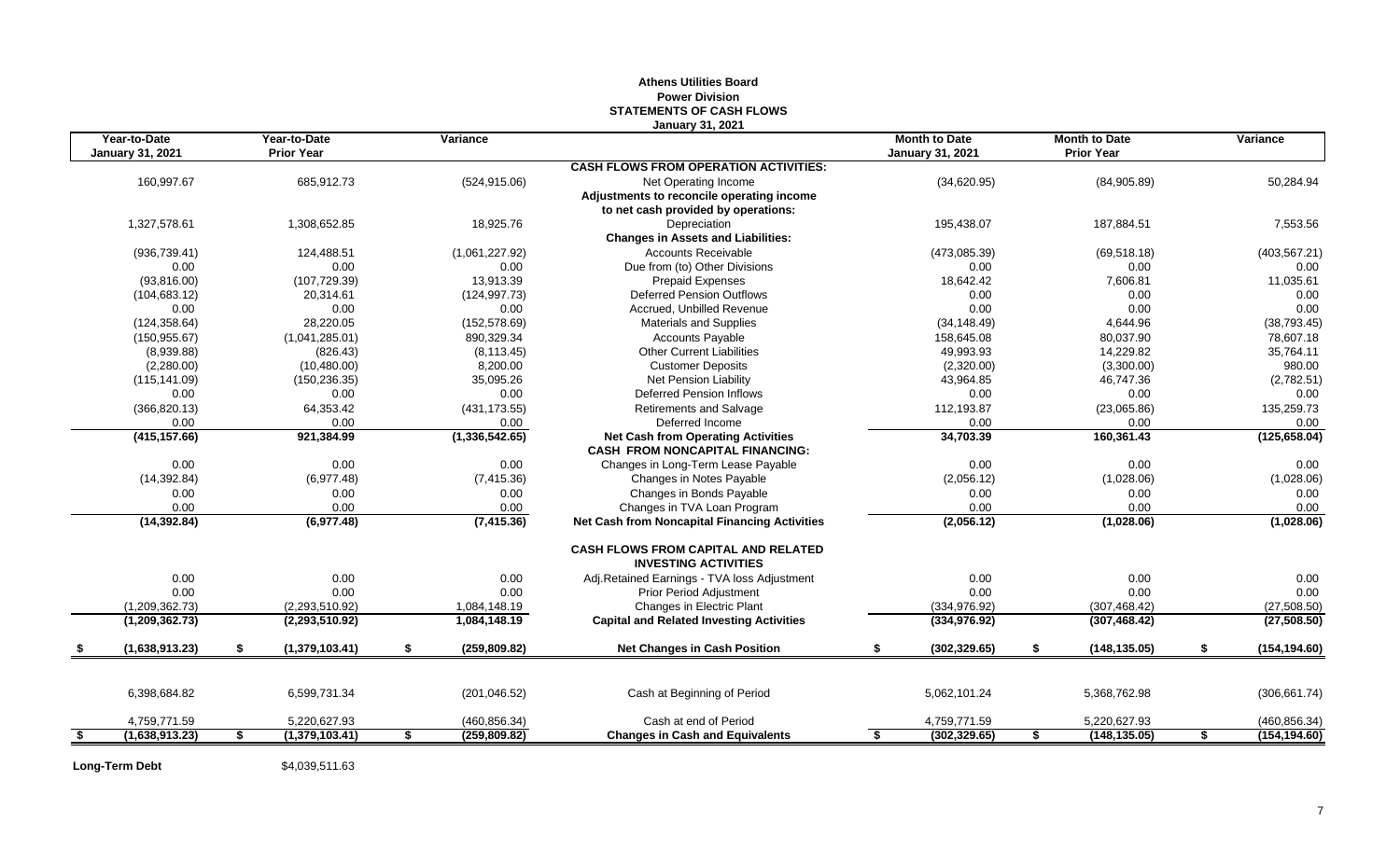## **Athens Utilities Board Power Division STATEMENTS OF CASH FLOWS January 31, 2021**

| <b>January 31, 2021</b><br><b>CASH FLOWS FROM OPERATION ACTIVITIES:</b><br>160,997.67<br>685,912.73<br>(34,620.95)<br>50,284.94<br>(524, 915.06)<br>(84,905.89)<br>Net Operating Income<br>Adjustments to reconcile operating income<br>to net cash provided by operations:<br>1,327,578.61<br>7,553.56<br>1,308,652.85<br>18,925.76<br>Depreciation<br>195,438.07<br>187,884.51<br><b>Changes in Assets and Liabilities:</b><br><b>Accounts Receivable</b><br>(403, 567.21)<br>(936, 739.41)<br>124,488.51<br>(1,061,227.92)<br>(473,085.39)<br>(69, 518.18)<br>0.00<br>Due from (to) Other Divisions<br>0.00<br>0.00<br>0.00<br>0.00<br>0.00<br>7,606.81<br>11,035.61<br>(93,816.00)<br>(107, 729.39)<br>13,913.39<br><b>Prepaid Expenses</b><br>18,642.42<br>0.00<br>(104, 683.12)<br>20,314.61<br>(124, 997.73)<br><b>Deferred Pension Outflows</b><br>0.00<br>0.00<br>Accrued. Unbilled Revenue<br>0.00<br>0.00<br>0.00<br>0.00<br>0.00<br>0.00<br>(124, 358.64)<br>28,220.05<br>(152, 578.69)<br><b>Materials and Supplies</b><br>4,644.96<br>(38, 793.45)<br>(34, 148.49)<br>(1,041,285.01)<br>890,329.34<br><b>Accounts Payable</b><br>158.645.08<br>80,037.90<br>78,607.18<br>(150.955.67)<br>(8,939.88)<br>(826.43)<br><b>Other Current Liabilities</b><br>49,993.93<br>14,229.82<br>35,764.11<br>(8, 113.45)<br>8,200.00<br>(2,320.00)<br>980.00<br>(2,280.00)<br>(10, 480.00)<br><b>Customer Deposits</b><br>(3,300.00)<br>43,964.85<br>(2,782.51)<br>(150, 236.35)<br>35,095.26<br>Net Pension Liability<br>46,747.36<br>(115, 141.09)<br>0.00<br>0.00<br>0.00<br>0.00<br>Deferred Pension Inflows<br>0.00<br>0.00<br>(431, 173.55)<br>135,259.73<br>(366, 820.13)<br>64,353.42<br>Retirements and Salvage<br>112,193.87<br>(23,065.86)<br>0.00<br>0.00<br>0.00<br>0.00<br>0.00<br>Deferred Income<br>0.00<br>(125, 658.04)<br>(415, 157.66)<br>921,384.99<br>(1,336,542.65)<br><b>Net Cash from Operating Activities</b><br>34,703.39<br>160,361.43<br><b>CASH FROM NONCAPITAL FINANCING:</b><br>0.00<br>0.00<br>0.00<br>0.00<br>0.00<br>0.00<br>Changes in Long-Term Lease Payable<br>(1,028.06)<br>(14, 392.84)<br>(6,977.48)<br>(7, 415.36)<br>Changes in Notes Payable<br>(2,056.12)<br>(1,028.06)<br>Changes in Bonds Payable<br>0.00<br>0.00<br>0.00<br>0.00<br>0.00<br>0.00<br>0.00<br>0.00<br>0.00<br>Changes in TVA Loan Program<br>0.00<br>0.00<br>0.00<br>(7, 415.36)<br>(1,028.06)<br>(14, 392.84)<br>(6,977.48)<br><b>Net Cash from Noncapital Financing Activities</b><br>(2,056.12)<br>(1,028.06)<br><b>CASH FLOWS FROM CAPITAL AND RELATED</b><br><b>INVESTING ACTIVITIES</b><br>0.00<br>0.00<br>0.00<br>0.00<br>0.00<br>Adj.Retained Earnings - TVA loss Adjustment<br>0.00<br>0.00<br>0.00<br>0.00<br>0.00<br>0.00<br>0.00<br><b>Prior Period Adjustment</b><br>(1,209,362.73)<br>Changes in Electric Plant<br>(334, 976.92)<br>(307, 468.42)<br>(27, 508.50)<br>(2,293,510.92)<br>1,084,148.19<br><b>Capital and Related Investing Activities</b><br>(27, 508.50)<br>(1,209,362.73)<br>(2,293,510.92)<br>1,084,148.19<br>(334, 976.92)<br>(307, 468.42)<br>\$<br>\$<br>\$<br>\$<br>(1,638,913.23)<br>(1,379,103.41)<br>(259, 809.82)<br><b>Net Changes in Cash Position</b><br>\$<br>(302, 329.65)<br>(148, 135.05)<br>\$<br>6,398,684.82<br>6,599,731.34<br>5,062,101.24<br>5,368,762.98<br>(306, 661.74)<br>(201, 046.52)<br>Cash at Beginning of Period<br>Cash at end of Period<br>4,759,771.59<br>5,220,627.93<br>(460, 856.34)<br>4,759,771.59<br>5,220,627.93<br>(460, 856.34)<br>\$<br>(302, 329.65)<br>(1,638,913.23)<br>(1,379,103.41)<br>\$<br>(259, 809.82)<br><b>Changes in Cash and Equivalents</b><br>(148, 135.05)<br>\$<br>\$<br>\$<br>S. | Year-to-Date | Year-to-Date      | Variance | <b>Month to Date</b>    | <b>Month to Date</b> | Variance      |
|---------------------------------------------------------------------------------------------------------------------------------------------------------------------------------------------------------------------------------------------------------------------------------------------------------------------------------------------------------------------------------------------------------------------------------------------------------------------------------------------------------------------------------------------------------------------------------------------------------------------------------------------------------------------------------------------------------------------------------------------------------------------------------------------------------------------------------------------------------------------------------------------------------------------------------------------------------------------------------------------------------------------------------------------------------------------------------------------------------------------------------------------------------------------------------------------------------------------------------------------------------------------------------------------------------------------------------------------------------------------------------------------------------------------------------------------------------------------------------------------------------------------------------------------------------------------------------------------------------------------------------------------------------------------------------------------------------------------------------------------------------------------------------------------------------------------------------------------------------------------------------------------------------------------------------------------------------------------------------------------------------------------------------------------------------------------------------------------------------------------------------------------------------------------------------------------------------------------------------------------------------------------------------------------------------------------------------------------------------------------------------------------------------------------------------------------------------------------------------------------------------------------------------------------------------------------------------------------------------------------------------------------------------------------------------------------------------------------------------------------------------------------------------------------------------------------------------------------------------------------------------------------------------------------------------------------------------------------------------------------------------------------------------------------------------------------------------------------------------------------------------------------------------------------------------------------------------------------------------------------------------------------------------------------------------------------------------------------------------------------------------------------------------------------------------------------------------------------------------------------------------------------------------------------------------------------------------------------------------------------------------------------------------------------------------------------|--------------|-------------------|----------|-------------------------|----------------------|---------------|
|                                                                                                                                                                                                                                                                                                                                                                                                                                                                                                                                                                                                                                                                                                                                                                                                                                                                                                                                                                                                                                                                                                                                                                                                                                                                                                                                                                                                                                                                                                                                                                                                                                                                                                                                                                                                                                                                                                                                                                                                                                                                                                                                                                                                                                                                                                                                                                                                                                                                                                                                                                                                                                                                                                                                                                                                                                                                                                                                                                                                                                                                                                                                                                                                                                                                                                                                                                                                                                                                                                                                                                                                                                                                                             |              | <b>Prior Year</b> |          | <b>January 31, 2021</b> | <b>Prior Year</b>    |               |
|                                                                                                                                                                                                                                                                                                                                                                                                                                                                                                                                                                                                                                                                                                                                                                                                                                                                                                                                                                                                                                                                                                                                                                                                                                                                                                                                                                                                                                                                                                                                                                                                                                                                                                                                                                                                                                                                                                                                                                                                                                                                                                                                                                                                                                                                                                                                                                                                                                                                                                                                                                                                                                                                                                                                                                                                                                                                                                                                                                                                                                                                                                                                                                                                                                                                                                                                                                                                                                                                                                                                                                                                                                                                                             |              |                   |          |                         |                      |               |
|                                                                                                                                                                                                                                                                                                                                                                                                                                                                                                                                                                                                                                                                                                                                                                                                                                                                                                                                                                                                                                                                                                                                                                                                                                                                                                                                                                                                                                                                                                                                                                                                                                                                                                                                                                                                                                                                                                                                                                                                                                                                                                                                                                                                                                                                                                                                                                                                                                                                                                                                                                                                                                                                                                                                                                                                                                                                                                                                                                                                                                                                                                                                                                                                                                                                                                                                                                                                                                                                                                                                                                                                                                                                                             |              |                   |          |                         |                      |               |
|                                                                                                                                                                                                                                                                                                                                                                                                                                                                                                                                                                                                                                                                                                                                                                                                                                                                                                                                                                                                                                                                                                                                                                                                                                                                                                                                                                                                                                                                                                                                                                                                                                                                                                                                                                                                                                                                                                                                                                                                                                                                                                                                                                                                                                                                                                                                                                                                                                                                                                                                                                                                                                                                                                                                                                                                                                                                                                                                                                                                                                                                                                                                                                                                                                                                                                                                                                                                                                                                                                                                                                                                                                                                                             |              |                   |          |                         |                      |               |
|                                                                                                                                                                                                                                                                                                                                                                                                                                                                                                                                                                                                                                                                                                                                                                                                                                                                                                                                                                                                                                                                                                                                                                                                                                                                                                                                                                                                                                                                                                                                                                                                                                                                                                                                                                                                                                                                                                                                                                                                                                                                                                                                                                                                                                                                                                                                                                                                                                                                                                                                                                                                                                                                                                                                                                                                                                                                                                                                                                                                                                                                                                                                                                                                                                                                                                                                                                                                                                                                                                                                                                                                                                                                                             |              |                   |          |                         |                      |               |
|                                                                                                                                                                                                                                                                                                                                                                                                                                                                                                                                                                                                                                                                                                                                                                                                                                                                                                                                                                                                                                                                                                                                                                                                                                                                                                                                                                                                                                                                                                                                                                                                                                                                                                                                                                                                                                                                                                                                                                                                                                                                                                                                                                                                                                                                                                                                                                                                                                                                                                                                                                                                                                                                                                                                                                                                                                                                                                                                                                                                                                                                                                                                                                                                                                                                                                                                                                                                                                                                                                                                                                                                                                                                                             |              |                   |          |                         |                      |               |
|                                                                                                                                                                                                                                                                                                                                                                                                                                                                                                                                                                                                                                                                                                                                                                                                                                                                                                                                                                                                                                                                                                                                                                                                                                                                                                                                                                                                                                                                                                                                                                                                                                                                                                                                                                                                                                                                                                                                                                                                                                                                                                                                                                                                                                                                                                                                                                                                                                                                                                                                                                                                                                                                                                                                                                                                                                                                                                                                                                                                                                                                                                                                                                                                                                                                                                                                                                                                                                                                                                                                                                                                                                                                                             |              |                   |          |                         |                      |               |
|                                                                                                                                                                                                                                                                                                                                                                                                                                                                                                                                                                                                                                                                                                                                                                                                                                                                                                                                                                                                                                                                                                                                                                                                                                                                                                                                                                                                                                                                                                                                                                                                                                                                                                                                                                                                                                                                                                                                                                                                                                                                                                                                                                                                                                                                                                                                                                                                                                                                                                                                                                                                                                                                                                                                                                                                                                                                                                                                                                                                                                                                                                                                                                                                                                                                                                                                                                                                                                                                                                                                                                                                                                                                                             |              |                   |          |                         |                      |               |
|                                                                                                                                                                                                                                                                                                                                                                                                                                                                                                                                                                                                                                                                                                                                                                                                                                                                                                                                                                                                                                                                                                                                                                                                                                                                                                                                                                                                                                                                                                                                                                                                                                                                                                                                                                                                                                                                                                                                                                                                                                                                                                                                                                                                                                                                                                                                                                                                                                                                                                                                                                                                                                                                                                                                                                                                                                                                                                                                                                                                                                                                                                                                                                                                                                                                                                                                                                                                                                                                                                                                                                                                                                                                                             |              |                   |          |                         |                      |               |
|                                                                                                                                                                                                                                                                                                                                                                                                                                                                                                                                                                                                                                                                                                                                                                                                                                                                                                                                                                                                                                                                                                                                                                                                                                                                                                                                                                                                                                                                                                                                                                                                                                                                                                                                                                                                                                                                                                                                                                                                                                                                                                                                                                                                                                                                                                                                                                                                                                                                                                                                                                                                                                                                                                                                                                                                                                                                                                                                                                                                                                                                                                                                                                                                                                                                                                                                                                                                                                                                                                                                                                                                                                                                                             |              |                   |          |                         |                      |               |
|                                                                                                                                                                                                                                                                                                                                                                                                                                                                                                                                                                                                                                                                                                                                                                                                                                                                                                                                                                                                                                                                                                                                                                                                                                                                                                                                                                                                                                                                                                                                                                                                                                                                                                                                                                                                                                                                                                                                                                                                                                                                                                                                                                                                                                                                                                                                                                                                                                                                                                                                                                                                                                                                                                                                                                                                                                                                                                                                                                                                                                                                                                                                                                                                                                                                                                                                                                                                                                                                                                                                                                                                                                                                                             |              |                   |          |                         |                      |               |
|                                                                                                                                                                                                                                                                                                                                                                                                                                                                                                                                                                                                                                                                                                                                                                                                                                                                                                                                                                                                                                                                                                                                                                                                                                                                                                                                                                                                                                                                                                                                                                                                                                                                                                                                                                                                                                                                                                                                                                                                                                                                                                                                                                                                                                                                                                                                                                                                                                                                                                                                                                                                                                                                                                                                                                                                                                                                                                                                                                                                                                                                                                                                                                                                                                                                                                                                                                                                                                                                                                                                                                                                                                                                                             |              |                   |          |                         |                      |               |
|                                                                                                                                                                                                                                                                                                                                                                                                                                                                                                                                                                                                                                                                                                                                                                                                                                                                                                                                                                                                                                                                                                                                                                                                                                                                                                                                                                                                                                                                                                                                                                                                                                                                                                                                                                                                                                                                                                                                                                                                                                                                                                                                                                                                                                                                                                                                                                                                                                                                                                                                                                                                                                                                                                                                                                                                                                                                                                                                                                                                                                                                                                                                                                                                                                                                                                                                                                                                                                                                                                                                                                                                                                                                                             |              |                   |          |                         |                      |               |
|                                                                                                                                                                                                                                                                                                                                                                                                                                                                                                                                                                                                                                                                                                                                                                                                                                                                                                                                                                                                                                                                                                                                                                                                                                                                                                                                                                                                                                                                                                                                                                                                                                                                                                                                                                                                                                                                                                                                                                                                                                                                                                                                                                                                                                                                                                                                                                                                                                                                                                                                                                                                                                                                                                                                                                                                                                                                                                                                                                                                                                                                                                                                                                                                                                                                                                                                                                                                                                                                                                                                                                                                                                                                                             |              |                   |          |                         |                      |               |
|                                                                                                                                                                                                                                                                                                                                                                                                                                                                                                                                                                                                                                                                                                                                                                                                                                                                                                                                                                                                                                                                                                                                                                                                                                                                                                                                                                                                                                                                                                                                                                                                                                                                                                                                                                                                                                                                                                                                                                                                                                                                                                                                                                                                                                                                                                                                                                                                                                                                                                                                                                                                                                                                                                                                                                                                                                                                                                                                                                                                                                                                                                                                                                                                                                                                                                                                                                                                                                                                                                                                                                                                                                                                                             |              |                   |          |                         |                      |               |
|                                                                                                                                                                                                                                                                                                                                                                                                                                                                                                                                                                                                                                                                                                                                                                                                                                                                                                                                                                                                                                                                                                                                                                                                                                                                                                                                                                                                                                                                                                                                                                                                                                                                                                                                                                                                                                                                                                                                                                                                                                                                                                                                                                                                                                                                                                                                                                                                                                                                                                                                                                                                                                                                                                                                                                                                                                                                                                                                                                                                                                                                                                                                                                                                                                                                                                                                                                                                                                                                                                                                                                                                                                                                                             |              |                   |          |                         |                      |               |
|                                                                                                                                                                                                                                                                                                                                                                                                                                                                                                                                                                                                                                                                                                                                                                                                                                                                                                                                                                                                                                                                                                                                                                                                                                                                                                                                                                                                                                                                                                                                                                                                                                                                                                                                                                                                                                                                                                                                                                                                                                                                                                                                                                                                                                                                                                                                                                                                                                                                                                                                                                                                                                                                                                                                                                                                                                                                                                                                                                                                                                                                                                                                                                                                                                                                                                                                                                                                                                                                                                                                                                                                                                                                                             |              |                   |          |                         |                      |               |
|                                                                                                                                                                                                                                                                                                                                                                                                                                                                                                                                                                                                                                                                                                                                                                                                                                                                                                                                                                                                                                                                                                                                                                                                                                                                                                                                                                                                                                                                                                                                                                                                                                                                                                                                                                                                                                                                                                                                                                                                                                                                                                                                                                                                                                                                                                                                                                                                                                                                                                                                                                                                                                                                                                                                                                                                                                                                                                                                                                                                                                                                                                                                                                                                                                                                                                                                                                                                                                                                                                                                                                                                                                                                                             |              |                   |          |                         |                      |               |
|                                                                                                                                                                                                                                                                                                                                                                                                                                                                                                                                                                                                                                                                                                                                                                                                                                                                                                                                                                                                                                                                                                                                                                                                                                                                                                                                                                                                                                                                                                                                                                                                                                                                                                                                                                                                                                                                                                                                                                                                                                                                                                                                                                                                                                                                                                                                                                                                                                                                                                                                                                                                                                                                                                                                                                                                                                                                                                                                                                                                                                                                                                                                                                                                                                                                                                                                                                                                                                                                                                                                                                                                                                                                                             |              |                   |          |                         |                      |               |
|                                                                                                                                                                                                                                                                                                                                                                                                                                                                                                                                                                                                                                                                                                                                                                                                                                                                                                                                                                                                                                                                                                                                                                                                                                                                                                                                                                                                                                                                                                                                                                                                                                                                                                                                                                                                                                                                                                                                                                                                                                                                                                                                                                                                                                                                                                                                                                                                                                                                                                                                                                                                                                                                                                                                                                                                                                                                                                                                                                                                                                                                                                                                                                                                                                                                                                                                                                                                                                                                                                                                                                                                                                                                                             |              |                   |          |                         |                      |               |
|                                                                                                                                                                                                                                                                                                                                                                                                                                                                                                                                                                                                                                                                                                                                                                                                                                                                                                                                                                                                                                                                                                                                                                                                                                                                                                                                                                                                                                                                                                                                                                                                                                                                                                                                                                                                                                                                                                                                                                                                                                                                                                                                                                                                                                                                                                                                                                                                                                                                                                                                                                                                                                                                                                                                                                                                                                                                                                                                                                                                                                                                                                                                                                                                                                                                                                                                                                                                                                                                                                                                                                                                                                                                                             |              |                   |          |                         |                      |               |
|                                                                                                                                                                                                                                                                                                                                                                                                                                                                                                                                                                                                                                                                                                                                                                                                                                                                                                                                                                                                                                                                                                                                                                                                                                                                                                                                                                                                                                                                                                                                                                                                                                                                                                                                                                                                                                                                                                                                                                                                                                                                                                                                                                                                                                                                                                                                                                                                                                                                                                                                                                                                                                                                                                                                                                                                                                                                                                                                                                                                                                                                                                                                                                                                                                                                                                                                                                                                                                                                                                                                                                                                                                                                                             |              |                   |          |                         |                      |               |
|                                                                                                                                                                                                                                                                                                                                                                                                                                                                                                                                                                                                                                                                                                                                                                                                                                                                                                                                                                                                                                                                                                                                                                                                                                                                                                                                                                                                                                                                                                                                                                                                                                                                                                                                                                                                                                                                                                                                                                                                                                                                                                                                                                                                                                                                                                                                                                                                                                                                                                                                                                                                                                                                                                                                                                                                                                                                                                                                                                                                                                                                                                                                                                                                                                                                                                                                                                                                                                                                                                                                                                                                                                                                                             |              |                   |          |                         |                      |               |
|                                                                                                                                                                                                                                                                                                                                                                                                                                                                                                                                                                                                                                                                                                                                                                                                                                                                                                                                                                                                                                                                                                                                                                                                                                                                                                                                                                                                                                                                                                                                                                                                                                                                                                                                                                                                                                                                                                                                                                                                                                                                                                                                                                                                                                                                                                                                                                                                                                                                                                                                                                                                                                                                                                                                                                                                                                                                                                                                                                                                                                                                                                                                                                                                                                                                                                                                                                                                                                                                                                                                                                                                                                                                                             |              |                   |          |                         |                      |               |
|                                                                                                                                                                                                                                                                                                                                                                                                                                                                                                                                                                                                                                                                                                                                                                                                                                                                                                                                                                                                                                                                                                                                                                                                                                                                                                                                                                                                                                                                                                                                                                                                                                                                                                                                                                                                                                                                                                                                                                                                                                                                                                                                                                                                                                                                                                                                                                                                                                                                                                                                                                                                                                                                                                                                                                                                                                                                                                                                                                                                                                                                                                                                                                                                                                                                                                                                                                                                                                                                                                                                                                                                                                                                                             |              |                   |          |                         |                      |               |
|                                                                                                                                                                                                                                                                                                                                                                                                                                                                                                                                                                                                                                                                                                                                                                                                                                                                                                                                                                                                                                                                                                                                                                                                                                                                                                                                                                                                                                                                                                                                                                                                                                                                                                                                                                                                                                                                                                                                                                                                                                                                                                                                                                                                                                                                                                                                                                                                                                                                                                                                                                                                                                                                                                                                                                                                                                                                                                                                                                                                                                                                                                                                                                                                                                                                                                                                                                                                                                                                                                                                                                                                                                                                                             |              |                   |          |                         |                      |               |
|                                                                                                                                                                                                                                                                                                                                                                                                                                                                                                                                                                                                                                                                                                                                                                                                                                                                                                                                                                                                                                                                                                                                                                                                                                                                                                                                                                                                                                                                                                                                                                                                                                                                                                                                                                                                                                                                                                                                                                                                                                                                                                                                                                                                                                                                                                                                                                                                                                                                                                                                                                                                                                                                                                                                                                                                                                                                                                                                                                                                                                                                                                                                                                                                                                                                                                                                                                                                                                                                                                                                                                                                                                                                                             |              |                   |          |                         |                      |               |
|                                                                                                                                                                                                                                                                                                                                                                                                                                                                                                                                                                                                                                                                                                                                                                                                                                                                                                                                                                                                                                                                                                                                                                                                                                                                                                                                                                                                                                                                                                                                                                                                                                                                                                                                                                                                                                                                                                                                                                                                                                                                                                                                                                                                                                                                                                                                                                                                                                                                                                                                                                                                                                                                                                                                                                                                                                                                                                                                                                                                                                                                                                                                                                                                                                                                                                                                                                                                                                                                                                                                                                                                                                                                                             |              |                   |          |                         |                      |               |
|                                                                                                                                                                                                                                                                                                                                                                                                                                                                                                                                                                                                                                                                                                                                                                                                                                                                                                                                                                                                                                                                                                                                                                                                                                                                                                                                                                                                                                                                                                                                                                                                                                                                                                                                                                                                                                                                                                                                                                                                                                                                                                                                                                                                                                                                                                                                                                                                                                                                                                                                                                                                                                                                                                                                                                                                                                                                                                                                                                                                                                                                                                                                                                                                                                                                                                                                                                                                                                                                                                                                                                                                                                                                                             |              |                   |          |                         |                      |               |
|                                                                                                                                                                                                                                                                                                                                                                                                                                                                                                                                                                                                                                                                                                                                                                                                                                                                                                                                                                                                                                                                                                                                                                                                                                                                                                                                                                                                                                                                                                                                                                                                                                                                                                                                                                                                                                                                                                                                                                                                                                                                                                                                                                                                                                                                                                                                                                                                                                                                                                                                                                                                                                                                                                                                                                                                                                                                                                                                                                                                                                                                                                                                                                                                                                                                                                                                                                                                                                                                                                                                                                                                                                                                                             |              |                   |          |                         |                      |               |
|                                                                                                                                                                                                                                                                                                                                                                                                                                                                                                                                                                                                                                                                                                                                                                                                                                                                                                                                                                                                                                                                                                                                                                                                                                                                                                                                                                                                                                                                                                                                                                                                                                                                                                                                                                                                                                                                                                                                                                                                                                                                                                                                                                                                                                                                                                                                                                                                                                                                                                                                                                                                                                                                                                                                                                                                                                                                                                                                                                                                                                                                                                                                                                                                                                                                                                                                                                                                                                                                                                                                                                                                                                                                                             |              |                   |          |                         |                      |               |
|                                                                                                                                                                                                                                                                                                                                                                                                                                                                                                                                                                                                                                                                                                                                                                                                                                                                                                                                                                                                                                                                                                                                                                                                                                                                                                                                                                                                                                                                                                                                                                                                                                                                                                                                                                                                                                                                                                                                                                                                                                                                                                                                                                                                                                                                                                                                                                                                                                                                                                                                                                                                                                                                                                                                                                                                                                                                                                                                                                                                                                                                                                                                                                                                                                                                                                                                                                                                                                                                                                                                                                                                                                                                                             |              |                   |          |                         |                      |               |
|                                                                                                                                                                                                                                                                                                                                                                                                                                                                                                                                                                                                                                                                                                                                                                                                                                                                                                                                                                                                                                                                                                                                                                                                                                                                                                                                                                                                                                                                                                                                                                                                                                                                                                                                                                                                                                                                                                                                                                                                                                                                                                                                                                                                                                                                                                                                                                                                                                                                                                                                                                                                                                                                                                                                                                                                                                                                                                                                                                                                                                                                                                                                                                                                                                                                                                                                                                                                                                                                                                                                                                                                                                                                                             |              |                   |          |                         |                      |               |
|                                                                                                                                                                                                                                                                                                                                                                                                                                                                                                                                                                                                                                                                                                                                                                                                                                                                                                                                                                                                                                                                                                                                                                                                                                                                                                                                                                                                                                                                                                                                                                                                                                                                                                                                                                                                                                                                                                                                                                                                                                                                                                                                                                                                                                                                                                                                                                                                                                                                                                                                                                                                                                                                                                                                                                                                                                                                                                                                                                                                                                                                                                                                                                                                                                                                                                                                                                                                                                                                                                                                                                                                                                                                                             |              |                   |          |                         |                      | (154, 194.60) |
|                                                                                                                                                                                                                                                                                                                                                                                                                                                                                                                                                                                                                                                                                                                                                                                                                                                                                                                                                                                                                                                                                                                                                                                                                                                                                                                                                                                                                                                                                                                                                                                                                                                                                                                                                                                                                                                                                                                                                                                                                                                                                                                                                                                                                                                                                                                                                                                                                                                                                                                                                                                                                                                                                                                                                                                                                                                                                                                                                                                                                                                                                                                                                                                                                                                                                                                                                                                                                                                                                                                                                                                                                                                                                             |              |                   |          |                         |                      |               |
|                                                                                                                                                                                                                                                                                                                                                                                                                                                                                                                                                                                                                                                                                                                                                                                                                                                                                                                                                                                                                                                                                                                                                                                                                                                                                                                                                                                                                                                                                                                                                                                                                                                                                                                                                                                                                                                                                                                                                                                                                                                                                                                                                                                                                                                                                                                                                                                                                                                                                                                                                                                                                                                                                                                                                                                                                                                                                                                                                                                                                                                                                                                                                                                                                                                                                                                                                                                                                                                                                                                                                                                                                                                                                             |              |                   |          |                         |                      |               |
|                                                                                                                                                                                                                                                                                                                                                                                                                                                                                                                                                                                                                                                                                                                                                                                                                                                                                                                                                                                                                                                                                                                                                                                                                                                                                                                                                                                                                                                                                                                                                                                                                                                                                                                                                                                                                                                                                                                                                                                                                                                                                                                                                                                                                                                                                                                                                                                                                                                                                                                                                                                                                                                                                                                                                                                                                                                                                                                                                                                                                                                                                                                                                                                                                                                                                                                                                                                                                                                                                                                                                                                                                                                                                             |              |                   |          |                         |                      |               |
|                                                                                                                                                                                                                                                                                                                                                                                                                                                                                                                                                                                                                                                                                                                                                                                                                                                                                                                                                                                                                                                                                                                                                                                                                                                                                                                                                                                                                                                                                                                                                                                                                                                                                                                                                                                                                                                                                                                                                                                                                                                                                                                                                                                                                                                                                                                                                                                                                                                                                                                                                                                                                                                                                                                                                                                                                                                                                                                                                                                                                                                                                                                                                                                                                                                                                                                                                                                                                                                                                                                                                                                                                                                                                             |              |                   |          |                         |                      | (154, 194.60) |

**Long-Term Debt** \$4,039,511.63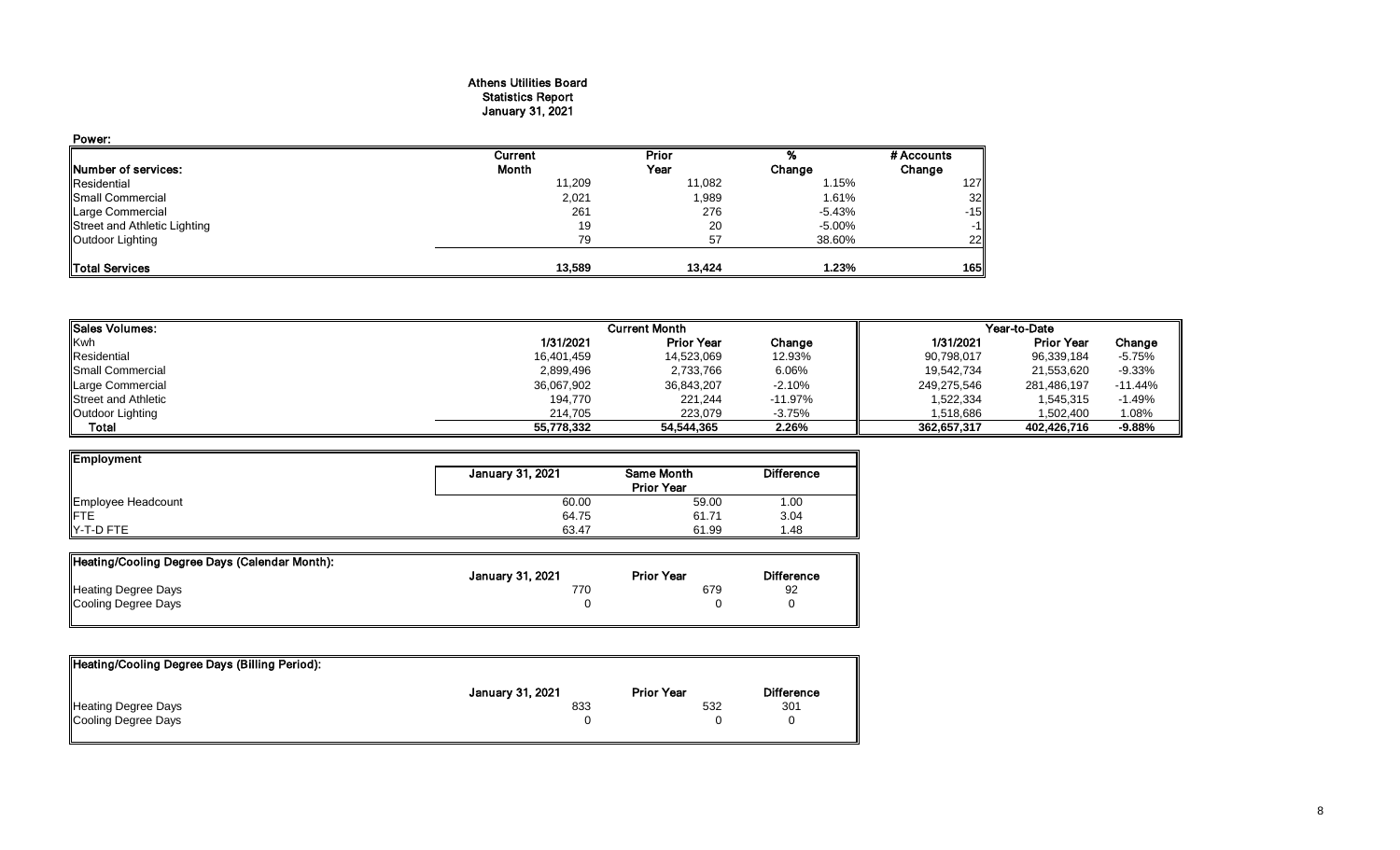#### Athens Utilities Board Statistics Report January 31, 2021

| Power:                       |         |        |          |            |
|------------------------------|---------|--------|----------|------------|
|                              | Current | Prior  |          | # Accounts |
| <b>INumber of services:</b>  | Month   | Year   | Change   | Change     |
| Residential                  | 11,209  | 11,082 | 1.15%    | 127        |
| <b>Small Commercial</b>      | 2,021   | 1,989  | 1.61%    | 32         |
| Large Commercial             | 261     | 276    | $-5.43%$ | $-15$      |
| Street and Athletic Lighting | 19      | 20     | -5.00%   | $-1$       |
| Outdoor Lighting             | 79      | 57     | 38.60%   | 22         |
| <b>Total Services</b>        | 13,589  | 13.424 | 1.23%    | 165        |

| <b>I</b> ISales Volumes:   |            | <b>Current Month</b> |            | Year-to-Date |                   |           |  |
|----------------------------|------------|----------------------|------------|--------------|-------------------|-----------|--|
| <b>Kwh</b>                 | 1/31/2021  | <b>Prior Year</b>    | Change     | 1/31/2021    | <b>Prior Year</b> | Change    |  |
| Residential                | 16,401,459 | 14,523,069           | 12.93%     | 90,798,017   | 96,339,184        | $-5.75%$  |  |
| <b>I</b> Small Commercial  | 2,899,496  | 2,733,766            | 6.06%      | 19,542,734   | 21,553,620        | $-9.33%$  |  |
| Large Commercial           | 36,067,902 | 36,843,207           | $-2.10%$   | 249,275,546  | 281,486,197       | $-11.44%$ |  |
| <b>Street and Athletic</b> | 194,770    | 221,244              | $-11.97\%$ | 1,522,334    | 1,545,315         | $-1.49%$  |  |
| Outdoor Lighting           | 214.705    | 223.079              | $-3.75%$   | 1,518,686    | 1,502,400         | 1.08%     |  |
| Total                      | 55,778,332 | 54,544,365           | 2.26%      | 362.657.317  | 402.426.716       | $-9.88%$  |  |

| Employment         |                  |                   |                   |
|--------------------|------------------|-------------------|-------------------|
|                    | January 31, 2021 | Same Month        | <b>Difference</b> |
|                    |                  | <b>Prior Year</b> |                   |
| Employee Headcount | 60.00            | 59.00             | 1.00              |
| <b>IFTE</b>        | 64.75            | 61.71             | 3.04              |
| Y-T-D FTE          | 63.47            | 61.99             | 1.48              |

| Heating/Cooling Degree Days (Calendar Month): |                  |                   |                   |
|-----------------------------------------------|------------------|-------------------|-------------------|
|                                               | January 31, 2021 | <b>Prior Year</b> | <b>Difference</b> |
| <b>Heating Degree Days</b>                    | 770.             | 679               | 92                |
| Cooling Degree Days                           |                  |                   |                   |
|                                               |                  |                   |                   |

| Heating/Cooling Degree Days (Billing Period): |                         |                   |                   |
|-----------------------------------------------|-------------------------|-------------------|-------------------|
|                                               | <b>January 31, 2021</b> | <b>Prior Year</b> | <b>Difference</b> |
| <b>Heating Degree Days</b>                    | 833                     | 532               | 301               |
| Cooling Degree Days                           |                         |                   |                   |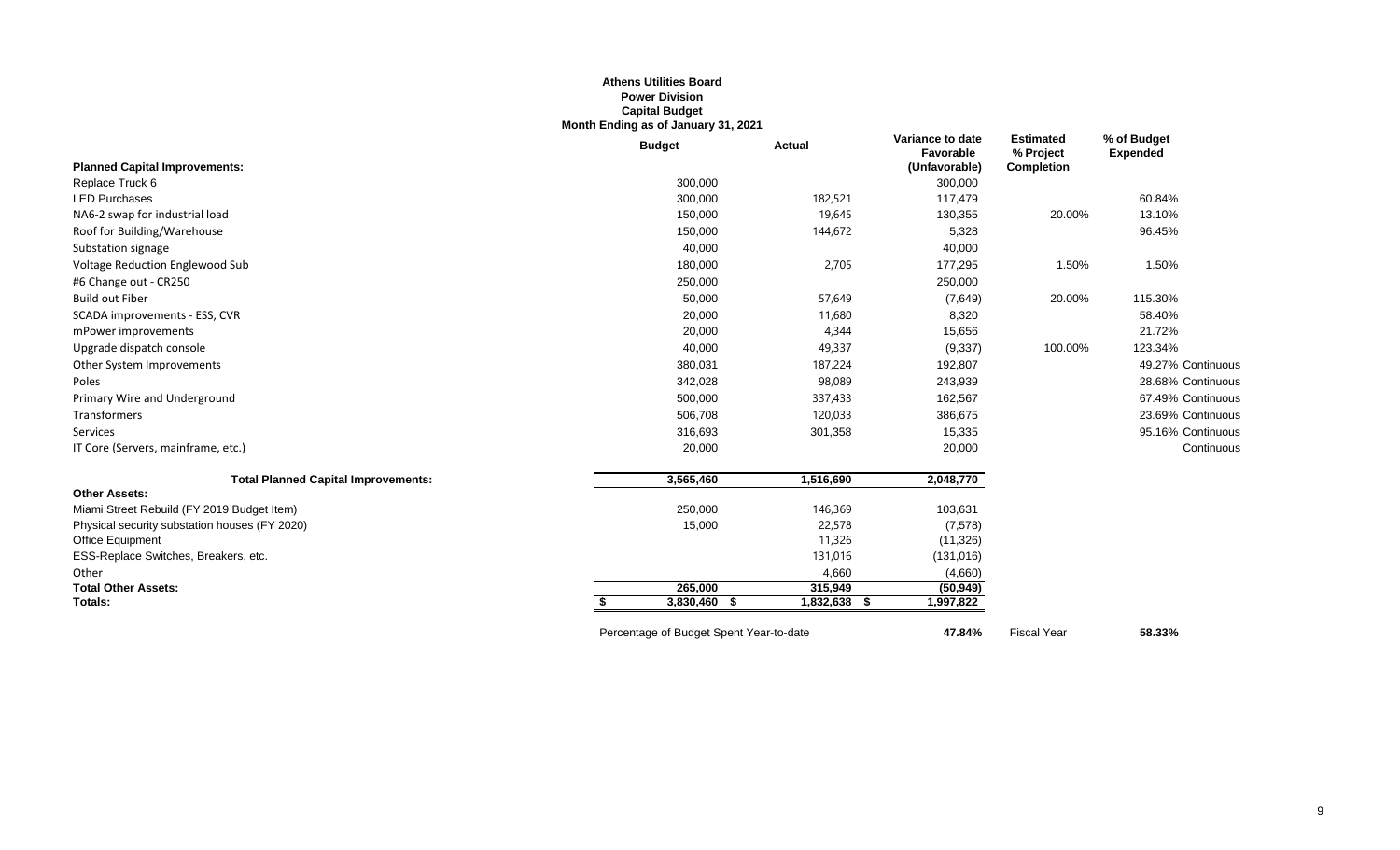## **Athens Utilities Board Power Division Capital Budget Month Ending as of January 31, 2021**

|                                               | <b>Budget</b>                           | <b>Actual</b>     | Variance to date<br>Favorable | <b>Estimated</b><br>% Project | % of Budget<br><b>Expended</b> |
|-----------------------------------------------|-----------------------------------------|-------------------|-------------------------------|-------------------------------|--------------------------------|
| <b>Planned Capital Improvements:</b>          |                                         |                   | (Unfavorable)                 | <b>Completion</b>             |                                |
| Replace Truck 6                               | 300,000                                 |                   | 300,000                       |                               |                                |
| <b>LED Purchases</b>                          | 300,000                                 | 182,521           | 117,479                       |                               | 60.84%                         |
| NA6-2 swap for industrial load                | 150,000                                 | 19,645            | 130,355                       | 20.00%                        | 13.10%                         |
| Roof for Building/Warehouse                   | 150,000                                 | 144,672           | 5,328                         |                               | 96.45%                         |
| Substation signage                            | 40,000                                  |                   | 40,000                        |                               |                                |
| Voltage Reduction Englewood Sub               | 180,000                                 | 2,705             | 177,295                       | 1.50%                         | 1.50%                          |
| #6 Change out - CR250                         | 250,000                                 |                   | 250,000                       |                               |                                |
| <b>Build out Fiber</b>                        | 50,000                                  | 57,649            | (7,649)                       | 20.00%                        | 115.30%                        |
| SCADA improvements - ESS, CVR                 | 20,000                                  | 11,680            | 8,320                         |                               | 58.40%                         |
| mPower improvements                           | 20,000                                  | 4,344             | 15,656                        |                               | 21.72%                         |
| Upgrade dispatch console                      | 40,000                                  | 49,337            | (9, 337)                      | 100.00%                       | 123.34%                        |
| Other System Improvements                     | 380,031                                 | 187,224           | 192,807                       |                               | 49.27% Continuous              |
| Poles                                         | 342,028                                 | 98,089            | 243,939                       |                               | 28.68% Continuous              |
| Primary Wire and Underground                  | 500,000                                 | 337,433           | 162,567                       |                               | 67.49% Continuous              |
| Transformers                                  | 506,708                                 | 120,033           | 386,675                       |                               | 23.69% Continuous              |
| Services                                      | 316,693                                 | 301,358           | 15,335                        |                               | 95.16% Continuous              |
| IT Core (Servers, mainframe, etc.)            | 20,000                                  |                   | 20,000                        |                               | Continuous                     |
| <b>Total Planned Capital Improvements:</b>    | 3,565,460                               | 1,516,690         | 2,048,770                     |                               |                                |
| <b>Other Assets:</b>                          |                                         |                   |                               |                               |                                |
| Miami Street Rebuild (FY 2019 Budget Item)    | 250,000                                 | 146,369           | 103,631                       |                               |                                |
| Physical security substation houses (FY 2020) | 15,000                                  | 22,578            | (7,578)                       |                               |                                |
| Office Equipment                              |                                         | 11,326            | (11, 326)                     |                               |                                |
| ESS-Replace Switches, Breakers, etc.          |                                         | 131,016           | (131, 016)                    |                               |                                |
| Other                                         |                                         | 4,660             | (4,660)                       |                               |                                |
| <b>Total Other Assets:</b>                    | 265.000                                 | 315,949           | (50, 949)                     |                               |                                |
| Totals:                                       | 3,830,460 \$<br>S.                      | 1,832,638<br>- 56 | 1,997,822                     |                               |                                |
|                                               | Percentage of Budget Spent Year-to-date |                   | 47.84%                        | <b>Fiscal Year</b>            | 58.33%                         |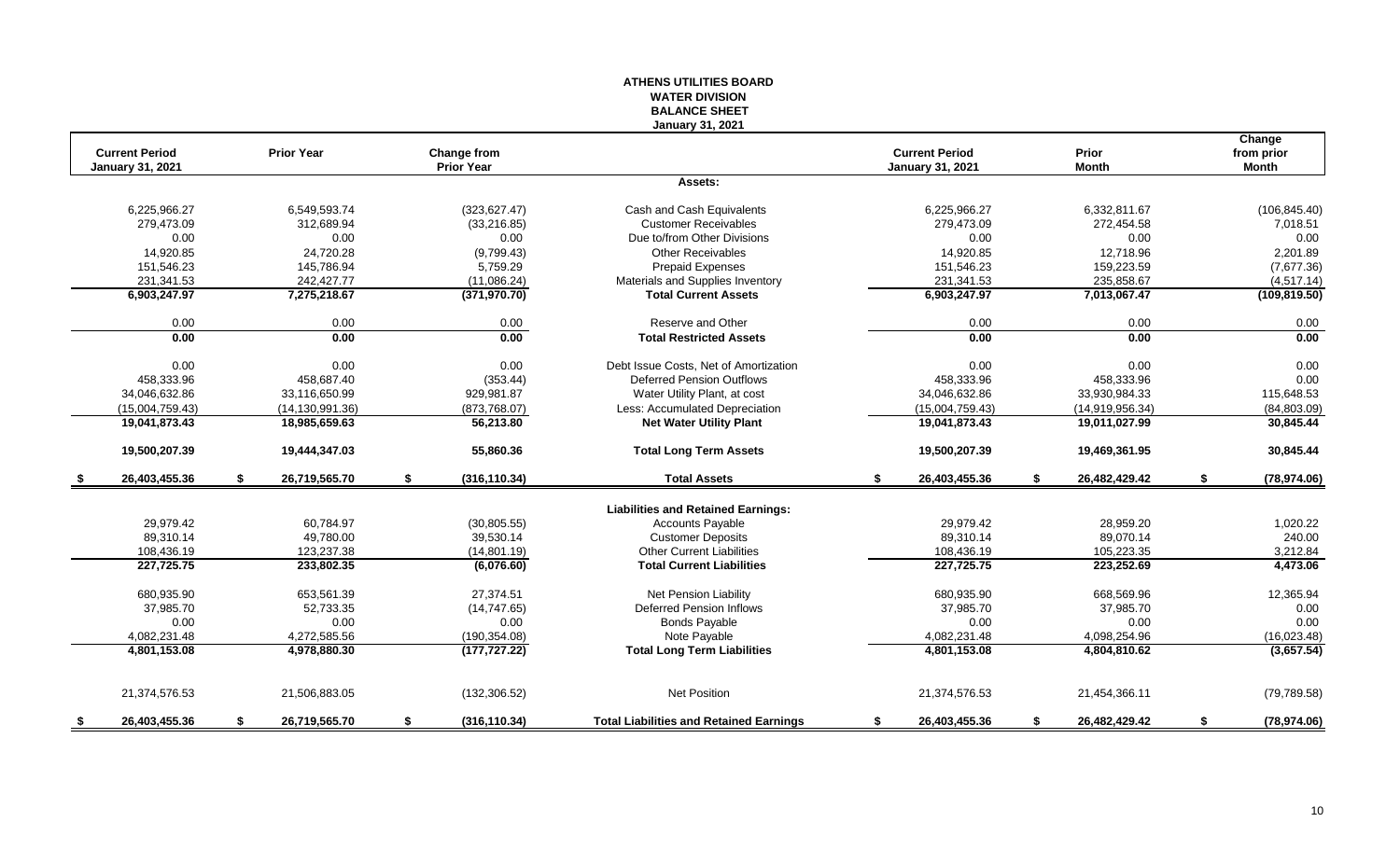## **WATER DIVISION BALANCE SHEET January 31, 2021 Change Current Period Prior Year Change from Current Period Prior from prior January 31, 2021 Prior Year January 31, 2021 Month Month Assets:** 6,225,966.27 6,549,593.74 (323,627.47) Cash and Cash Equivalents 6,225,966.27 6,332,811.67 (106,845.40) 279,473.09 312,689.94 (33,216.85) Customer Receivables 279,473.09 272,454.58 7,018.51 0.00 0.00 0.00 Due to/from Other Divisions 0.00 0.00 0.00 14,920.85 24,720.28 (9,799.43) 14,920.85 12,718.96 2,201.89 151,546.23 145,786.94 5,759.29 Prepaid Expenses 151,546.23 159,223.59 (7,677.36) 231,341.53 232,427.77 242,427.77 (11,086.24) Materials and Supplies Inventory 231,341.53 235,858.67 235,858.67 (4,517.14)<br>231,347.97 7,013,067.47 7,275,218.67 (371,970.70) Total Current Assets 6,903,247.97 7,013,067.47 (10 **6,903,247.97 7,275,218.67 (371,970.70) Total Current Assets 6,903,247.97 7,013,067.47 (109,819.50)** 0.00 0.00 0.00 Reserve and Other 0.00 0.00 0.00 **0.00 0.00 0.00 Total Restricted Assets 0.00 0.00 0.00** 0.00 0.00 0.00 0.00 0.00 Debt Issue Costs. Net of Amortization 0.00 0.00 0.00 0.00 0.00 0.00 0.00 458,333.96 458,687.40 (353.44) Deferred Pension Outflows 458,333.96 458,333.96 0.00 34,046,632.86 33,116,650.99 929,981.87 Water Utility Plant, at cost 34,046,632.86 33,930,984.33 115,648.53 (15,004,759.43) (14,130,991.36) (873,768.07) Less: Accumulated Depreciation (15,004,759.43) (14,919,956.34) (84,803.09) **19,041,873.43 18,985,659.63 56,213.80 Net Water Utility Plant 19,041,873.43 19,011,027.99 30,845.44 19,500,207.39 19,444,347.03 55,860.36 Total Long Term Assets 19,500,207.39 19,469,361.95 30,845.44 \$ 26,403,455.36 \$ 26,719,565.70 \$ (316,110.34) Total Assets \$ 26,403,455.36 \$ 26,482,429.42 \$ (78,974.06) Liabilities and Retained Earnings:** 29,979.42 60,784.97 (30,805.55) Ccounts Payable 29,979.42 28,959.20 1,020.22 89,310.14 49,780.00 39,530.14 Customer Deposits 89,310.14 89,070.14 240.00 108,436.19 123,237.38 (14,801.19) Other Current Liabilities 108,436.19 105,223.35 3,212.84 **227,725.75 233,802.35 (6,076.60) Total Current Liabilities 227,725.75 223,252.69 4,473.06** 680,935.90 653,561.39 27,374.51 Net Pension Liability 680,935.90 668,569.96 12,365.94 37,985.70 52,733.35 (14,747.65) Deferred Pension Inflows 37,985.70 37,985.70 0.00 0.00 0.00 0.00 Bonds Payable 0.00 0.00 0.00 4,082,231.48 4,272,585.56 (190,354.08) 4,082,231.48 4,098,254.96 (16,023.48) **4,801,153.08 4,978,880.30 (177,727.22) Total Long Term Liabilities 4,801,153.08 4,804,810.62 (3,657.54)** 21,374,576.53 21,506,883.05 (132,306.52) Net Position 21,374,576.53 21,454,366.11 (79,789.58) **\$ 26,403,455.36 \$ 26,719,565.70 \$ (316,110.34) Total Liabilities and Retained Earnings \$ 26,403,455.36 \$ 26,482,429.42 \$ (78,974.06)**

**ATHENS UTILITIES BOARD**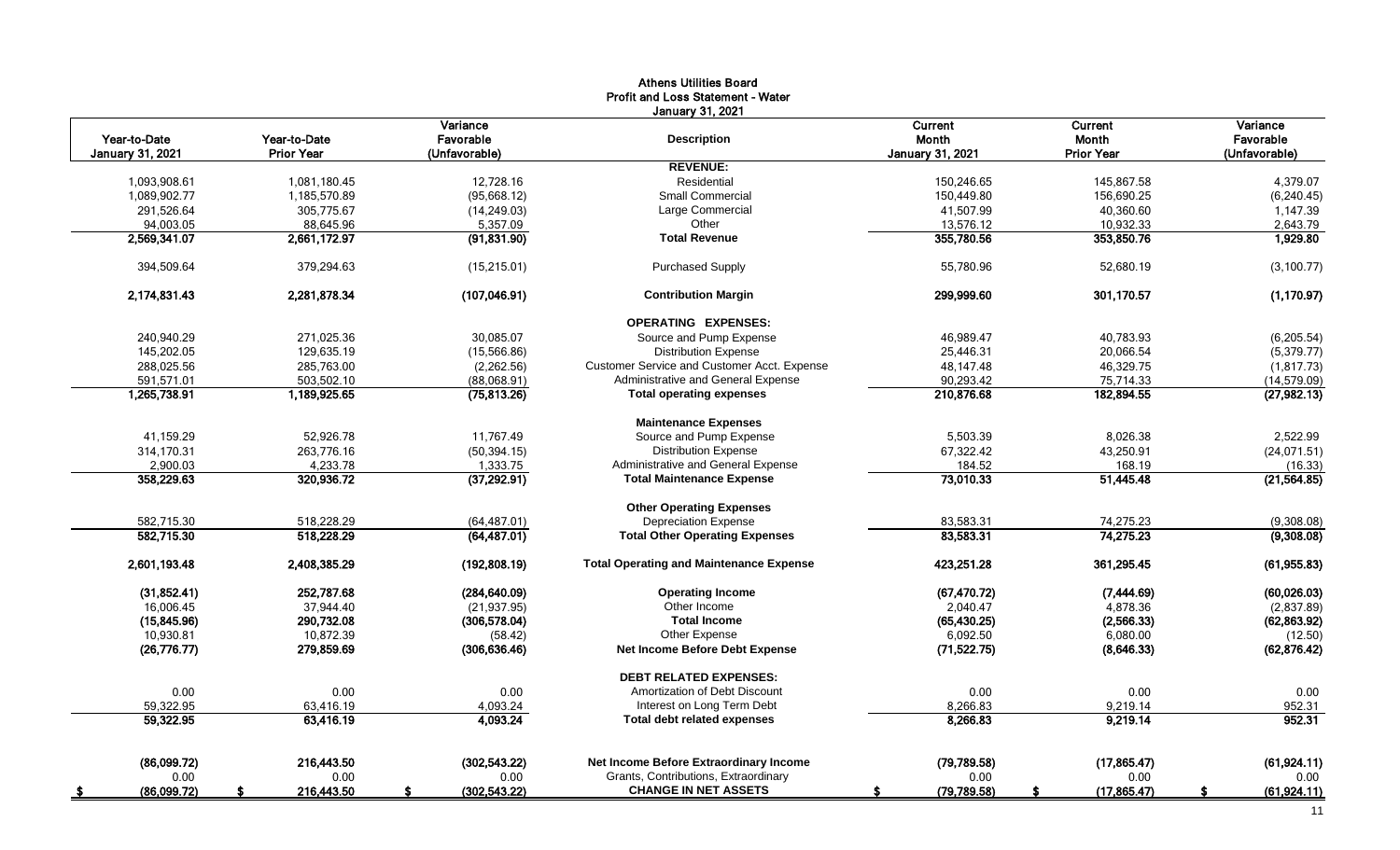|                         |                   |                     | <b>Athens Utilities Board</b><br>Profit and Loss Statement - Water |                         |                   |                    |
|-------------------------|-------------------|---------------------|--------------------------------------------------------------------|-------------------------|-------------------|--------------------|
|                         |                   |                     | January 31, 2021                                                   |                         |                   |                    |
|                         |                   | Variance            |                                                                    | Current                 | <b>Current</b>    | Variance           |
| Year-to-Date            | Year-to-Date      | Favorable           | <b>Description</b>                                                 | Month                   | <b>Month</b>      | Favorable          |
| <b>January 31, 2021</b> | <b>Prior Year</b> | (Unfavorable)       |                                                                    | <b>January 31, 2021</b> | <b>Prior Year</b> | (Unfavorable)      |
|                         |                   |                     | <b>REVENUE:</b>                                                    |                         |                   |                    |
| 1,093,908.61            | 1,081,180.45      | 12,728.16           | Residential                                                        | 150,246.65              | 145,867.58        | 4,379.07           |
| 1,089,902.77            | 1,185,570.89      | (95,668.12)         | <b>Small Commercial</b>                                            | 150,449.80              | 156,690.25        | (6, 240.45)        |
| 291,526.64              | 305,775.67        | (14, 249.03)        | Large Commercial                                                   | 41,507.99               | 40.360.60         | 1,147.39           |
| 94,003.05               | 88,645.96         | 5,357.09            | Other                                                              | 13,576.12               | 10,932.33         | 2,643.79           |
| 2,569,341.07            | 2,661,172.97      | (91, 831.90)        | <b>Total Revenue</b>                                               | 355,780.56              | 353,850.76        | 1,929.80           |
| 394,509.64              | 379,294.63        | (15, 215.01)        | <b>Purchased Supply</b>                                            | 55,780.96               | 52,680.19         | (3, 100.77)        |
| 2,174,831.43            | 2,281,878.34      | (107, 046.91)       | <b>Contribution Margin</b>                                         | 299,999.60              | 301,170.57        | (1, 170.97)        |
|                         |                   |                     | <b>OPERATING EXPENSES:</b>                                         |                         |                   |                    |
| 240,940.29              | 271,025.36        | 30,085.07           | Source and Pump Expense                                            | 46,989.47               | 40,783.93         | (6,205.54)         |
| 145,202.05              | 129.635.19        | (15, 566.86)        | <b>Distribution Expense</b>                                        | 25.446.31               | 20.066.54         | (5, 379.77)        |
| 288,025.56              | 285,763.00        | (2,262.56)          | Customer Service and Customer Acct. Expense                        | 48,147.48               | 46,329.75         | (1, 817.73)        |
| 591,571.01              | 503,502.10        | (88,068.91)         | Administrative and General Expense                                 | 90,293.42               | 75,714.33         | (14, 579.09)       |
| 1,265,738.91            | 1,189,925.65      | (75, 813.26)        | <b>Total operating expenses</b>                                    | 210,876.68              | 182,894.55        | (27, 982.13)       |
|                         |                   |                     | <b>Maintenance Expenses</b>                                        |                         |                   |                    |
| 41,159.29               | 52,926.78         | 11,767.49           | Source and Pump Expense                                            | 5,503.39                | 8,026.38          | 2,522.99           |
| 314,170.31              | 263,776.16        | (50, 394.15)        | <b>Distribution Expense</b>                                        | 67,322.42               | 43,250.91         | (24,071.51)        |
| 2,900.03                | 4,233.78          | 1,333.75            | Administrative and General Expense                                 | 184.52                  | 168.19            | (16.33)            |
| 358,229.63              | 320,936.72        | (37, 292.91)        | <b>Total Maintenance Expense</b>                                   | 73,010.33               | 51,445.48         | (21, 564.85)       |
|                         |                   |                     | <b>Other Operating Expenses</b>                                    |                         |                   |                    |
| 582,715.30              | 518,228.29        | (64, 487.01)        | <b>Depreciation Expense</b>                                        | 83,583.31               | 74,275.23         | (9,308.08)         |
| 582,715.30              | 518,228.29        | (64, 487.01)        | <b>Total Other Operating Expenses</b>                              | 83,583.31               | 74,275.23         | (9,308.08)         |
| 2,601,193.48            | 2,408,385.29      | (192,808.19)        | <b>Total Operating and Maintenance Expense</b>                     | 423,251.28              | 361,295.45        | (61, 955.83)       |
| (31, 852.41)            | 252,787.68        | (284, 640.09)       | <b>Operating Income</b>                                            | (67, 470.72)            | (7,444.69)        | (60,026.03)        |
| 16,006.45               | 37,944.40         | (21, 937.95)        | Other Income                                                       | 2,040.47                | 4,878.36          | (2,837.89)         |
| (15, 845.96)            | 290,732.08        | (306, 578.04)       | <b>Total Income</b>                                                | (65, 430.25)            | (2,566.33)        | (62, 863.92)       |
| 10.930.81               | 10.872.39         | (58.42)             | Other Expense                                                      | 6.092.50                | 6.080.00          | (12.50)            |
| (26, 776.77)            | 279,859.69        | (306, 636.46)       | <b>Net Income Before Debt Expense</b>                              | (71, 522.75)            | (8,646.33)        | (62, 876.42)       |
|                         |                   |                     | <b>DEBT RELATED EXPENSES:</b>                                      |                         |                   |                    |
| 0.00                    | 0.00              | 0.00                | Amortization of Debt Discount                                      | 0.00                    | 0.00              | 0.00               |
| 59,322.95               | 63,416.19         | 4,093.24            | Interest on Long Term Debt                                         | 8,266.83                | 9,219.14          | 952.31             |
| 59,322.95               | 63,416.19         | 4,093.24            | <b>Total debt related expenses</b>                                 | 8,266.83                | 9,219.14          | 952.31             |
|                         |                   |                     |                                                                    |                         |                   |                    |
| (86,099.72)             | 216.443.50        | (302,543.22)        | Net Income Before Extraordinary Income                             | (79.789.58)             | (17, 865.47)      | (61, 924.11)       |
| 0.00                    | 0.00              | 0.00                | Grants, Contributions, Extraordinary                               | 0.00                    | 0.00              | 0.00               |
| (86,099.72)<br>- 5      | 216,443.50<br>S   | \$<br>(302, 543.22) | <b>CHANGE IN NET ASSETS</b>                                        | (79, 789.58)<br>\$.     | (17,865.47)<br>\$ | -S<br>(61, 924.11) |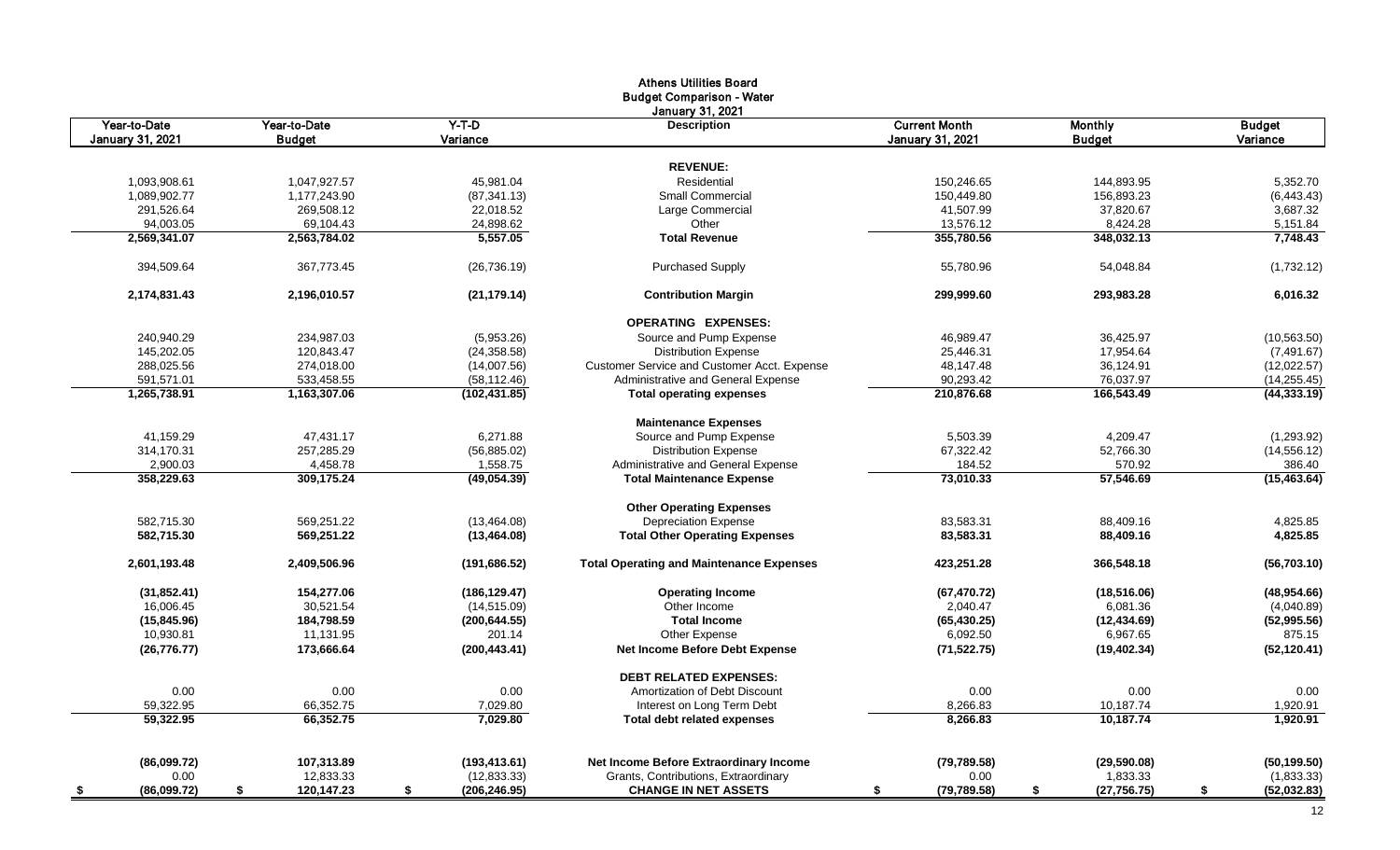|                     |                  |                     | <b>Athens Utilities Board</b>                   |                         |                    |                    |
|---------------------|------------------|---------------------|-------------------------------------------------|-------------------------|--------------------|--------------------|
|                     |                  |                     | <b>Budget Comparison - Water</b>                |                         |                    |                    |
| Year-to-Date        | Year-to-Date     | $Y-T-D$             | January 31, 2021<br><b>Description</b>          | <b>Current Month</b>    | <b>Monthly</b>     | <b>Budget</b>      |
| January 31, 2021    | <b>Budget</b>    | Variance            |                                                 | <b>January 31, 2021</b> | <b>Budget</b>      | Variance           |
|                     |                  |                     |                                                 |                         |                    |                    |
|                     |                  |                     | <b>REVENUE:</b>                                 |                         |                    |                    |
| 1,093,908.61        | 1,047,927.57     | 45,981.04           | Residential                                     | 150,246.65              | 144,893.95         | 5,352.70           |
| 1,089,902.77        | 1,177,243.90     | (87, 341.13)        | <b>Small Commercial</b>                         | 150,449.80              | 156,893.23         | (6, 443.43)        |
| 291,526.64          | 269,508.12       | 22,018.52           | Large Commercial                                | 41,507.99               | 37,820.67          | 3,687.32           |
| 94,003.05           | 69,104.43        | 24,898.62           | Other                                           | 13,576.12               | 8,424.28           | 5,151.84           |
| 2,569,341.07        | 2,563,784.02     | 5,557.05            | <b>Total Revenue</b>                            | 355,780.56              | 348,032.13         | 7,748.43           |
| 394,509.64          | 367,773.45       | (26, 736.19)        | <b>Purchased Supply</b>                         | 55,780.96               | 54,048.84          | (1,732.12)         |
| 2,174,831.43        | 2,196,010.57     | (21, 179.14)        | <b>Contribution Margin</b>                      | 299,999.60              | 293.983.28         | 6,016.32           |
|                     |                  |                     | <b>OPERATING EXPENSES:</b>                      |                         |                    |                    |
| 240,940.29          | 234,987.03       | (5,953.26)          | Source and Pump Expense                         | 46,989.47               | 36,425.97          | (10, 563.50)       |
| 145,202.05          | 120,843.47       | (24, 358.58)        | <b>Distribution Expense</b>                     | 25,446.31               | 17,954.64          | (7,491.67)         |
| 288,025.56          | 274,018.00       | (14,007.56)         | Customer Service and Customer Acct. Expense     | 48,147.48               | 36,124.91          | (12,022.57)        |
| 591,571.01          | 533,458.55       | (58, 112.46)        | Administrative and General Expense              | 90,293.42               | 76,037.97          | (14, 255.45)       |
| 1,265,738.91        | 1,163,307.06     | (102, 431.85)       | <b>Total operating expenses</b>                 | 210,876.68              | 166,543.49         | (44, 333.19)       |
|                     |                  |                     | <b>Maintenance Expenses</b>                     |                         |                    |                    |
| 41,159.29           | 47,431.17        | 6,271.88            | Source and Pump Expense                         | 5,503.39                | 4,209.47           | (1,293.92)         |
| 314,170.31          | 257,285.29       | (56, 885.02)        | <b>Distribution Expense</b>                     | 67,322.42               | 52,766.30          | (14, 556.12)       |
| 2,900.03            | 4,458.78         | 1,558.75            | Administrative and General Expense              | 184.52                  | 570.92             | 386.40             |
| 358.229.63          | 309,175.24       | (49,054.39)         | <b>Total Maintenance Expense</b>                | 73.010.33               | 57.546.69          | (15,463.64)        |
|                     |                  |                     | <b>Other Operating Expenses</b>                 |                         |                    |                    |
| 582,715.30          | 569,251.22       | (13, 464.08)        | <b>Depreciation Expense</b>                     | 83,583.31               | 88,409.16          | 4,825.85           |
| 582,715.30          | 569,251.22       | (13, 464.08)        | <b>Total Other Operating Expenses</b>           | 83,583.31               | 88,409.16          | 4,825.85           |
| 2,601,193.48        | 2,409,506.96     | (191, 686.52)       | <b>Total Operating and Maintenance Expenses</b> | 423,251.28              | 366,548.18         | (56, 703.10)       |
| (31, 852.41)        | 154,277.06       | (186, 129.47)       | <b>Operating Income</b>                         | (67, 470.72)            | (18, 516.06)       | (48,954.66)        |
| 16,006.45           | 30,521.54        | (14, 515.09)        | Other Income                                    | 2,040.47                | 6,081.36           | (4,040.89)         |
| (15, 845.96)        | 184,798.59       | (200, 644.55)       | <b>Total Income</b>                             | (65, 430.25)            | (12, 434.69)       | (52,995.56)        |
| 10,930.81           | 11,131.95        | 201.14              | Other Expense                                   | 6,092.50                | 6,967.65           | 875.15             |
| (26, 776.77)        | 173,666.64       | (200, 443.41)       | Net Income Before Debt Expense                  | (71, 522.75)            | (19, 402.34)       | (52, 120.41)       |
|                     |                  |                     | <b>DEBT RELATED EXPENSES:</b>                   |                         |                    |                    |
| 0.00                | 0.00             | 0.00                | Amortization of Debt Discount                   | 0.00                    | 0.00               | 0.00               |
| 59,322.95           | 66,352.75        | 7,029.80            | Interest on Long Term Debt                      | 8,266.83                | 10,187.74          | 1,920.91           |
| 59,322.95           | 66,352.75        | 7,029.80            | <b>Total debt related expenses</b>              | 8,266.83                | 10,187.74          | 1,920.91           |
| (86,099.72)         | 107,313.89       | (193, 413.61)       | Net Income Before Extraordinary Income          | (79, 789.58)            | (29, 590.08)       | (50, 199.50)       |
| 0.00                | 12,833.33        | (12, 833.33)        | Grants, Contributions, Extraordinary            | 0.00                    | 1,833.33           | (1,833.33)         |
| (86,099.72)<br>- \$ | 120,147.23<br>\$ | \$<br>(206, 246.95) | <b>CHANGE IN NET ASSETS</b>                     | (79, 789.58)<br>\$      | (27, 756.75)<br>\$ | \$<br>(52, 032.83) |
|                     |                  |                     |                                                 |                         |                    |                    |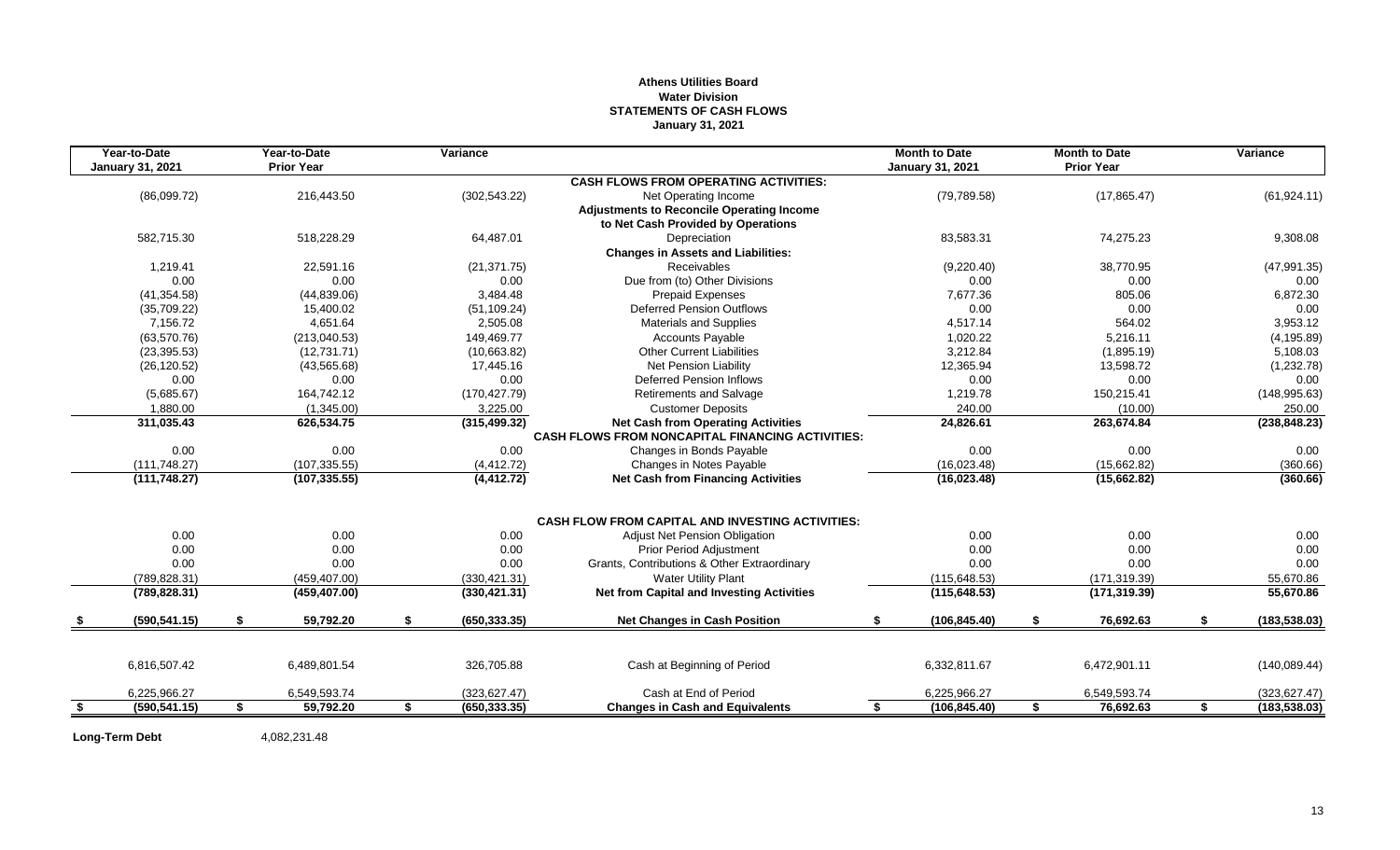## **Athens Utilities Board Water Division STATEMENTS OF CASH FLOWS January 31, 2021**

|     | Year-to-Date            |    | Year-to-Date      | Variance            |                                                         | <b>Month to Date</b>    |    | <b>Month to Date</b> |    | Variance      |
|-----|-------------------------|----|-------------------|---------------------|---------------------------------------------------------|-------------------------|----|----------------------|----|---------------|
|     | <b>January 31, 2021</b> |    | <b>Prior Year</b> |                     |                                                         | <b>January 31, 2021</b> |    | <b>Prior Year</b>    |    |               |
|     |                         |    |                   |                     | <b>CASH FLOWS FROM OPERATING ACTIVITIES:</b>            |                         |    |                      |    |               |
|     | (86,099.72)             |    | 216,443.50        | (302, 543.22)       | Net Operating Income                                    | (79, 789.58)            |    | (17, 865.47)         |    | (61, 924.11)  |
|     |                         |    |                   |                     | <b>Adjustments to Reconcile Operating Income</b>        |                         |    |                      |    |               |
|     |                         |    |                   |                     | to Net Cash Provided by Operations                      |                         |    |                      |    |               |
|     | 582,715.30              |    | 518,228.29        | 64,487.01           | Depreciation                                            | 83,583.31               |    | 74,275.23            |    | 9,308.08      |
|     |                         |    |                   |                     | <b>Changes in Assets and Liabilities:</b>               |                         |    |                      |    |               |
|     | 1,219.41                |    | 22.591.16         | (21, 371.75)        | Receivables                                             | (9,220.40)              |    | 38,770.95            |    | (47, 991.35)  |
|     | 0.00                    |    | 0.00              | 0.00                | Due from (to) Other Divisions                           | 0.00                    |    | 0.00                 |    | 0.00          |
|     | (41, 354.58)            |    | (44, 839.06)      | 3,484.48            | <b>Prepaid Expenses</b>                                 | 7,677.36                |    | 805.06               |    | 6,872.30      |
|     | (35,709.22)             |    | 15,400.02         | (51, 109.24)        | <b>Deferred Pension Outflows</b>                        | 0.00                    |    | 0.00                 |    | 0.00          |
|     | 7,156.72                |    | 4,651.64          | 2,505.08            | <b>Materials and Supplies</b>                           | 4,517.14                |    | 564.02               |    | 3,953.12      |
|     | (63,570.76)             |    | (213,040.53)      | 149,469.77          | <b>Accounts Payable</b>                                 | 1,020.22                |    | 5,216.11             |    | (4, 195.89)   |
|     | (23, 395.53)            |    | (12,731.71)       | (10,663.82)         | <b>Other Current Liabilities</b>                        | 3.212.84                |    | (1,895.19)           |    | 5,108.03      |
|     | (26, 120.52)            |    | (43, 565.68)      | 17,445.16           | Net Pension Liability                                   | 12,365.94               |    | 13,598.72            |    | (1,232.78)    |
|     | 0.00                    |    | 0.00              | 0.00                | <b>Deferred Pension Inflows</b>                         | 0.00                    |    | 0.00                 |    | 0.00          |
|     | (5,685.67)              |    | 164,742.12        | (170, 427.79)       | <b>Retirements and Salvage</b>                          | 1,219.78                |    | 150,215.41           |    | (148, 995.63) |
|     | 1,880.00                |    | (1,345.00)        | 3,225.00            | <b>Customer Deposits</b>                                | 240.00                  |    | (10.00)              |    | 250.00        |
|     | 311,035.43              |    | 626,534.75        | (315, 499.32)       | <b>Net Cash from Operating Activities</b>               | 24,826.61               |    | 263,674.84           |    | (238, 848.23) |
|     |                         |    |                   |                     | <b>CASH FLOWS FROM NONCAPITAL FINANCING ACTIVITIES:</b> |                         |    |                      |    |               |
|     | 0.00                    |    | 0.00              | 0.00                | Changes in Bonds Payable                                | 0.00                    |    | 0.00                 |    | 0.00          |
|     | (111, 748.27)           |    | (107, 335.55)     | (4, 412.72)         | Changes in Notes Payable                                | (16,023.48)             |    | (15,662.82)          |    | (360.66)      |
|     | (111, 748.27)           |    | (107, 335.55)     | (4, 412.72)         | <b>Net Cash from Financing Activities</b>               | (16,023.48)             |    | (15,662.82)          |    | (360.66)      |
|     |                         |    |                   |                     | <b>CASH FLOW FROM CAPITAL AND INVESTING ACTIVITIES:</b> |                         |    |                      |    |               |
|     | 0.00                    |    | 0.00              | 0.00                | Adjust Net Pension Obligation                           | 0.00                    |    | 0.00                 |    | 0.00          |
|     | 0.00                    |    | 0.00              | 0.00                | Prior Period Adjustment                                 | 0.00                    |    | 0.00                 |    | 0.00          |
|     | 0.00                    |    | 0.00              | 0.00                | Grants, Contributions & Other Extraordinary             | 0.00                    |    | 0.00                 |    | 0.00          |
|     | (789, 828.31)           |    | (459, 407.00)     | (330, 421.31)       | <b>Water Utility Plant</b>                              | (115, 648.53)           |    | (171, 319.39)        |    | 55,670.86     |
|     | (789, 828.31)           |    | (459, 407.00)     | (330, 421.31)       | <b>Net from Capital and Investing Activities</b>        | (115, 648.53)           |    | (171, 319.39)        |    | 55,670.86     |
|     | (590, 541.15)           | S. | 59,792.20         | \$<br>(650, 333.35) | <b>Net Changes in Cash Position</b>                     | \$<br>(106, 845.40)     | \$ | 76,692.63            | \$ | (183, 538.03) |
|     |                         |    |                   |                     |                                                         |                         |    |                      |    |               |
|     | 6,816,507.42            |    | 6,489,801.54      | 326,705.88          | Cash at Beginning of Period                             | 6,332,811.67            |    | 6,472,901.11         |    | (140, 089.44) |
|     | 6,225,966.27            |    | 6,549,593.74      | (323, 627.47)       | Cash at End of Period                                   | 6,225,966.27            |    | 6,549,593.74         |    | (323, 627.47) |
| -\$ | (590, 541.15)           | \$ | 59,792.20         | \$<br>(650, 333.35) | <b>Changes in Cash and Equivalents</b>                  | \$<br>(106, 845.40)     | S. | 76,692.63            | S. | (183, 538.03) |

Long-Term Debt 4,082,231.48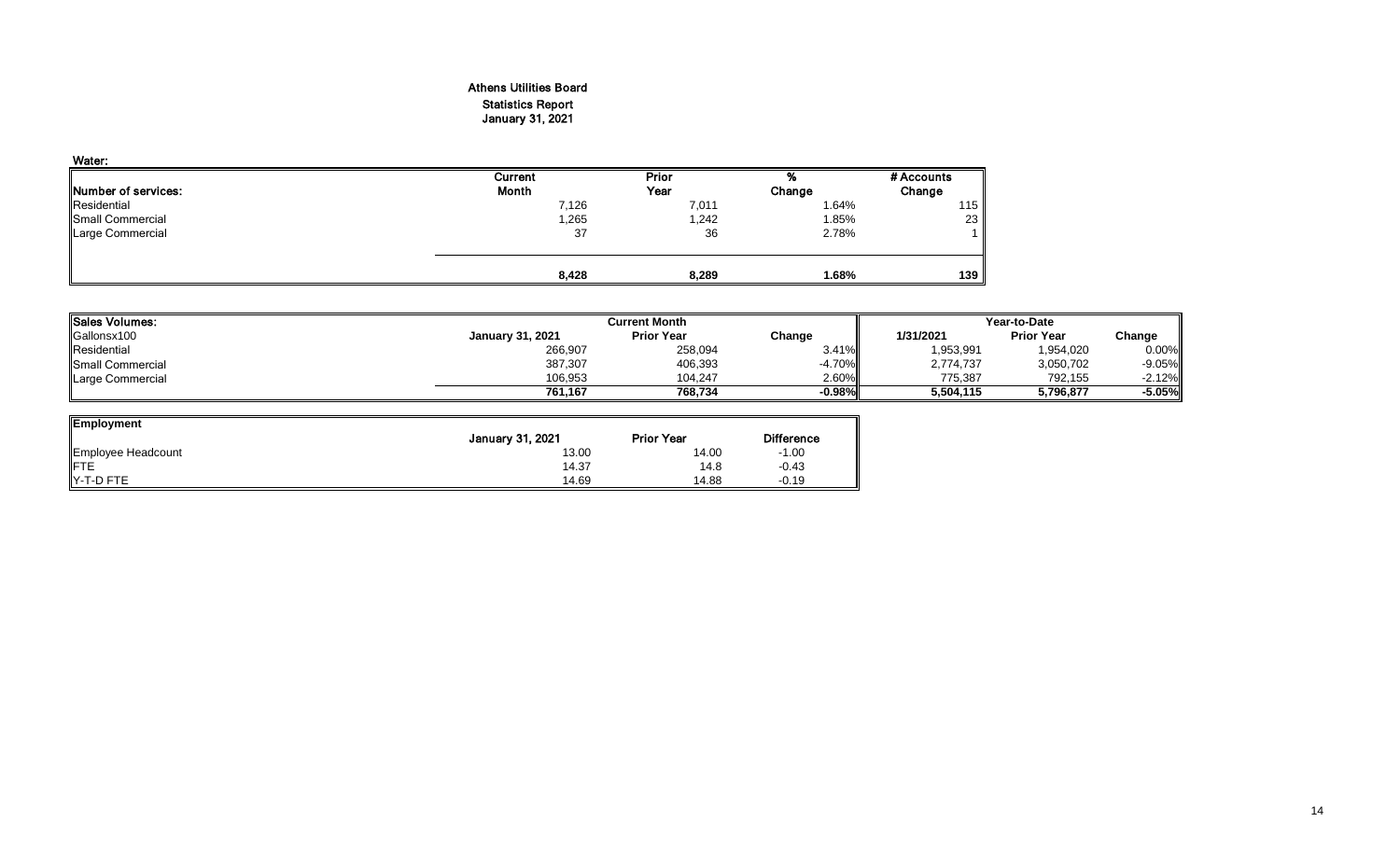## Athens Utilities Board Statistics Report January 31, 2021

| Water:                      |         |       |        |            |
|-----------------------------|---------|-------|--------|------------|
|                             | Current | Prior | %      | # Accounts |
| <b>INumber of services:</b> | Month   | Year  | Change | Change     |
| Residential                 | 7,126   | 7,011 | 1.64%  | 115        |
| Small Commercial            | .265    | 1,242 | 1.85%  | 23         |
| Large Commercial            | 37      | 36    | 2.78%  |            |
|                             |         |       |        |            |
|                             | 8,428   | 8,289 | 1.68%  | 139        |

| Sales Volumes:          |                         | <b>Current Month</b> |          | Year-to-Date |                   |          |  |
|-------------------------|-------------------------|----------------------|----------|--------------|-------------------|----------|--|
| Gallonsx100             | <b>January 31, 2021</b> | <b>Prior Year</b>    | Change   | 1/31/2021    | <b>Prior Year</b> | Change   |  |
| Residential             | 266,907                 | 258,094              | 3.41%    | 1,953,991    | 1,954,020         | 0.00%    |  |
| <b>Small Commercial</b> | 387,307                 | 406,393              | $-4.70%$ | 2.774.737    | 3,050,702         | $-9.05%$ |  |
| Large Commercial        | 106,953                 | 104.247              | 2.60%    | 775,387      | 792.155           | $-2.12%$ |  |
|                         | 761.167                 | 768.734              | $-0.98%$ | 5,504,115    | 5,796,877         | -5.05%   |  |

| <b>Employment</b>  |                         |                   |                   |
|--------------------|-------------------------|-------------------|-------------------|
|                    | <b>January 31, 2021</b> | <b>Prior Year</b> | <b>Difference</b> |
| Employee Headcount | 13.00                   | 14.00             | $-1.00$           |
| <b>FTE</b>         | 14.37                   | 14.8              | $-0.43$           |
| <b>IY-T-D FTE</b>  | 14.69                   | 14.88             | $-0.19$           |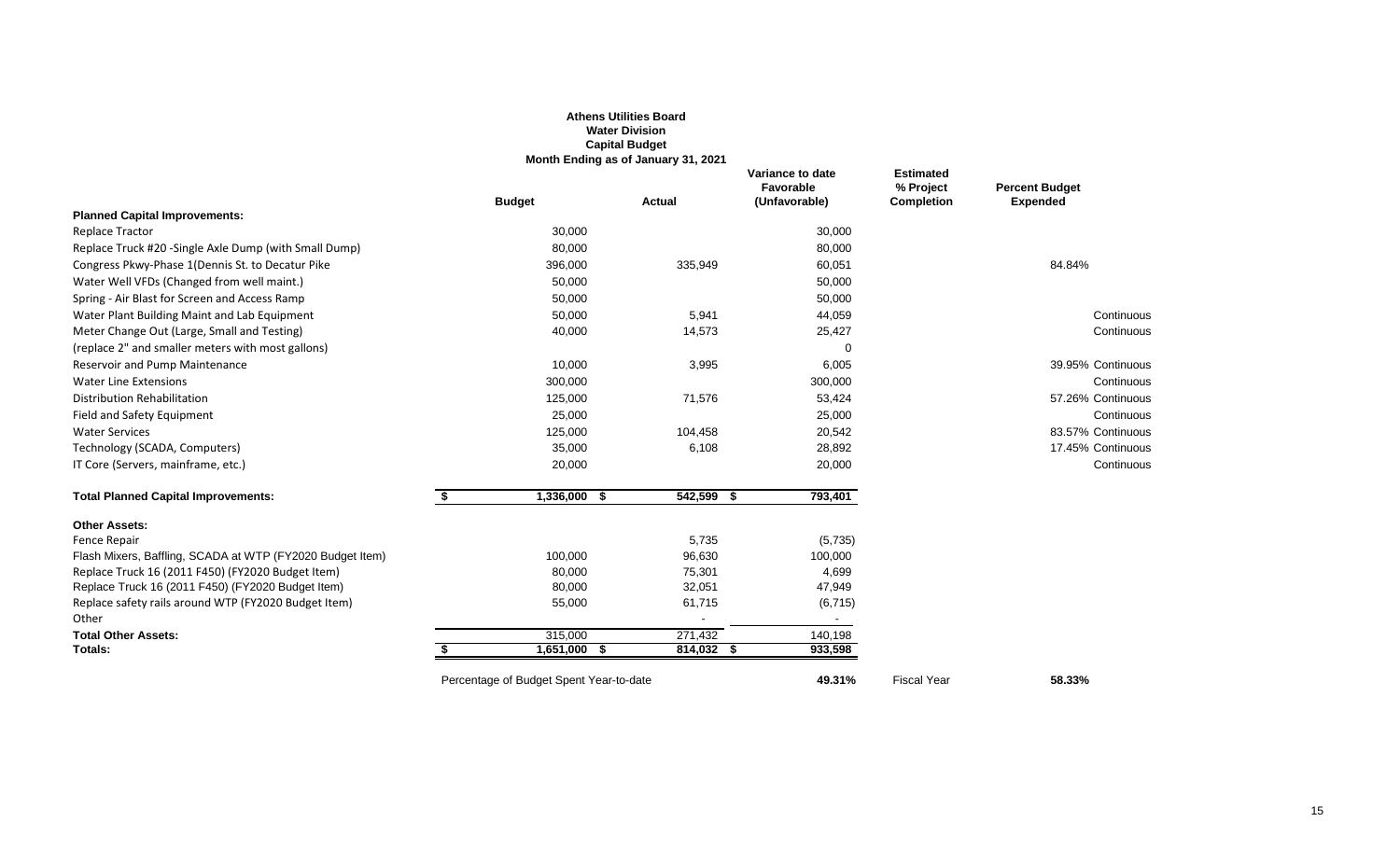|                                                               |                                         | <b>Athens Utilities Board</b><br><b>Water Division</b><br><b>Capital Budget</b><br>Month Ending as of January 31, 2021 |                                                |                                                    |                                          |
|---------------------------------------------------------------|-----------------------------------------|------------------------------------------------------------------------------------------------------------------------|------------------------------------------------|----------------------------------------------------|------------------------------------------|
|                                                               | <b>Budget</b>                           | <b>Actual</b>                                                                                                          | Variance to date<br>Favorable<br>(Unfavorable) | <b>Estimated</b><br>% Project<br><b>Completion</b> | <b>Percent Budget</b><br><b>Expended</b> |
| <b>Planned Capital Improvements:</b>                          |                                         |                                                                                                                        |                                                |                                                    |                                          |
| <b>Replace Tractor</b>                                        | 30,000                                  |                                                                                                                        | 30,000                                         |                                                    |                                          |
| Replace Truck #20 -Single Axle Dump (with Small Dump)         | 80,000                                  |                                                                                                                        | 80,000                                         |                                                    |                                          |
| Congress Pkwy-Phase 1 (Dennis St. to Decatur Pike             | 396,000                                 | 335,949                                                                                                                | 60,051                                         |                                                    | 84.84%                                   |
| Water Well VFDs (Changed from well maint.)                    | 50,000                                  |                                                                                                                        | 50,000                                         |                                                    |                                          |
| Spring - Air Blast for Screen and Access Ramp                 | 50,000                                  |                                                                                                                        | 50,000                                         |                                                    |                                          |
| Water Plant Building Maint and Lab Equipment                  | 50,000                                  | 5,941                                                                                                                  | 44,059                                         |                                                    | Continuous                               |
| Meter Change Out (Large, Small and Testing)                   | 40,000                                  | 14,573                                                                                                                 | 25,427                                         |                                                    | Continuous                               |
| (replace 2" and smaller meters with most gallons)             |                                         |                                                                                                                        | $\Omega$                                       |                                                    |                                          |
| Reservoir and Pump Maintenance                                | 10,000                                  | 3,995                                                                                                                  | 6,005                                          |                                                    | 39.95% Continuous                        |
| <b>Water Line Extensions</b>                                  | 300,000                                 |                                                                                                                        | 300,000                                        |                                                    | Continuous                               |
| Distribution Rehabilitation                                   | 125,000                                 | 71,576                                                                                                                 | 53,424                                         |                                                    | 57.26% Continuous                        |
| Field and Safety Equipment                                    | 25,000                                  |                                                                                                                        | 25,000                                         |                                                    | Continuous                               |
| <b>Water Services</b>                                         | 125,000                                 | 104,458                                                                                                                | 20,542                                         |                                                    | 83.57% Continuous                        |
| Technology (SCADA, Computers)                                 | 35,000                                  | 6,108                                                                                                                  | 28,892                                         |                                                    | 17.45% Continuous                        |
| IT Core (Servers, mainframe, etc.)                            | 20,000                                  |                                                                                                                        | 20,000                                         |                                                    | Continuous                               |
| <b>Total Planned Capital Improvements:</b>                    | \$<br>1,336,000 \$                      | 542,599 \$                                                                                                             | 793,401                                        |                                                    |                                          |
| <b>Other Assets:</b>                                          |                                         |                                                                                                                        |                                                |                                                    |                                          |
| Fence Repair                                                  |                                         | 5,735                                                                                                                  | (5,735)                                        |                                                    |                                          |
| Flash Mixers, Baffling, SCADA at WTP (FY2020 Budget Item)     | 100,000                                 | 96,630                                                                                                                 | 100,000                                        |                                                    |                                          |
| Replace Truck 16 (2011 F450) (FY2020 Budget Item)             | 80,000                                  | 75,301                                                                                                                 | 4,699                                          |                                                    |                                          |
| Replace Truck 16 (2011 F450) (FY2020 Budget Item)             | 80,000                                  | 32,051                                                                                                                 | 47,949                                         |                                                    |                                          |
| Replace safety rails around WTP (FY2020 Budget Item)<br>Other | 55,000                                  | 61,715                                                                                                                 | (6, 715)                                       |                                                    |                                          |
| <b>Total Other Assets:</b>                                    | 315,000                                 | 271,432                                                                                                                | 140,198                                        |                                                    |                                          |
| Totals:                                                       | $1,651,000$ \$                          | $814,032$ \$                                                                                                           | 933,598                                        |                                                    |                                          |
|                                                               | Percentage of Budget Spent Year-to-date |                                                                                                                        | 49.31%                                         | <b>Fiscal Year</b>                                 | 58.33%                                   |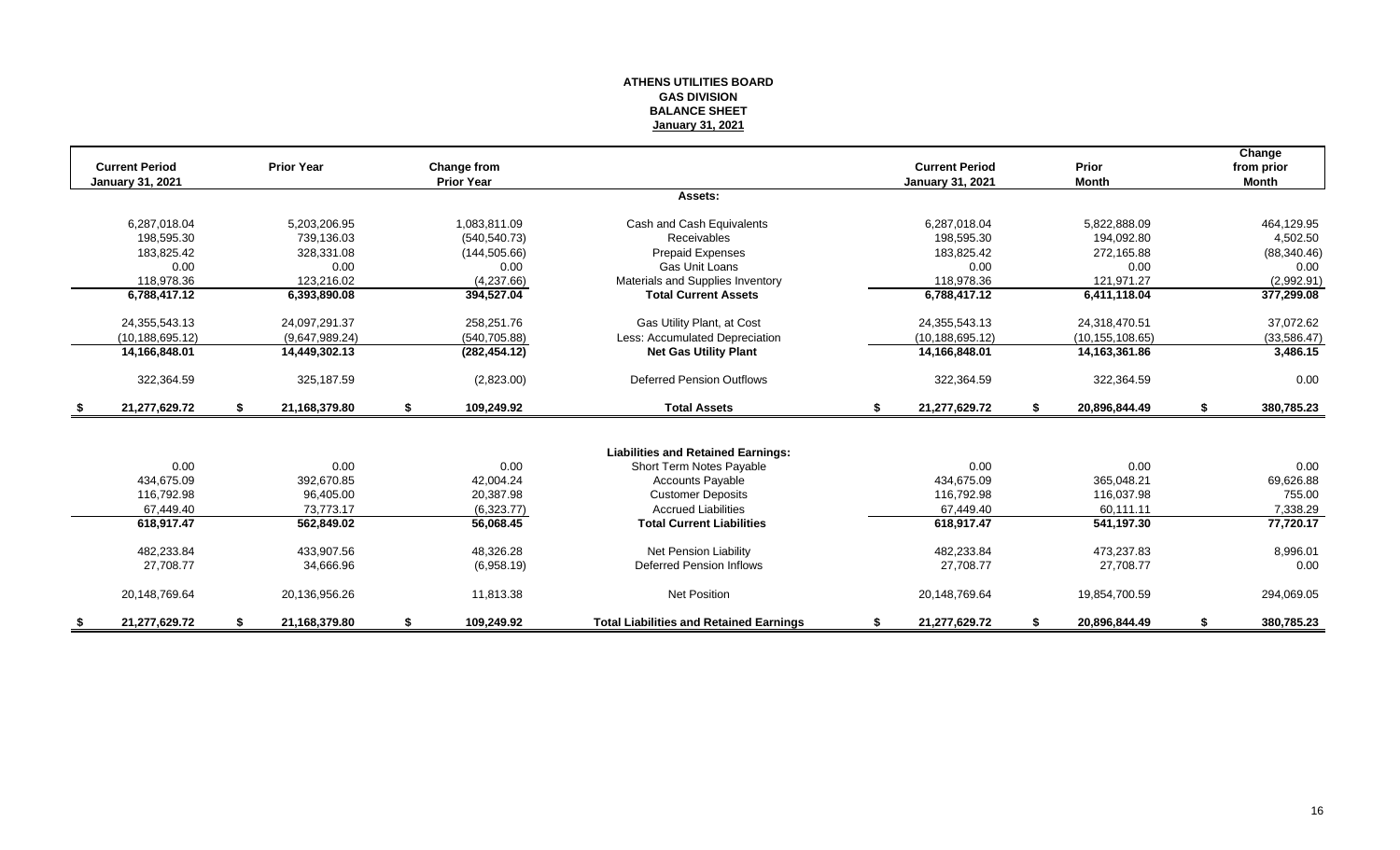#### **ATHENS UTILITIES BOARD GAS DIVISION BALANCE SHEET January 31, 2021**

| <b>Current Period</b>   |    | <b>Prior Year</b> |    | <b>Change from</b> |                                                |    | <b>Current Period</b>   |     | Prior             | Change<br>from prior |
|-------------------------|----|-------------------|----|--------------------|------------------------------------------------|----|-------------------------|-----|-------------------|----------------------|
| <b>January 31, 2021</b> |    |                   |    | <b>Prior Year</b>  |                                                |    | <b>January 31, 2021</b> |     | <b>Month</b>      | <b>Month</b>         |
|                         |    |                   |    |                    | Assets:                                        |    |                         |     |                   |                      |
| 6,287,018.04            |    | 5,203,206.95      |    | 1,083,811.09       | Cash and Cash Equivalents                      |    | 6,287,018.04            |     | 5,822,888.09      | 464,129.95           |
| 198.595.30              |    | 739.136.03        |    | (540.540.73)       | Receivables                                    |    | 198.595.30              |     | 194,092.80        | 4,502.50             |
| 183,825.42              |    | 328,331.08        |    | (144, 505.66)      | <b>Prepaid Expenses</b>                        |    | 183,825.42              |     | 272,165.88        | (88, 340.46)         |
| 0.00                    |    | 0.00              |    | 0.00               | Gas Unit Loans                                 |    | 0.00                    |     | 0.00              | 0.00                 |
| 118,978.36              |    | 123,216.02        |    | (4,237.66)         | Materials and Supplies Inventory               |    | 118,978.36              |     | 121,971.27        | (2,992.91)           |
| 6,788,417.12            |    | 6,393,890.08      |    | 394,527.04         | <b>Total Current Assets</b>                    |    | 6,788,417.12            |     | 6,411,118.04      | 377,299.08           |
| 24,355,543.13           |    | 24,097,291.37     |    | 258,251.76         | Gas Utility Plant, at Cost                     |    | 24, 355, 543. 13        |     | 24,318,470.51     | 37,072.62            |
| (10, 188, 695.12)       |    | (9,647,989.24)    |    | (540, 705.88)      | Less: Accumulated Depreciation                 |    | (10, 188, 695, 12)      |     | (10, 155, 108.65) | (33,586.47)          |
| 14,166,848.01           |    | 14,449,302.13     |    | (282, 454.12)      | <b>Net Gas Utility Plant</b>                   |    | 14,166,848.01           |     | 14, 163, 361.86   | 3,486.15             |
| 322,364.59              |    | 325,187.59        |    | (2,823.00)         | <b>Deferred Pension Outflows</b>               |    | 322,364.59              |     | 322,364.59        | 0.00                 |
| \$<br>21,277,629.72     | S. | 21,168,379.80     | \$ | 109,249.92         | <b>Total Assets</b>                            | \$ | 21,277,629.72           | -S. | 20,896,844.49     | \$<br>380,785.23     |
|                         |    |                   |    |                    |                                                |    |                         |     |                   |                      |
|                         |    |                   |    |                    | <b>Liabilities and Retained Earnings:</b>      |    |                         |     |                   |                      |
| 0.00                    |    | 0.00              |    | 0.00               | Short Term Notes Payable                       |    | 0.00                    |     | 0.00              | 0.00                 |
| 434,675.09              |    | 392,670.85        |    | 42,004.24          | <b>Accounts Payable</b>                        |    | 434.675.09              |     | 365,048.21        | 69,626.88            |
| 116.792.98              |    | 96,405.00         |    | 20,387.98          | <b>Customer Deposits</b>                       |    | 116,792.98              |     | 116,037.98        | 755.00               |
| 67,449.40               |    | 73,773.17         |    | (6,323.77)         | <b>Accrued Liabilities</b>                     |    | 67,449.40               |     | 60,111.11         | 7,338.29             |
| 618,917.47              |    | 562,849.02        |    | 56,068.45          | <b>Total Current Liabilities</b>               |    | 618,917.47              |     | 541,197.30        | 77,720.17            |
| 482,233.84              |    | 433,907.56        |    | 48,326.28          | <b>Net Pension Liability</b>                   |    | 482,233.84              |     | 473,237.83        | 8,996.01             |
| 27,708.77               |    | 34,666.96         |    | (6,958.19)         | Deferred Pension Inflows                       |    | 27,708.77               |     | 27,708.77         | 0.00                 |
| 20,148,769.64           |    | 20,136,956.26     |    | 11,813.38          | <b>Net Position</b>                            |    | 20,148,769.64           |     | 19,854,700.59     | 294,069.05           |
| 21.277.629.72           |    | 21,168,379.80     | S  | 109,249.92         | <b>Total Liabilities and Retained Earnings</b> | S  | 21,277,629.72           |     | 20,896,844.49     | 380,785.23           |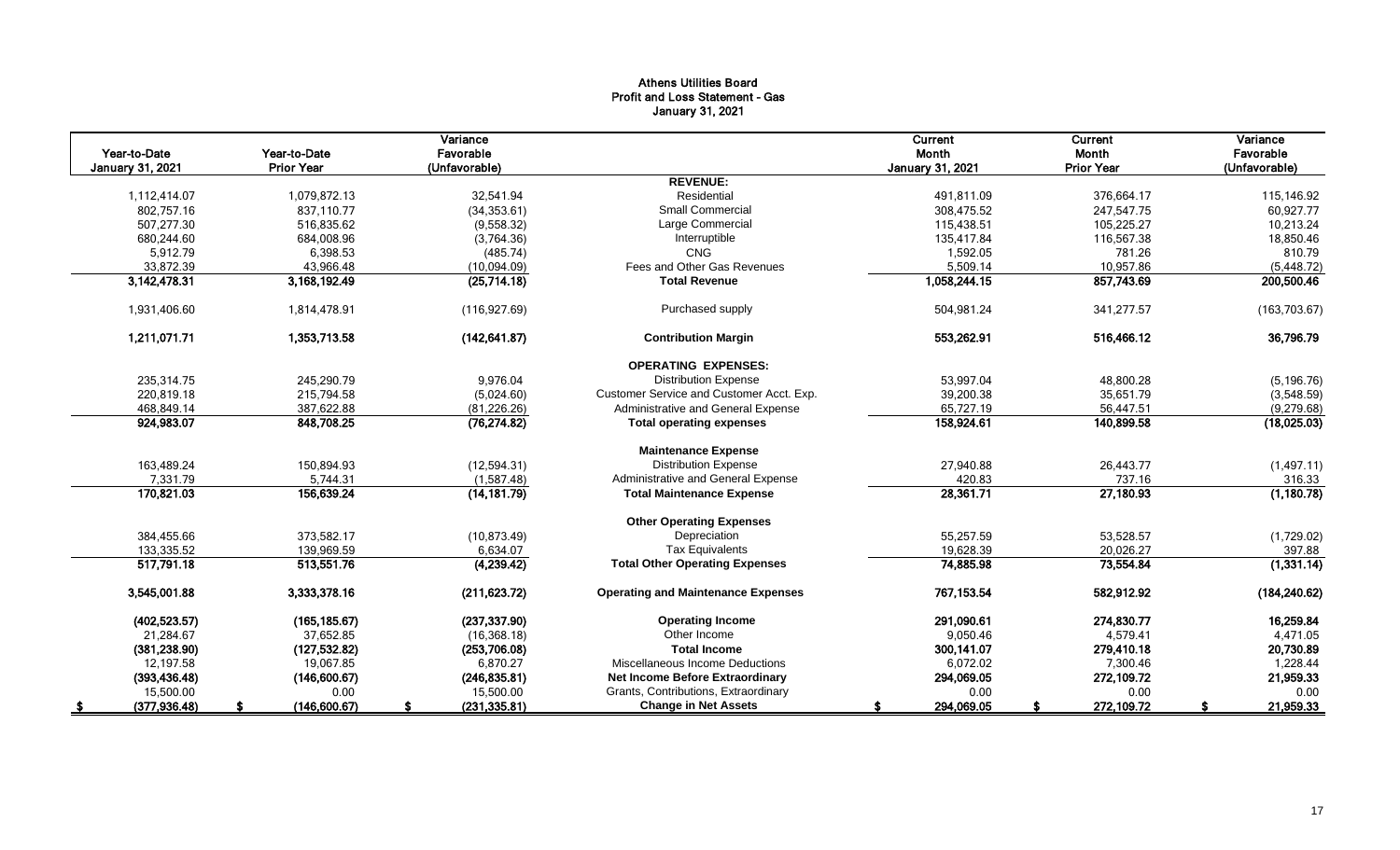## Athens Utilities Board Profit and Loss Statement - Gas January 31, 2021

|                         |                   | Variance      |                                           | Current                 | Current           | Variance      |
|-------------------------|-------------------|---------------|-------------------------------------------|-------------------------|-------------------|---------------|
| Year-to-Date            | Year-to-Date      | Favorable     |                                           | Month                   | Month             | Favorable     |
| <b>January 31, 2021</b> | <b>Prior Year</b> | (Unfavorable) |                                           | <b>January 31, 2021</b> | <b>Prior Year</b> | (Unfavorable) |
|                         |                   |               | <b>REVENUE:</b>                           |                         |                   |               |
| 1,112,414.07            | 1,079,872.13      | 32,541.94     | Residential                               | 491,811.09              | 376,664.17        | 115,146.92    |
| 802,757.16              | 837.110.77        | (34, 353.61)  | <b>Small Commercial</b>                   | 308,475.52              | 247,547.75        | 60,927.77     |
| 507,277.30              | 516,835.62        | (9,558.32)    | Large Commercial                          | 115,438.51              | 105,225.27        | 10,213.24     |
| 680.244.60              | 684,008.96        | (3,764.36)    | Interruptible                             | 135,417.84              | 116,567.38        | 18,850.46     |
| 5,912.79                | 6,398.53          | (485.74)      | <b>CNG</b>                                | 1,592.05                | 781.26            | 810.79        |
| 33,872.39               | 43,966.48         | (10,094.09)   | Fees and Other Gas Revenues               | 5,509.14                | 10,957.86         | (5,448.72)    |
| 3,142,478.31            | 3,168,192.49      | (25,714.18)   | <b>Total Revenue</b>                      | 1,058,244.15            | 857,743.69        | 200,500.46    |
| 1,931,406.60            | 1,814,478.91      | (116, 927.69) | Purchased supply                          | 504,981.24              | 341,277.57        | (163, 703.67) |
| 1,211,071.71            | 1,353,713.58      | (142, 641.87) | <b>Contribution Margin</b>                | 553,262.91              | 516,466.12        | 36,796.79     |
|                         |                   |               | <b>OPERATING EXPENSES:</b>                |                         |                   |               |
| 235,314.75              | 245,290.79        | 9,976.04      | <b>Distribution Expense</b>               | 53,997.04               | 48,800.28         | (5, 196.76)   |
| 220,819.18              | 215,794.58        | (5,024.60)    | Customer Service and Customer Acct. Exp.  | 39.200.38               | 35,651.79         | (3,548.59)    |
| 468,849.14              | 387,622.88        | (81, 226.26)  | Administrative and General Expense        | 65,727.19               | 56,447.51         | (9, 279.68)   |
| 924,983.07              | 848,708.25        | (76, 274.82)  | <b>Total operating expenses</b>           | 158,924.61              | 140,899.58        | (18,025.03)   |
|                         |                   |               | <b>Maintenance Expense</b>                |                         |                   |               |
| 163,489.24              | 150,894.93        | (12, 594.31)  | <b>Distribution Expense</b>               | 27,940.88               | 26,443.77         | (1,497.11)    |
| 7,331.79                | 5,744.31          | (1,587.48)    | Administrative and General Expense        | 420.83                  | 737.16            | 316.33        |
| 170,821.03              | 156,639.24        | (14, 181.79)  | <b>Total Maintenance Expense</b>          | 28,361.71               | 27,180.93         | (1, 180.78)   |
|                         |                   |               | <b>Other Operating Expenses</b>           |                         |                   |               |
| 384,455.66              | 373,582.17        | (10, 873.49)  | Depreciation                              | 55,257.59               | 53,528.57         | (1,729.02)    |
| 133.335.52              | 139.969.59        | 6.634.07      | <b>Tax Equivalents</b>                    | 19,628.39               | 20.026.27         | 397.88        |
| 517,791.18              | 513,551.76        | (4,239.42)    | <b>Total Other Operating Expenses</b>     | 74,885.98               | 73,554.84         | (1,331.14)    |
| 3,545,001.88            | 3,333,378.16      | (211, 623.72) | <b>Operating and Maintenance Expenses</b> | 767, 153.54             | 582,912.92        | (184, 240.62) |
| (402, 523.57)           | (165, 185.67)     | (237, 337.90) | <b>Operating Income</b>                   | 291,090.61              | 274,830.77        | 16,259.84     |
| 21,284.67               | 37,652.85         | (16, 368.18)  | Other Income                              | 9,050.46                | 4,579.41          | 4,471.05      |
| (381, 238.90)           | (127, 532.82)     | (253, 706.08) | <b>Total Income</b>                       | 300, 141.07             | 279,410.18        | 20,730.89     |
| 12,197.58               | 19,067.85         | 6,870.27      | Miscellaneous Income Deductions           | 6,072.02                | 7,300.46          | 1,228.44      |
| (393, 436.48)           | (146,600.67)      | (246, 835.81) | <b>Net Income Before Extraordinary</b>    | 294,069.05              | 272,109.72        | 21,959.33     |
| 15,500.00               | 0.00              | 15,500.00     | Grants, Contributions, Extraordinary      | 0.00                    | 0.00              | 0.00          |
| (377, 936.48)           | (146,600.67)      | (231, 335.81) | <b>Change in Net Assets</b>               | 294,069.05              | 272,109.72        | 21,959.33     |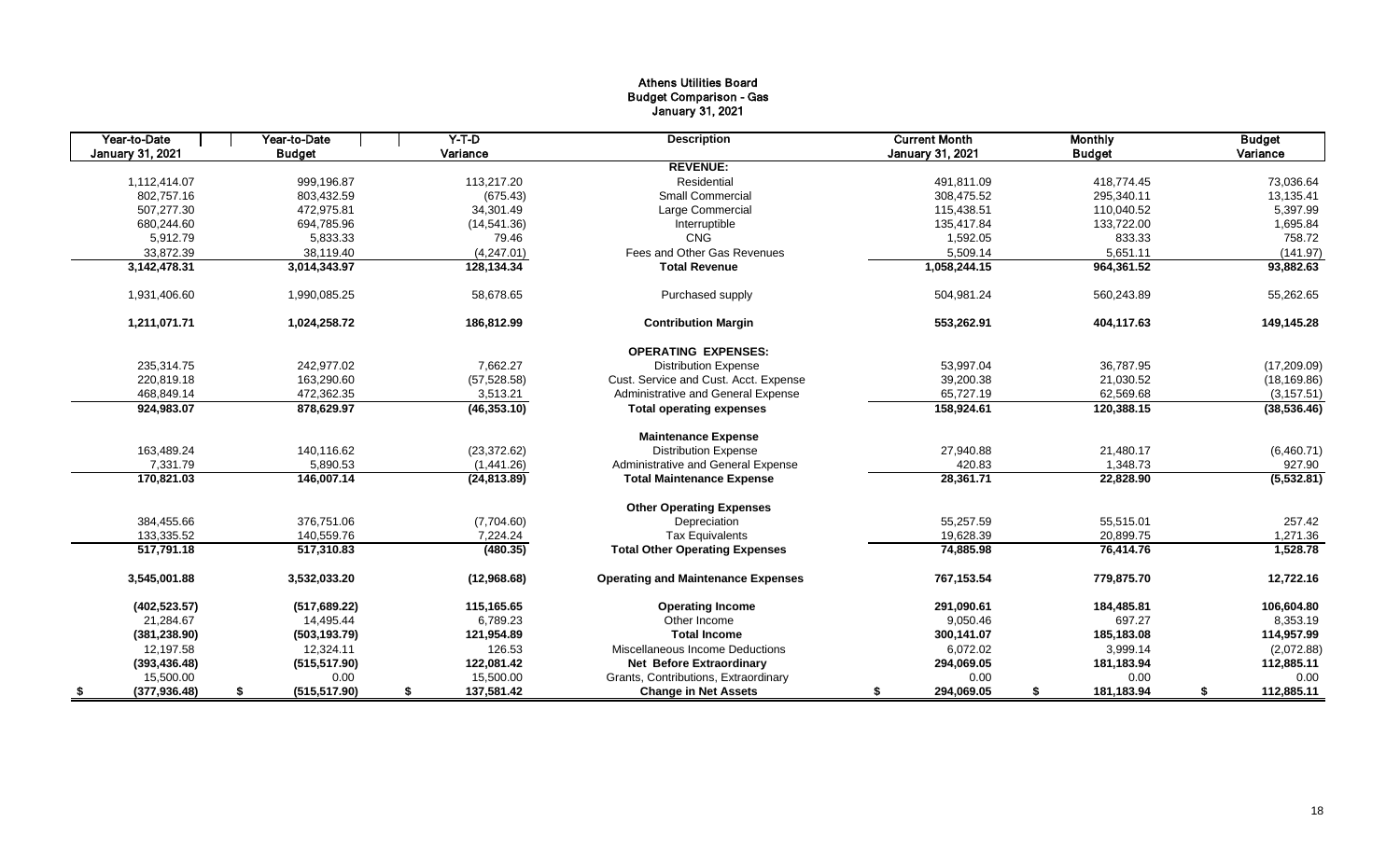## Athens Utilities Board Budget Comparison - Gas January 31, 2021

| Year-to-Date     | Year-to-Date        | $Y-T$ -D         | <b>Description</b>                        | <b>Current Month</b>    | <b>Monthly</b>   | <b>Budget</b>    |
|------------------|---------------------|------------------|-------------------------------------------|-------------------------|------------------|------------------|
| January 31, 2021 | <b>Budget</b>       | Variance         |                                           | <b>January 31, 2021</b> | <b>Budget</b>    | Variance         |
|                  |                     |                  | <b>REVENUE:</b>                           |                         |                  |                  |
| 1.112.414.07     | 999.196.87          | 113.217.20       | Residential                               | 491.811.09              | 418.774.45       | 73,036.64        |
| 802,757.16       | 803,432.59          | (675.43)         | <b>Small Commercial</b>                   | 308,475.52              | 295,340.11       | 13,135.41        |
| 507.277.30       | 472.975.81          | 34.301.49        | Large Commercial                          | 115,438.51              | 110,040.52       | 5,397.99         |
| 680,244.60       | 694,785.96          | (14,541.36)      | Interruptible                             | 135,417.84              | 133,722.00       | 1,695.84         |
| 5,912.79         | 5,833.33            | 79.46            | CNG                                       | 1,592.05                | 833.33           | 758.72           |
| 33,872.39        | 38,119.40           | (4,247.01)       | Fees and Other Gas Revenues               | 5,509.14                | 5,651.11         | (141.97)         |
| 3,142,478.31     | 3,014,343.97        | 128,134.34       | <b>Total Revenue</b>                      | 1,058,244.15            | 964,361.52       | 93,882.63        |
| 1,931,406.60     | 1,990,085.25        | 58,678.65        | Purchased supply                          | 504,981.24              | 560,243.89       | 55,262.65        |
| 1,211,071.71     | 1,024,258.72        | 186,812.99       | <b>Contribution Margin</b>                | 553,262.91              | 404,117.63       | 149,145.28       |
|                  |                     |                  | <b>OPERATING EXPENSES:</b>                |                         |                  |                  |
| 235,314.75       | 242,977.02          | 7,662.27         | <b>Distribution Expense</b>               | 53,997.04               | 36,787.95        | (17,209.09)      |
| 220,819.18       | 163.290.60          | (57, 528.58)     | Cust. Service and Cust. Acct. Expense     | 39,200.38               | 21,030.52        | (18, 169.86)     |
| 468,849.14       | 472,362.35          | 3,513.21         | Administrative and General Expense        | 65,727.19               | 62,569.68        | (3, 157.51)      |
| 924,983.07       | 878,629.97          | (46, 353.10)     | <b>Total operating expenses</b>           | 158,924.61              | 120,388.15       | (38, 536.46)     |
|                  |                     |                  | <b>Maintenance Expense</b>                |                         |                  |                  |
| 163,489.24       | 140,116.62          | (23, 372.62)     | <b>Distribution Expense</b>               | 27,940.88               | 21,480.17        | (6,460.71)       |
| 7,331.79         | 5.890.53            | (1,441.26)       | Administrative and General Expense        | 420.83                  | 1,348.73         | 927.90           |
| 170,821.03       | 146,007.14          | (24, 813.89)     | <b>Total Maintenance Expense</b>          | 28,361.71               | 22,828.90        | (5, 532.81)      |
|                  |                     |                  | <b>Other Operating Expenses</b>           |                         |                  |                  |
| 384,455.66       | 376.751.06          | (7,704.60)       | Depreciation                              | 55,257.59               | 55,515.01        | 257.42           |
| 133,335.52       | 140,559.76          | 7,224.24         | <b>Tax Equivalents</b>                    | 19,628.39               | 20,899.75        | 1,271.36         |
| 517,791.18       | 517,310.83          | (480.35)         | <b>Total Other Operating Expenses</b>     | 74,885.98               | 76,414.76        | 1,528.78         |
| 3.545.001.88     | 3,532,033.20        | (12,968.68)      | <b>Operating and Maintenance Expenses</b> | 767,153.54              | 779,875.70       | 12,722.16        |
| (402, 523.57)    | (517, 689.22)       | 115.165.65       | <b>Operating Income</b>                   | 291,090.61              | 184,485.81       | 106,604.80       |
| 21,284.67        | 14,495.44           | 6,789.23         | Other Income                              | 9,050.46                | 697.27           | 8,353.19         |
| (381, 238.90)    | (503, 193.79)       | 121,954.89       | <b>Total Income</b>                       | 300,141.07              | 185,183.08       | 114,957.99       |
| 12,197.58        | 12,324.11           | 126.53           | Miscellaneous Income Deductions           | 6,072.02                | 3,999.14         | (2,072.88)       |
| (393, 436.48)    | (515, 517.90)       | 122,081.42       | <b>Net Before Extraordinary</b>           | 294,069.05              | 181,183.94       | 112,885.11       |
| 15,500.00        | 0.00                | 15,500.00        | Grants, Contributions, Extraordinary      | 0.00                    | 0.00             | 0.00             |
| (377, 936.48)    | (515, 517.90)<br>\$ | \$<br>137,581.42 | <b>Change in Net Assets</b>               | 294,069.05<br>\$        | 181,183.94<br>\$ | 112,885.11<br>\$ |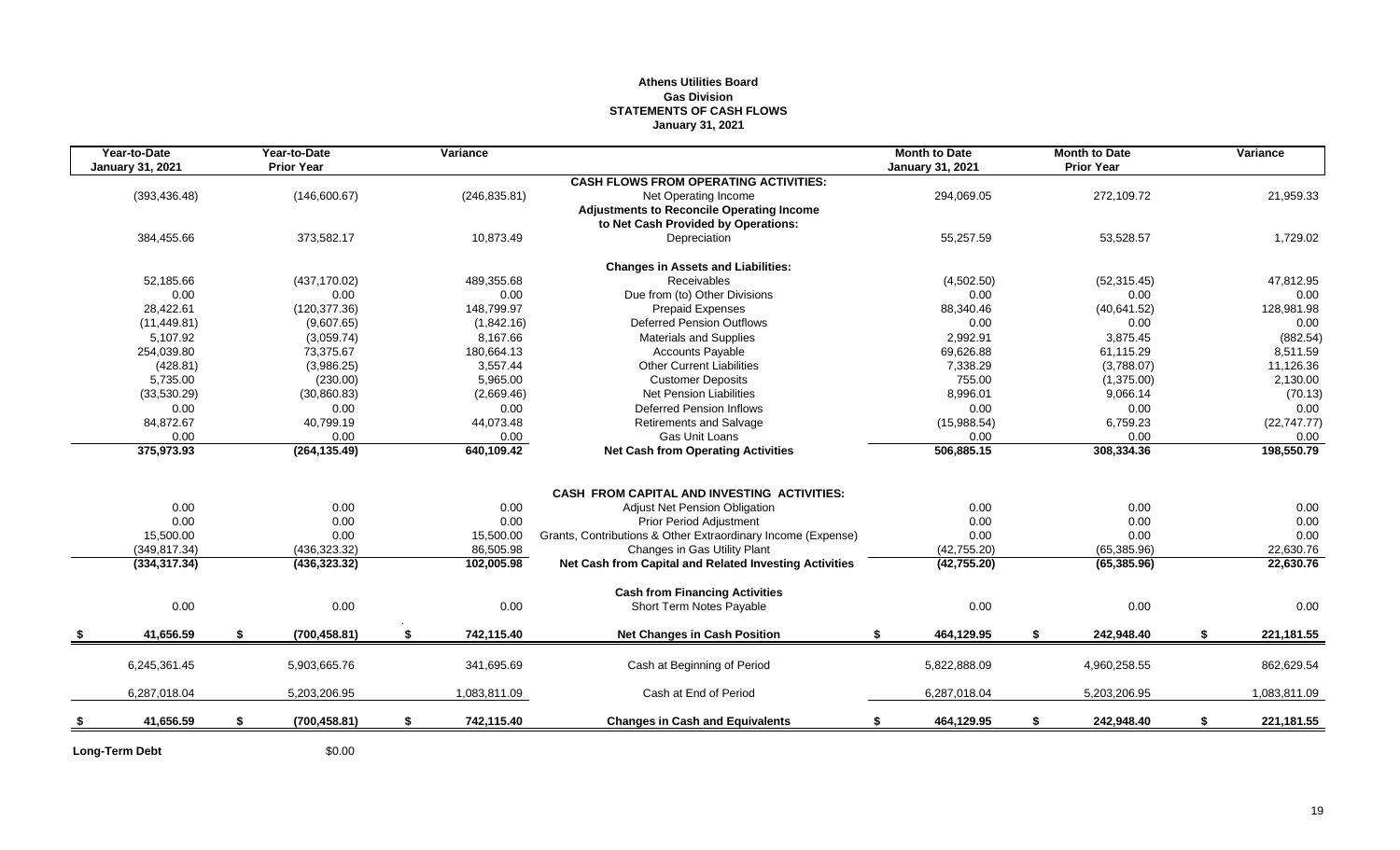## **Athens Utilities Board Gas Division STATEMENTS OF CASH FLOWS January 31, 2021**

| Year-to-Date<br><b>January 31, 2021</b> | Year-to-Date<br><b>Prior Year</b> |    | Variance      |                                                              | <b>Month to Date</b><br><b>January 31, 2021</b> |    | <b>Month to Date</b><br><b>Prior Year</b> |    | Variance     |
|-----------------------------------------|-----------------------------------|----|---------------|--------------------------------------------------------------|-------------------------------------------------|----|-------------------------------------------|----|--------------|
|                                         |                                   |    |               | <b>CASH FLOWS FROM OPERATING ACTIVITIES:</b>                 |                                                 |    |                                           |    |              |
| (393, 436.48)                           | (146,600.67)                      |    | (246, 835.81) | Net Operating Income                                         | 294,069.05                                      |    | 272,109.72                                |    | 21,959.33    |
|                                         |                                   |    |               | <b>Adjustments to Reconcile Operating Income</b>             |                                                 |    |                                           |    |              |
|                                         |                                   |    |               | to Net Cash Provided by Operations:                          |                                                 |    |                                           |    |              |
| 384,455.66                              | 373,582.17                        |    | 10,873.49     | Depreciation                                                 | 55,257.59                                       |    | 53,528.57                                 |    | 1,729.02     |
|                                         |                                   |    |               | <b>Changes in Assets and Liabilities:</b>                    |                                                 |    |                                           |    |              |
| 52,185.66                               | (437, 170.02)                     |    | 489,355.68    | Receivables                                                  | (4,502.50)                                      |    | (52, 315.45)                              |    | 47,812.95    |
| 0.00                                    | 0.00                              |    | 0.00          | Due from (to) Other Divisions                                | 0.00                                            |    | 0.00                                      |    | 0.00         |
| 28.422.61                               | (120, 377.36)                     |    | 148,799.97    | <b>Prepaid Expenses</b>                                      | 88,340.46                                       |    | (40, 641.52)                              |    | 128,981.98   |
| (11, 449.81)                            | (9,607.65)                        |    | (1,842.16)    | <b>Deferred Pension Outflows</b>                             | 0.00                                            |    | 0.00                                      |    | 0.00         |
| 5,107.92                                | (3,059.74)                        |    | 8,167.66      | Materials and Supplies                                       | 2,992.91                                        |    | 3,875.45                                  |    | (882.54)     |
| 254,039.80                              | 73,375.67                         |    | 180,664.13    | <b>Accounts Payable</b>                                      | 69,626.88                                       |    | 61,115.29                                 |    | 8,511.59     |
| (428.81)                                | (3,986.25)                        |    | 3,557.44      | <b>Other Current Liabilities</b>                             | 7,338.29                                        |    | (3,788.07)                                |    | 11,126.36    |
| 5,735.00                                | (230.00)                          |    | 5,965.00      | <b>Customer Deposits</b>                                     | 755.00                                          |    | (1,375.00)                                |    | 2,130.00     |
| (33,530.29)                             | (30,860.83)                       |    | (2,669.46)    | <b>Net Pension Liabilities</b>                               | 8,996.01                                        |    | 9,066.14                                  |    | (70.13)      |
| 0.00                                    | 0.00                              |    | 0.00          | <b>Deferred Pension Inflows</b>                              | 0.00                                            |    | 0.00                                      |    | 0.00         |
| 84,872.67                               | 40,799.19                         |    | 44,073.48     | Retirements and Salvage                                      | (15,988.54)                                     |    | 6,759.23                                  |    | (22, 747.77) |
| 0.00                                    | 0.00                              |    | 0.00          | Gas Unit Loans                                               | 0.00                                            |    | 0.00                                      |    | 0.00         |
| 375,973.93                              | (264, 135.49)                     |    | 640,109.42    | <b>Net Cash from Operating Activities</b>                    | 506,885.15                                      |    | 308,334.36                                |    | 198,550.79   |
|                                         |                                   |    |               |                                                              |                                                 |    |                                           |    |              |
|                                         |                                   |    |               | <b>CASH FROM CAPITAL AND INVESTING ACTIVITIES:</b>           |                                                 |    |                                           |    |              |
| 0.00                                    | 0.00                              |    | 0.00          | Adjust Net Pension Obligation                                | 0.00                                            |    | 0.00                                      |    | 0.00         |
| 0.00                                    | 0.00                              |    | 0.00          | <b>Prior Period Adjustment</b>                               | 0.00                                            |    | 0.00                                      |    | 0.00         |
| 15,500.00                               | 0.00                              |    | 15,500.00     | Grants, Contributions & Other Extraordinary Income (Expense) | 0.00                                            |    | 0.00                                      |    | 0.00         |
| (349, 817.34)                           | (436, 323.32)                     |    | 86,505.98     | Changes in Gas Utility Plant                                 | (42, 755.20)                                    |    | (65, 385.96)                              |    | 22,630.76    |
| (334, 317.34)                           | (436, 323.32)                     |    | 102,005.98    | Net Cash from Capital and Related Investing Activities       | (42, 755.20)                                    |    | (65, 385.96)                              |    | 22,630.76    |
|                                         |                                   |    |               | <b>Cash from Financing Activities</b>                        |                                                 |    |                                           |    |              |
| 0.00                                    | 0.00                              |    | 0.00          | Short Term Notes Payable                                     | 0.00                                            |    | 0.00                                      |    | 0.00         |
| 41,656.59                               | \$<br>(700, 458.81)               | S. | 742,115.40    | <b>Net Changes in Cash Position</b>                          | 464,129.95<br>\$                                | S. | 242,948.40                                | S. | 221, 181. 55 |
| 6,245,361.45                            | 5,903,665.76                      |    | 341,695.69    | Cash at Beginning of Period                                  | 5,822,888.09                                    |    | 4,960,258.55                              |    | 862,629.54   |
|                                         |                                   |    |               |                                                              |                                                 |    |                                           |    |              |
| 6,287,018.04                            | 5,203,206.95                      |    | 1,083,811.09  | Cash at End of Period                                        | 6,287,018.04                                    |    | 5,203,206.95                              |    | 1,083,811.09 |
| 41,656.59                               | \$<br>(700, 458.81)               | \$ | 742,115.40    | <b>Changes in Cash and Equivalents</b>                       | 464,129.95<br>\$                                | \$ | 242,948.40                                | \$ | 221,181.55   |
|                                         |                                   |    |               |                                                              |                                                 |    |                                           |    |              |

Long-Term Debt \$0.00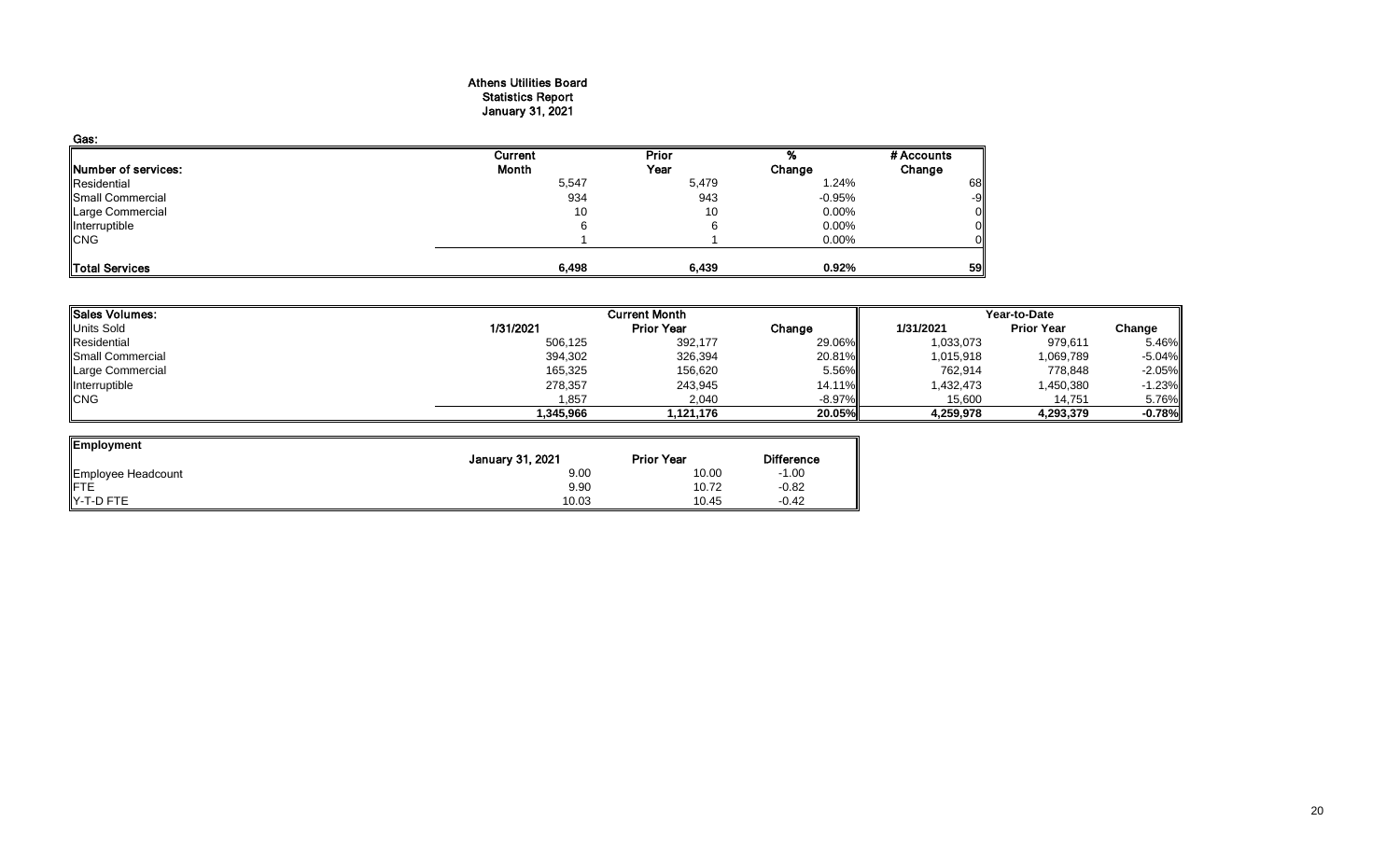#### Athens Utilities Board Statistics Report January 31, 2021

| Gas:                  |         |       |          |            |
|-----------------------|---------|-------|----------|------------|
|                       | Current | Prior |          | # Accounts |
| Number of services:   | Month   | Year  | Change   | Change     |
| Residential           | 5,547   | 5,479 | 1.24%    | 68         |
| Small Commercial      | 934     | 943   | $-0.95%$ | -9         |
| Large Commercial      | 10      | 10    | $0.00\%$ | 0          |
| Interruptible         | 6       |       | 0.00%    |            |
| <b>CNG</b>            |         |       | 0.00%    |            |
| <b>Total Services</b> | 6,498   | 6,439 | 0.92%    | 59         |

| Sales Volumes:   |           | <b>Current Month</b> |           | Year-to-Date |                   |          |  |
|------------------|-----------|----------------------|-----------|--------------|-------------------|----------|--|
| Units Sold       | 1/31/2021 | <b>Prior Year</b>    | Change    | 1/31/2021    | <b>Prior Year</b> | Change   |  |
| Residential      | 506,125   | 392,177              | 29.06%    | 1,033,073    | 979,611           | 5.46%    |  |
| Small Commercial | 394,302   | 326,394              | 20.81%    | 1,015,918    | 1,069,789         | $-5.04%$ |  |
| Large Commercial | 165,325   | 156,620              | 5.56%     | 762,914      | 778,848           | $-2.05%$ |  |
| Interruptible    | 278,357   | 243,945              | 14.11%    | 1,432,473    | 1,450,380         | $-1.23%$ |  |
| <b>CNG</b>       | 1,857     | 2,040                | $-8.97\%$ | 15,600       | 14,751            | 5.76%    |  |
|                  | .345.966  | 1.121.176            | 20.05%I   | 4,259,978    | 4,293,379         | $-0.78%$ |  |

| Employment                     |                  |                   |                   |
|--------------------------------|------------------|-------------------|-------------------|
|                                | January 31, 2021 | <b>Prior Year</b> | <b>Difference</b> |
| Employee Headcount<br>FTE      | 9.00             | 10.00             | $-1.00$           |
|                                | 9.90             | 10.72             | $-0.82$           |
| $\blacktriangleright$ -T-D FTE | 10.03            | 10.45             | $-0.42$           |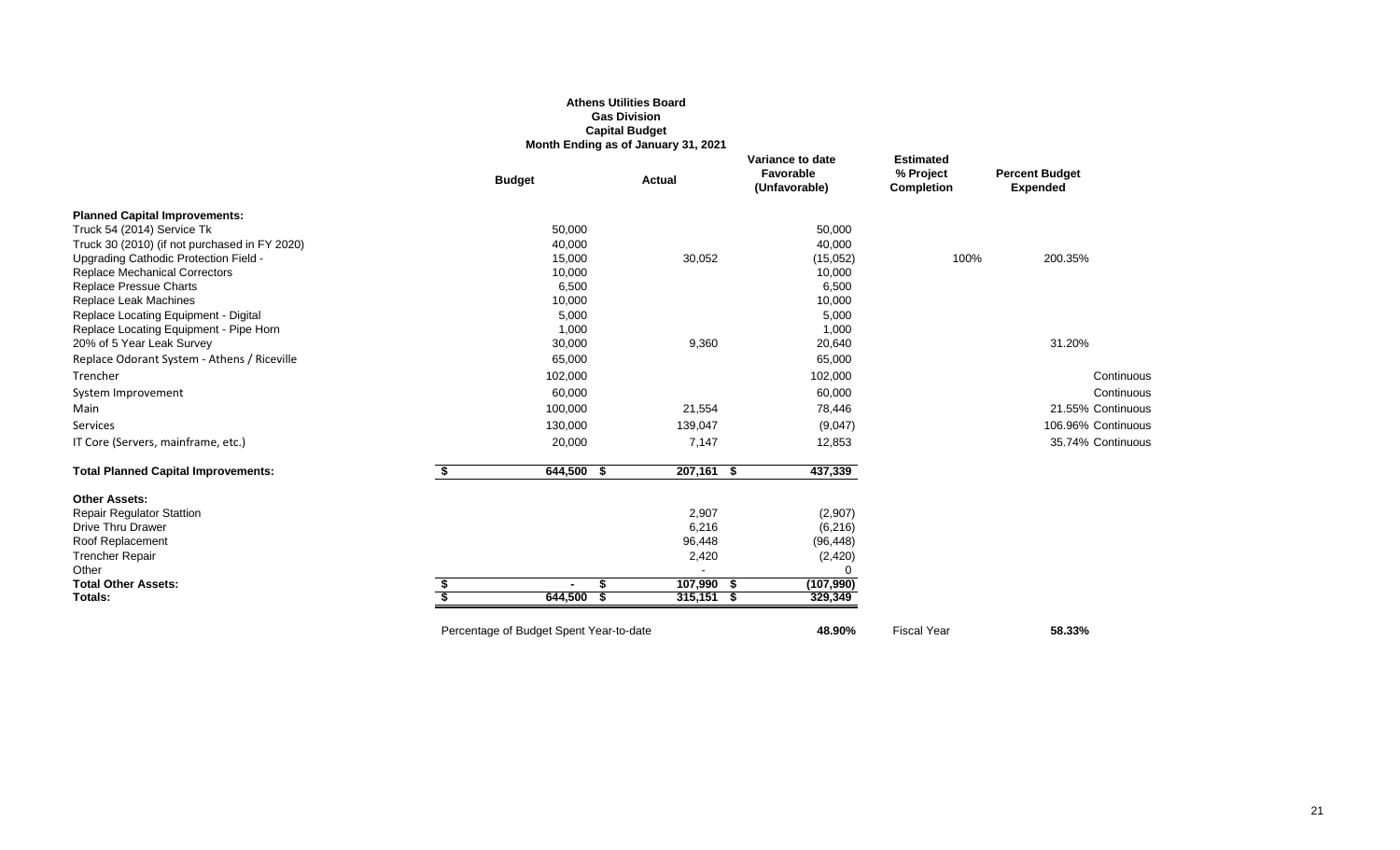## **Athens Utilities Board Gas Division Capital Budget Month Ending as of January 31, 2021**

|                                               |                                         | Month Ending as of January 31, 2021 |                                                       |                                                    |                                          |
|-----------------------------------------------|-----------------------------------------|-------------------------------------|-------------------------------------------------------|----------------------------------------------------|------------------------------------------|
|                                               | <b>Budget</b>                           | <b>Actual</b>                       | Variance to date<br><b>Favorable</b><br>(Unfavorable) | <b>Estimated</b><br>% Project<br><b>Completion</b> | <b>Percent Budget</b><br><b>Expended</b> |
| <b>Planned Capital Improvements:</b>          |                                         |                                     |                                                       |                                                    |                                          |
| Truck 54 (2014) Service Tk                    | 50,000                                  |                                     | 50,000                                                |                                                    |                                          |
| Truck 30 (2010) (if not purchased in FY 2020) | 40,000                                  |                                     | 40,000                                                |                                                    |                                          |
| Upgrading Cathodic Protection Field -         | 15,000                                  | 30,052                              | (15,052)                                              | 100%                                               | 200.35%                                  |
| <b>Replace Mechanical Correctors</b>          | 10,000                                  |                                     | 10,000                                                |                                                    |                                          |
| Replace Pressue Charts                        | 6,500                                   |                                     | 6,500                                                 |                                                    |                                          |
| Replace Leak Machines                         | 10,000                                  |                                     | 10,000                                                |                                                    |                                          |
| Replace Locating Equipment - Digital          | 5,000                                   |                                     | 5,000                                                 |                                                    |                                          |
| Replace Locating Equipment - Pipe Horn        | 1,000                                   |                                     | 1,000                                                 |                                                    |                                          |
| 20% of 5 Year Leak Survey                     | 30,000                                  | 9,360                               | 20,640                                                |                                                    | 31.20%                                   |
| Replace Odorant System - Athens / Riceville   | 65,000                                  |                                     | 65,000                                                |                                                    |                                          |
| Trencher                                      | 102,000                                 |                                     | 102,000                                               |                                                    | Continuous                               |
| System Improvement                            | 60,000                                  |                                     | 60,000                                                |                                                    | Continuous                               |
| Main                                          | 100,000                                 | 21,554                              | 78,446                                                |                                                    | 21.55% Continuous                        |
| Services                                      | 130,000                                 | 139,047                             | (9,047)                                               |                                                    | 106.96% Continuous                       |
| IT Core (Servers, mainframe, etc.)            | 20,000                                  | 7,147                               | 12,853                                                |                                                    | 35.74% Continuous                        |
| <b>Total Planned Capital Improvements:</b>    | 644,500<br>- \$                         | $207,161$ \$                        | 437,339                                               |                                                    |                                          |
| <b>Other Assets:</b>                          |                                         |                                     |                                                       |                                                    |                                          |
| <b>Repair Regulator Stattion</b>              |                                         | 2,907                               | (2,907)                                               |                                                    |                                          |
| <b>Drive Thru Drawer</b>                      |                                         | 6,216                               | (6, 216)                                              |                                                    |                                          |
| Roof Replacement                              |                                         | 96,448                              | (96, 448)                                             |                                                    |                                          |
| <b>Trencher Repair</b>                        |                                         | 2,420                               | (2, 420)                                              |                                                    |                                          |
| Other                                         |                                         |                                     | $\Omega$                                              |                                                    |                                          |
| <b>Total Other Assets:</b>                    | \$                                      | 107,990 \$                          | (107,990)                                             |                                                    |                                          |
| Totals:                                       | 644,500                                 | $315,151$ \$                        | 329,349                                               |                                                    |                                          |
|                                               | Percentage of Budget Spent Year-to-date |                                     | 48.90%                                                | <b>Fiscal Year</b>                                 | 58.33%                                   |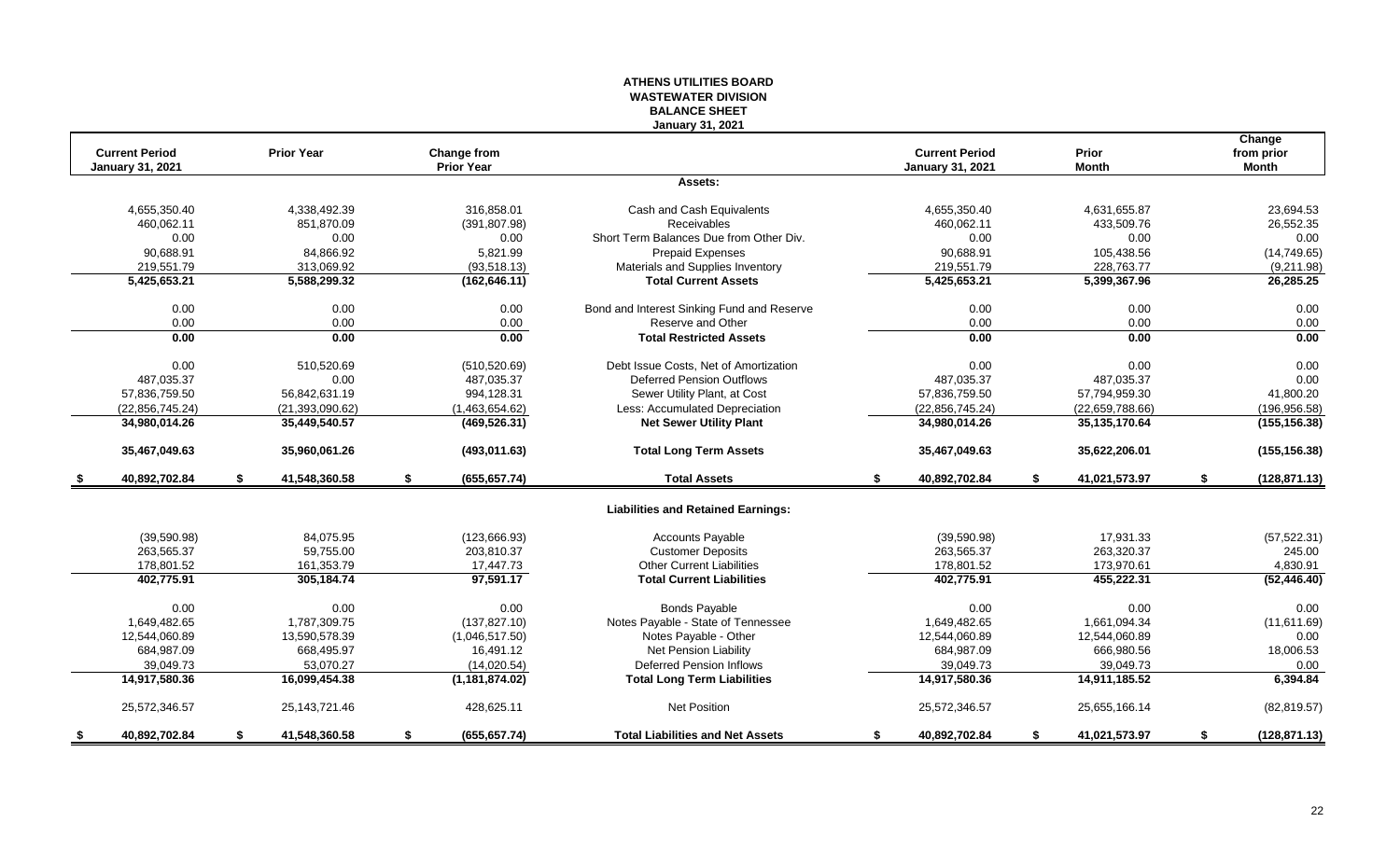## **ATHENS UTILITIES BOARD WASTEWATER DIVISION BALANCE SHEET January 31, 2021**

|      |                                           |                     |    |                                  |                                            |                                                  |                       | Change                     |
|------|-------------------------------------------|---------------------|----|----------------------------------|--------------------------------------------|--------------------------------------------------|-----------------------|----------------------------|
|      | <b>Current Period</b><br>January 31, 2021 | <b>Prior Year</b>   |    | Change from<br><b>Prior Year</b> |                                            | <b>Current Period</b><br><b>January 31, 2021</b> | Prior<br><b>Month</b> | from prior<br><b>Month</b> |
|      |                                           |                     |    |                                  | Assets:                                    |                                                  |                       |                            |
|      |                                           |                     |    |                                  |                                            |                                                  |                       |                            |
|      | 4,655,350.40                              | 4,338,492.39        |    | 316,858.01                       | Cash and Cash Equivalents                  | 4,655,350.40                                     | 4,631,655.87          | 23,694.53                  |
|      | 460,062.11                                | 851,870.09          |    | (391, 807.98)                    | Receivables                                | 460,062.11                                       | 433,509.76            | 26,552.35                  |
|      | 0.00                                      | 0.00                |    | 0.00                             | Short Term Balances Due from Other Div.    | 0.00                                             | 0.00                  | 0.00                       |
|      | 90.688.91                                 | 84.866.92           |    | 5,821.99                         | <b>Prepaid Expenses</b>                    | 90,688.91                                        | 105,438.56            | (14, 749.65)               |
|      | 219,551.79                                | 313,069.92          |    | (93, 518.13)                     | Materials and Supplies Inventory           | 219,551.79                                       | 228,763.77            | (9,211.98)                 |
|      | 5,425,653.21                              | 5,588,299.32        |    | (162, 646.11)                    | <b>Total Current Assets</b>                | 5,425,653.21                                     | 5,399,367.96          | 26,285.25                  |
|      | 0.00                                      | 0.00                |    | 0.00                             | Bond and Interest Sinking Fund and Reserve | 0.00                                             | 0.00                  | 0.00                       |
|      | 0.00                                      | 0.00                |    | 0.00                             | Reserve and Other                          | 0.00                                             | 0.00                  | 0.00                       |
|      | 0.00                                      | 0.00                |    | 0.00                             | <b>Total Restricted Assets</b>             | 0.00                                             | 0.00                  | 0.00                       |
|      | 0.00                                      | 510,520.69          |    | (510, 520.69)                    | Debt Issue Costs, Net of Amortization      | 0.00                                             | 0.00                  | 0.00                       |
|      | 487,035.37                                | 0.00                |    | 487,035.37                       | <b>Deferred Pension Outflows</b>           | 487,035.37                                       | 487,035.37            | 0.00                       |
|      | 57,836,759.50                             | 56,842,631.19       |    | 994,128.31                       | Sewer Utility Plant, at Cost               | 57,836,759.50                                    | 57,794,959.30         | 41,800.20                  |
|      | (22, 856, 745.24)                         | (21, 393, 090.62)   |    | (1,463,654.62)                   | Less: Accumulated Depreciation             | (22, 856, 745.24)                                | (22,659,788.66)       | (196, 956.58)              |
|      | 34,980,014.26                             | 35,449,540.57       |    | (469, 526.31)                    | <b>Net Sewer Utility Plant</b>             | 34,980,014.26                                    | 35, 135, 170.64       | (155, 156.38)              |
|      | 35,467,049.63                             | 35,960,061.26       |    | (493, 011.63)                    | <b>Total Long Term Assets</b>              | 35,467,049.63                                    | 35,622,206.01         | (155, 156.38)              |
| - \$ | 40,892,702.84                             | \$<br>41,548,360.58 | \$ | (655, 657.74)                    | <b>Total Assets</b>                        | \$<br>40,892,702.84                              | \$<br>41,021,573.97   | \$<br>(128, 871.13)        |
|      |                                           |                     |    |                                  | <b>Liabilities and Retained Earnings:</b>  |                                                  |                       |                            |
|      | (39,590.98)                               | 84,075.95           |    | (123, 666.93)                    | <b>Accounts Payable</b>                    | (39, 590.98)                                     | 17,931.33             | (57, 522.31)               |
|      | 263,565.37                                | 59,755.00           |    | 203,810.37                       | <b>Customer Deposits</b>                   | 263,565.37                                       | 263,320.37            | 245.00                     |
|      | 178,801.52                                | 161,353.79          |    | 17,447.73                        | <b>Other Current Liabilities</b>           | 178,801.52                                       | 173,970.61            | 4,830.91                   |
|      | 402.775.91                                | 305,184.74          |    | 97.591.17                        | <b>Total Current Liabilities</b>           | 402,775.91                                       | 455,222.31            | (52, 446.40)               |
|      | 0.00                                      | 0.00                |    | 0.00                             | <b>Bonds Payable</b>                       | 0.00                                             | 0.00                  | 0.00                       |
|      | 1,649,482.65                              | 1,787,309.75        |    | (137, 827.10)                    | Notes Payable - State of Tennessee         | 1,649,482.65                                     | 1,661,094.34          | (11,611.69)                |
|      | 12,544,060.89                             | 13.590.578.39       |    | (1,046,517.50)                   | Notes Payable - Other                      | 12,544,060.89                                    | 12,544,060.89         | 0.00                       |
|      | 684,987.09                                | 668,495.97          |    | 16,491.12                        | Net Pension Liability                      | 684,987.09                                       | 666,980.56            | 18,006.53                  |
|      | 39.049.73                                 | 53.070.27           |    | (14,020.54)                      | <b>Deferred Pension Inflows</b>            | 39.049.73                                        | 39,049.73             | 0.00                       |
|      | 14,917,580.36                             | 16,099,454.38       |    | (1, 181, 874.02)                 | <b>Total Long Term Liabilities</b>         | 14,917,580.36                                    | 14,911,185.52         | 6,394.84                   |
|      | 25,572,346.57                             | 25, 143, 721. 46    |    | 428,625.11                       | Net Position                               | 25,572,346.57                                    | 25,655,166.14         | (82, 819.57)               |
|      | 40,892,702.84                             | \$<br>41,548,360.58 | S. | (655, 657.74)                    | <b>Total Liabilities and Net Assets</b>    | \$<br>40,892,702.84                              | \$<br>41,021,573.97   | \$<br>(128, 871.13)        |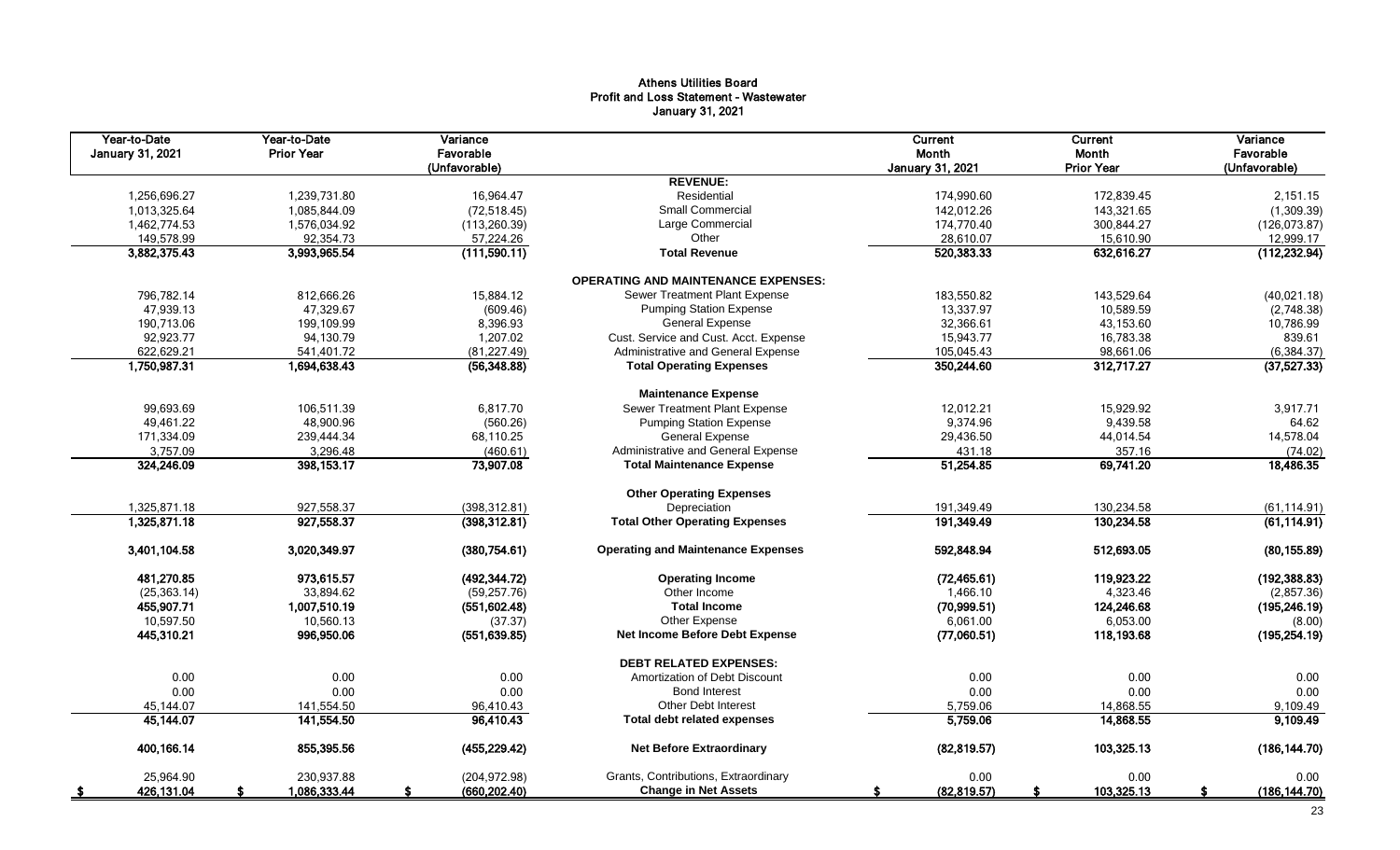## Athens Utilities Board Profit and Loss Statement - Wastewater January 31, 2021

| Year-to-Date<br>January 31, 2021 | Year-to-Date<br><b>Prior Year</b> | Variance<br>Favorable<br>(Unfavorable) |                                            | <b>Current</b><br>Month<br>January 31, 2021 | Current<br>Month<br><b>Prior Year</b> | Variance<br>Favorable<br>(Unfavorable) |  |
|----------------------------------|-----------------------------------|----------------------------------------|--------------------------------------------|---------------------------------------------|---------------------------------------|----------------------------------------|--|
|                                  |                                   |                                        | <b>REVENUE:</b>                            |                                             |                                       |                                        |  |
| 1,256,696.27                     | 1,239,731.80                      | 16,964.47                              | Residential                                | 174,990.60                                  | 172,839.45                            | 2,151.15                               |  |
| 1,013,325.64                     | 1,085,844.09                      | (72, 518.45)                           | Small Commercial                           | 142,012.26                                  | 143,321.65                            | (1,309.39)                             |  |
| 1,462,774.53                     | 1,576,034.92                      | (113, 260.39)                          | Large Commercial                           | 174,770.40                                  | 300,844.27                            | (126, 073.87)                          |  |
| 149,578.99                       | 92,354.73                         | 57,224.26                              | Other                                      | 28,610.07                                   | 15,610.90                             | 12,999.17                              |  |
| 3,882,375.43                     | 3,993,965.54                      | (111,590.11)                           | <b>Total Revenue</b>                       | 520,383.33                                  | 632,616.27                            | (112, 232.94)                          |  |
|                                  |                                   |                                        | <b>OPERATING AND MAINTENANCE EXPENSES:</b> |                                             |                                       |                                        |  |
| 796,782.14                       | 812,666.26                        | 15,884.12                              | Sewer Treatment Plant Expense              | 183,550.82                                  | 143,529.64                            | (40,021.18)                            |  |
| 47,939.13                        | 47,329.67                         | (609.46)                               | <b>Pumping Station Expense</b>             | 13,337.97                                   | 10,589.59                             | (2,748.38)                             |  |
| 190,713.06                       | 199,109.99                        | 8,396.93                               | <b>General Expense</b>                     | 32,366.61                                   | 43,153.60                             | 10,786.99                              |  |
| 92,923.77                        | 94,130.79                         | 1,207.02                               | Cust. Service and Cust. Acct. Expense      | 15,943.77                                   | 16,783.38                             | 839.61                                 |  |
| 622,629.21                       | 541,401.72                        | (81, 227.49)                           | Administrative and General Expense         | 105,045.43                                  | 98,661.06                             | (6, 384.37)                            |  |
| 1,750,987.31                     | 1,694,638.43                      | (56, 348.88)                           | <b>Total Operating Expenses</b>            | 350,244.60                                  | 312,717.27                            | (37, 527.33)                           |  |
|                                  |                                   |                                        | <b>Maintenance Expense</b>                 |                                             |                                       |                                        |  |
| 99,693.69                        | 106,511.39                        | 6,817.70                               | Sewer Treatment Plant Expense              | 12,012.21                                   | 15,929.92                             | 3,917.71                               |  |
| 49,461.22                        | 48,900.96                         | (560.26)                               | <b>Pumping Station Expense</b>             | 9,374.96                                    | 9,439.58                              | 64.62                                  |  |
| 171,334.09                       | 239,444.34                        | 68,110.25                              | <b>General Expense</b>                     | 29,436.50                                   | 44,014.54                             | 14,578.04                              |  |
| 3,757.09                         | 3,296.48                          | (460.61)                               | Administrative and General Expense         | 431.18                                      | 357.16                                | (74.02)                                |  |
| 324,246.09                       | 398,153.17                        | 73,907.08                              | <b>Total Maintenance Expense</b>           | 51,254.85                                   | 69,741.20                             | 18,486.35                              |  |
|                                  |                                   |                                        | <b>Other Operating Expenses</b>            |                                             |                                       |                                        |  |
| 1,325,871.18                     | 927,558.37                        | (398, 312.81)                          | Depreciation                               | 191,349.49                                  | 130,234.58                            | (61, 114.91)                           |  |
| 1,325,871.18                     | 927,558.37                        | (398, 312.81)                          | <b>Total Other Operating Expenses</b>      | 191,349.49                                  | 130,234.58                            | (61, 114.91)                           |  |
| 3,401,104.58                     | 3,020,349.97                      | (380, 754.61)                          | <b>Operating and Maintenance Expenses</b>  | 592,848.94                                  | 512,693.05                            | (80, 155.89)                           |  |
| 481,270.85                       | 973,615.57                        | (492, 344.72)                          | <b>Operating Income</b>                    | (72, 465.61)                                | 119,923.22                            | (192, 388.83)                          |  |
| (25, 363.14)                     | 33,894.62                         | (59, 257.76)                           | Other Income                               | 1,466.10                                    | 4,323.46                              | (2,857.36)                             |  |
| 455,907.71                       | 1,007,510.19                      | (551, 602.48)                          | <b>Total Income</b>                        | (70,999.51)                                 | 124,246.68                            | (195, 246.19)                          |  |
| 10,597.50                        | 10,560.13                         | (37.37)                                | Other Expense                              | 6,061.00                                    | 6,053.00                              | (8.00)                                 |  |
| 445,310.21                       | 996,950.06                        | (551, 639.85)                          | Net Income Before Debt Expense             | (77,060.51)                                 | 118,193.68                            | (195, 254.19)                          |  |
|                                  |                                   |                                        | <b>DEBT RELATED EXPENSES:</b>              |                                             |                                       |                                        |  |
| 0.00                             | 0.00                              | 0.00                                   | Amortization of Debt Discount              | 0.00                                        | 0.00                                  | 0.00                                   |  |
| 0.00                             | 0.00                              | 0.00                                   | <b>Bond Interest</b>                       | 0.00                                        | 0.00                                  | 0.00                                   |  |
| 45,144.07                        | 141,554.50                        | 96,410.43                              | <b>Other Debt Interest</b>                 | 5,759.06                                    | 14,868.55                             | 9,109.49                               |  |
| 45,144.07                        | 141,554.50                        | 96,410.43                              | <b>Total debt related expenses</b>         | 5,759.06                                    | 14,868.55                             | 9,109.49                               |  |
| 400,166.14                       | 855,395.56                        | (455, 229.42)                          | <b>Net Before Extraordinary</b>            | (82, 819.57)                                | 103,325.13                            | (186, 144.70)                          |  |
| 25,964.90                        | 230,937.88                        | (204, 972.98)                          | Grants, Contributions, Extraordinary       | 0.00                                        | 0.00                                  | 0.00                                   |  |
| 426,131.04<br>- \$               | 1,086,333.44                      | (660, 202.40)                          | <b>Change in Net Assets</b>                | (82, 819.57)<br>-S                          | 103,325.13<br>\$                      | (186, 144.70)<br>S                     |  |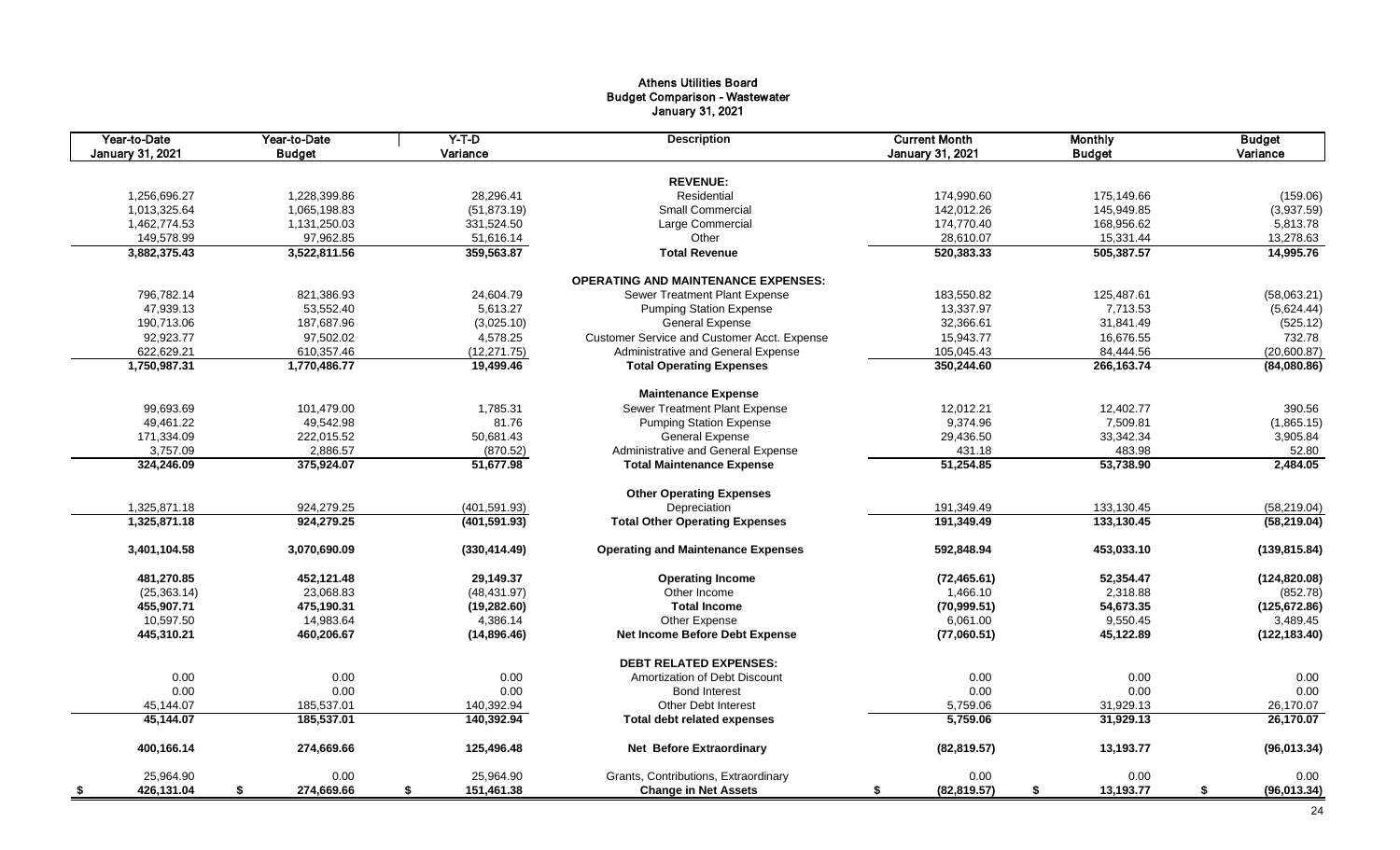## Athens Utilities Board Budget Comparison - Wastewater January 31, 2021

| Year-to-Date<br>January 31, 2021 | Year-to-Date<br><b>Budget</b> | $Y-T-D$<br>Variance | <b>Description</b>                          | <b>Current Month</b><br><b>January 31, 2021</b> | <b>Monthly</b><br><b>Budget</b> | <b>Budget</b><br>Variance |
|----------------------------------|-------------------------------|---------------------|---------------------------------------------|-------------------------------------------------|---------------------------------|---------------------------|
|                                  |                               |                     | <b>REVENUE:</b>                             |                                                 |                                 |                           |
|                                  |                               | 28,296.41           | Residential                                 |                                                 |                                 |                           |
| 1,256,696.27                     | 1,228,399.86                  |                     | Small Commercial                            | 174,990.60                                      | 175,149.66                      | (159.06)                  |
| 1,013,325.64                     | 1,065,198.83                  | (51, 873.19)        |                                             | 142,012.26                                      | 145,949.85                      | (3,937.59)                |
| 1,462,774.53                     | 1,131,250.03                  | 331,524.50          | Large Commercial                            | 174,770.40                                      | 168,956.62                      | 5,813.78                  |
| 149,578.99                       | 97,962.85                     | 51,616.14           | Other                                       | 28,610.07                                       | 15,331.44                       | 13,278.63                 |
| 3,882,375.43                     | 3,522,811.56                  | 359,563.87          | <b>Total Revenue</b>                        | 520,383.33                                      | 505,387.57                      | 14,995.76                 |
|                                  |                               |                     | <b>OPERATING AND MAINTENANCE EXPENSES:</b>  |                                                 |                                 |                           |
| 796,782.14                       | 821,386.93                    | 24,604.79           | Sewer Treatment Plant Expense               | 183,550.82                                      | 125,487.61                      | (58,063.21)               |
| 47,939.13                        | 53,552.40                     | 5,613.27            | <b>Pumping Station Expense</b>              | 13,337.97                                       | 7,713.53                        | (5,624.44)                |
| 190,713.06                       | 187,687.96                    | (3,025.10)          | <b>General Expense</b>                      | 32,366.61                                       | 31,841.49                       | (525.12)                  |
| 92,923.77                        | 97,502.02                     | 4,578.25            | Customer Service and Customer Acct. Expense | 15,943.77                                       | 16,676.55                       | 732.78                    |
| 622,629.21                       | 610,357.46                    | (12, 271.75)        | Administrative and General Expense          | 105,045.43                                      | 84,444.56                       | (20,600.87)               |
| 1,750,987.31                     | 1,770,486.77                  | 19,499.46           | <b>Total Operating Expenses</b>             | 350,244.60                                      | 266, 163. 74                    | (84,080.86)               |
|                                  |                               |                     | <b>Maintenance Expense</b>                  |                                                 |                                 |                           |
| 99.693.69                        | 101.479.00                    | 1.785.31            | Sewer Treatment Plant Expense               | 12,012.21                                       | 12,402.77                       | 390.56                    |
| 49,461.22                        | 49,542.98                     | 81.76               | <b>Pumping Station Expense</b>              | 9,374.96                                        | 7,509.81                        | (1,865.15)                |
| 171,334.09                       | 222,015.52                    | 50,681.43           | General Expense                             | 29,436.50                                       | 33,342.34                       | 3,905.84                  |
| 3,757.09                         | 2,886.57                      | (870.52)            | Administrative and General Expense          | 431.18                                          | 483.98                          | 52.80                     |
| 324,246.09                       | 375,924.07                    | 51.677.98           | <b>Total Maintenance Expense</b>            | 51,254.85                                       | 53,738.90                       | 2,484.05                  |
|                                  |                               |                     |                                             |                                                 |                                 |                           |
|                                  |                               |                     | <b>Other Operating Expenses</b>             |                                                 |                                 |                           |
| 1,325,871.18                     | 924,279.25                    | (401, 591.93)       | Depreciation                                | 191,349.49                                      | 133,130.45                      | (58, 219.04)              |
| 1,325,871.18                     | 924,279.25                    | (401, 591.93)       | <b>Total Other Operating Expenses</b>       | 191,349.49                                      | 133,130.45                      | (58, 219.04)              |
| 3,401,104.58                     | 3,070,690.09                  | (330, 414.49)       | <b>Operating and Maintenance Expenses</b>   | 592,848.94                                      | 453,033.10                      | (139, 815.84)             |
| 481,270.85                       | 452,121.48                    | 29,149.37           | <b>Operating Income</b>                     | (72, 465.61)                                    | 52,354.47                       | (124, 820.08)             |
| (25, 363.14)                     | 23,068.83                     | (48, 431.97)        | Other Income                                | 1.466.10                                        | 2,318.88                        | (852.78)                  |
| 455,907.71                       | 475,190.31                    | (19, 282.60)        | <b>Total Income</b>                         | (70, 999.51)                                    | 54,673.35                       | (125, 672.86)             |
| 10,597.50                        | 14,983.64                     | 4,386.14            | Other Expense                               | 6,061.00                                        | 9,550.45                        | 3,489.45                  |
| 445,310.21                       | 460,206.67                    | (14,896.46)         | Net Income Before Debt Expense              | (77,060.51)                                     | 45,122.89                       | (122, 183.40)             |
|                                  |                               |                     | <b>DEBT RELATED EXPENSES:</b>               |                                                 |                                 |                           |
| 0.00                             | 0.00                          | 0.00                | Amortization of Debt Discount               | 0.00                                            | 0.00                            | 0.00                      |
| 0.00                             | 0.00                          | 0.00                | <b>Bond Interest</b>                        | 0.00                                            | 0.00                            | 0.00                      |
|                                  | 185,537.01                    |                     |                                             | 5,759.06                                        | 31,929.13                       |                           |
| 45,144.07                        |                               | 140,392.94          | <b>Other Debt Interest</b>                  |                                                 |                                 | 26,170.07                 |
| 45,144.07                        | 185,537.01                    | 140,392.94          | <b>Total debt related expenses</b>          | 5,759.06                                        | 31,929.13                       | 26,170.07                 |
| 400,166.14                       | 274,669.66                    | 125,496.48          | Net Before Extraordinary                    | (82, 819.57)                                    | 13,193.77                       | (96, 013.34)              |
| 25,964.90                        | 0.00                          | 25,964.90           | Grants, Contributions, Extraordinary        | 0.00                                            | 0.00                            | 0.00                      |
| 426,131.04<br>- \$               | \$<br>274,669.66              | \$<br>151,461.38    | <b>Change in Net Assets</b>                 | (82, 819.57)<br>\$                              | \$<br>13,193.77                 | \$<br>(96, 013.34)        |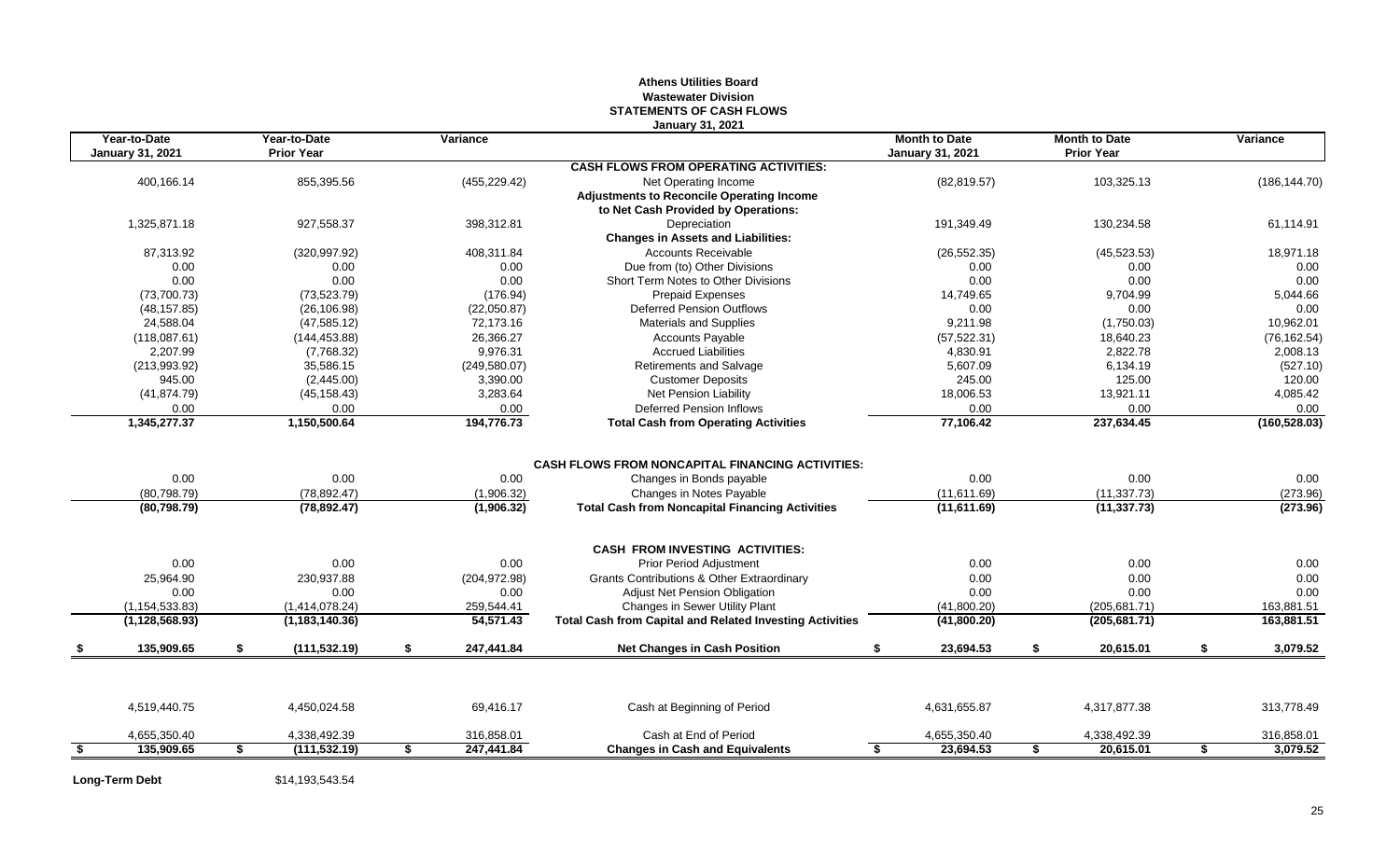## **Athens Utilities Board Wastewater Division STATEMENTS OF CASH FLOWS January 31, 2021**

| Year-to-Date<br><b>January 31, 2021</b> |    | Year-to-Date<br><b>Prior Year</b> | Variance | <b>Month to Date</b><br><b>January 31, 2021</b> |                                                                 | <b>Month to Date</b><br><b>Prior Year</b> | Variance |                           |                |
|-----------------------------------------|----|-----------------------------------|----------|-------------------------------------------------|-----------------------------------------------------------------|-------------------------------------------|----------|---------------------------|----------------|
|                                         |    |                                   |          |                                                 | <b>CASH FLOWS FROM OPERATING ACTIVITIES:</b>                    |                                           |          |                           |                |
| 400,166.14                              |    | 855,395.56                        |          | (455, 229.42)                                   | Net Operating Income                                            | (82, 819.57)                              |          | 103,325.13                | (186, 144.70)  |
|                                         |    |                                   |          |                                                 | <b>Adjustments to Reconcile Operating Income</b>                |                                           |          |                           |                |
|                                         |    |                                   |          |                                                 | to Net Cash Provided by Operations:                             |                                           |          |                           |                |
| 1,325,871.18                            |    | 927,558.37                        |          | 398,312.81                                      | Depreciation                                                    | 191,349.49                                |          | 130,234.58                | 61,114.91      |
|                                         |    |                                   |          |                                                 | <b>Changes in Assets and Liabilities:</b>                       |                                           |          |                           |                |
| 87,313.92                               |    | (320, 997.92)                     |          | 408,311.84                                      | <b>Accounts Receivable</b>                                      | (26, 552.35)                              |          | (45, 523.53)              | 18,971.18      |
| 0.00                                    |    | 0.00                              |          | 0.00                                            | Due from (to) Other Divisions                                   | 0.00                                      |          | 0.00                      | 0.00           |
| 0.00                                    |    | 0.00                              |          | 0.00                                            | Short Term Notes to Other Divisions                             | 0.00                                      |          | 0.00                      | 0.00           |
| (73,700.73)                             |    | (73, 523.79)                      |          | (176.94)                                        | <b>Prepaid Expenses</b>                                         | 14,749.65                                 |          | 9,704.99                  | 5,044.66       |
| (48, 157.85)                            |    | (26, 106.98)                      |          | (22,050.87)                                     | <b>Deferred Pension Outflows</b>                                | 0.00                                      |          | 0.00                      | 0.00           |
| 24,588.04                               |    | (47, 585.12)                      |          | 72,173.16                                       | <b>Materials and Supplies</b>                                   | 9.211.98                                  |          | (1,750.03)                | 10,962.01      |
| (118,087.61)                            |    | (144, 453.88)                     |          | 26,366.27                                       | <b>Accounts Payable</b>                                         | (57, 522.31)                              |          | 18,640.23                 | (76, 162.54)   |
| 2,207.99                                |    | (7,768.32)                        |          | 9,976.31                                        | <b>Accrued Liabilities</b>                                      | 4,830.91                                  |          | 2,822.78                  | 2,008.13       |
| (213,993.92)                            |    | 35,586.15                         |          | (249, 580.07)                                   | Retirements and Salvage                                         | 5,607.09                                  |          | 6,134.19                  | (527.10)       |
| 945.00                                  |    | (2,445.00)                        |          | 3,390.00                                        | <b>Customer Deposits</b>                                        | 245.00                                    |          | 125.00                    | 120.00         |
| (41, 874.79)                            |    | (45, 158.43)                      |          | 3,283.64                                        | Net Pension Liability                                           | 18,006.53                                 |          | 13,921.11                 | 4,085.42       |
| 0.00                                    |    | 0.00                              |          | 0.00                                            | <b>Deferred Pension Inflows</b>                                 | 0.00                                      |          | 0.00                      | 0.00           |
| 1,345,277.37                            |    | 1,150,500.64                      |          | 194,776.73                                      | <b>Total Cash from Operating Activities</b>                     | 77,106.42                                 |          | 237,634.45                | (160, 528.03)  |
|                                         |    |                                   |          |                                                 | <b>CASH FLOWS FROM NONCAPITAL FINANCING ACTIVITIES:</b>         |                                           |          |                           |                |
| 0.00                                    |    | 0.00                              |          | 0.00                                            | Changes in Bonds payable                                        | 0.00                                      |          | 0.00                      | 0.00           |
| (80, 798.79)                            |    | (78, 892.47)                      |          | (1,906.32)                                      | Changes in Notes Payable                                        | (11,611.69)                               |          | (11, 337.73)              | (273.96)       |
| (80, 798.79)                            |    | (78, 892.47)                      |          | (1,906.32)                                      | <b>Total Cash from Noncapital Financing Activities</b>          | (11,611.69)                               |          | (11, 337.73)              | (273.96)       |
|                                         |    |                                   |          |                                                 | <b>CASH FROM INVESTING ACTIVITIES:</b>                          |                                           |          |                           |                |
| 0.00                                    |    | 0.00                              |          | 0.00                                            | <b>Prior Period Adiustment</b>                                  | 0.00                                      |          | 0.00                      | 0.00           |
| 25.964.90                               |    | 230.937.88                        |          | (204, 972.98)                                   | <b>Grants Contributions &amp; Other Extraordinary</b>           | 0.00                                      |          | 0.00                      | 0.00           |
| 0.00                                    |    | 0.00                              |          | 0.00                                            | Adjust Net Pension Obligation                                   | 0.00                                      |          | 0.00                      | 0.00           |
| (1, 154, 533.83)                        |    | (1,414,078.24)                    |          | 259,544.41                                      | Changes in Sewer Utility Plant                                  | (41,800.20)                               |          | (205, 681.71)             | 163,881.51     |
| (1, 128, 568.93)                        |    | (1, 183, 140.36)                  |          | 54,571.43                                       | <b>Total Cash from Capital and Related Investing Activities</b> | (41,800.20)                               |          | (205, 681.71)             | 163,881.51     |
| 135,909.65                              | \$ | (111, 532.19)                     | \$       | 247,441.84                                      | <b>Net Changes in Cash Position</b>                             | 23,694.53<br>\$                           | \$       | 20,615.01                 | \$<br>3,079.52 |
|                                         |    |                                   |          |                                                 |                                                                 |                                           |          |                           |                |
| 4,519,440.75                            |    | 4,450,024.58                      |          | 69,416.17                                       | Cash at Beginning of Period                                     | 4,631,655.87                              |          | 4,317,877.38              | 313,778.49     |
| 4,655,350.40                            |    | 4,338,492.39<br>(111, 532.19)     | \$       | 316,858.01<br>247,441.84                        | Cash at End of Period<br><b>Changes in Cash and Equivalents</b> | 4,655,350.40<br>23,694.53<br>S.           |          | 4,338,492.39<br>20,615.01 | 316,858.01     |
| 135,909.65                              | \$ |                                   |          |                                                 |                                                                 |                                           | \$       |                           | \$<br>3,079.52 |

**Long-Term Debt** \$14,193,543.54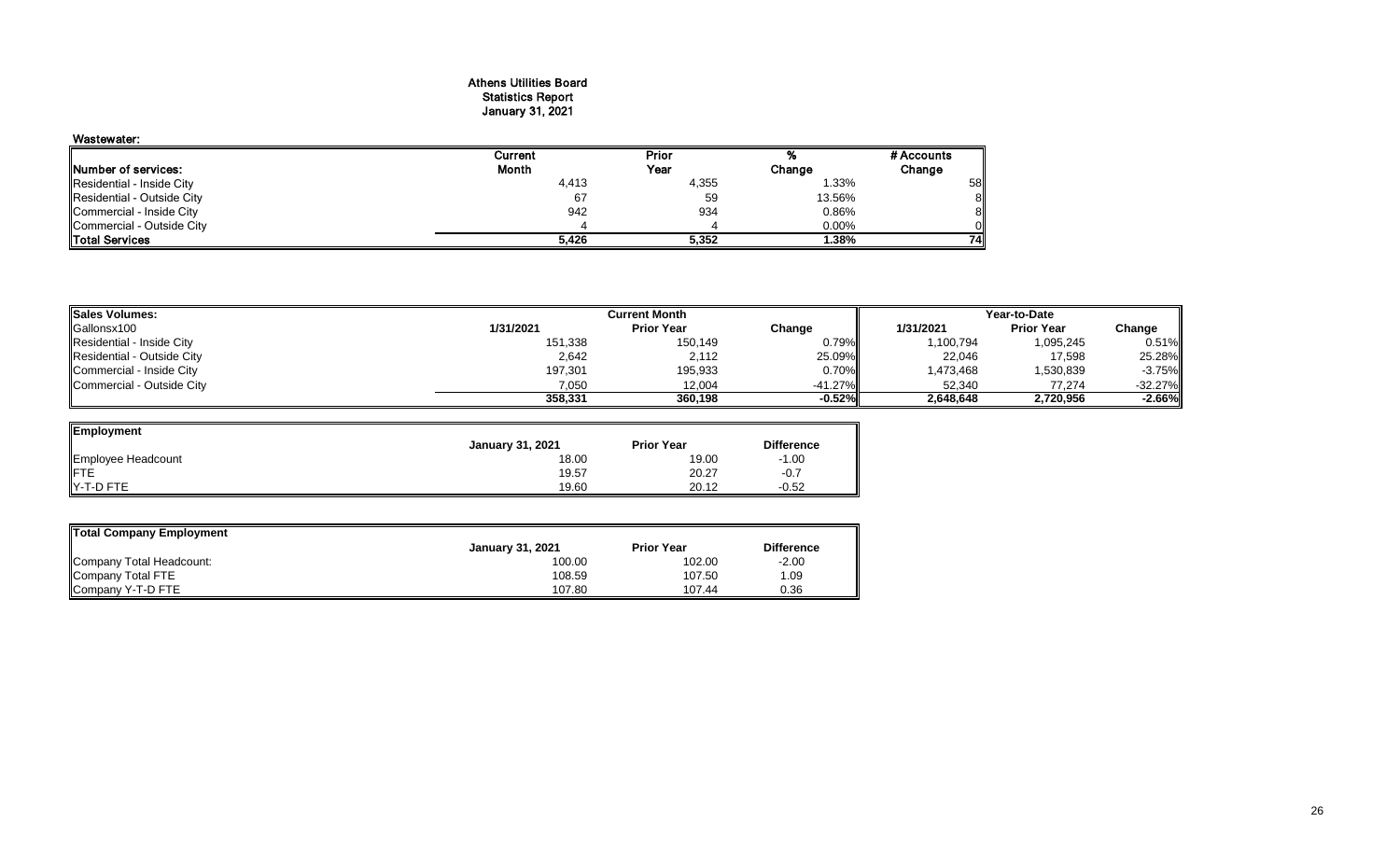## Athens Utilities Board Statistics Report January 31, 2021

## Wastewater: Current Prior % #Accounts<br>
Month Year Change Change Prior **Number of services:** Change Change Change Residential - Inside City **Change 2.33%**<br>Residential - Inside City **Change 2.33%** Residential - Inside City 4,413 4,355 1.33% 58<br>Residential - Outside City 67 59 13.56% 8 Residential - Outside City 67 59 13.56% 8 Commercial - Inside City 942 934 0.86% 8 Commercial - Outside City 4 4 0.00% 0 Total Services **5,426 5,352 1.38% 74**

| <b>Sales Volumes:</b>      |           | Current Month     | Year-to-Date |            |                   |           |
|----------------------------|-----------|-------------------|--------------|------------|-------------------|-----------|
| Gallonsx100                | 1/31/2021 | <b>Prior Year</b> | Change       | 1/31/2021  | <b>Prior Year</b> | Change    |
| Residential - Inside City  | 151,338   | 150,149           | 0.79%        | 100,794    | 1,095,245         | 0.51%     |
| Residential - Outside City | 2,642     | 2,112             | 25.09%       | 22,046     | 17,598            | 25.28%    |
| Commercial - Inside City   | 197,301   | 195,933           | $0.70\%$     | 473,468. ا | 1,530,839         | $-3.75%$  |
| Commercial - Outside City  | 7.050     | 12.004            | $-41.27\%$   | 52.340     | 77.274            | $-32.27%$ |
|                            | 358.331   | 360.198           | -0.52%       | 2,648,648  | 2,720,956         | $-2.66%$  |

| Employment         |                         |                   |                   |
|--------------------|-------------------------|-------------------|-------------------|
|                    | <b>January 31, 2021</b> | <b>Prior Year</b> | <b>Difference</b> |
| Employee Headcount | 18.00                   | 19.00             | $-1.00$           |
|                    | 19.57                   | 20.27             | $-0.7$            |
| Y-T-D FTE          | 19.60                   | 20.12             | $-0.52$           |

| Total Company Employment |                         |                   |                   |
|--------------------------|-------------------------|-------------------|-------------------|
|                          | <b>January 31, 2021</b> | <b>Prior Year</b> | <b>Difference</b> |
| Company Total Headcount: | 100.00                  | 102.00            | $-2.00$           |
| Company Total FTE        | 108.59                  | 107.50            | 0.09              |
| Company Y-T-D FTE        | 107.80                  | 107.44            | 0.36              |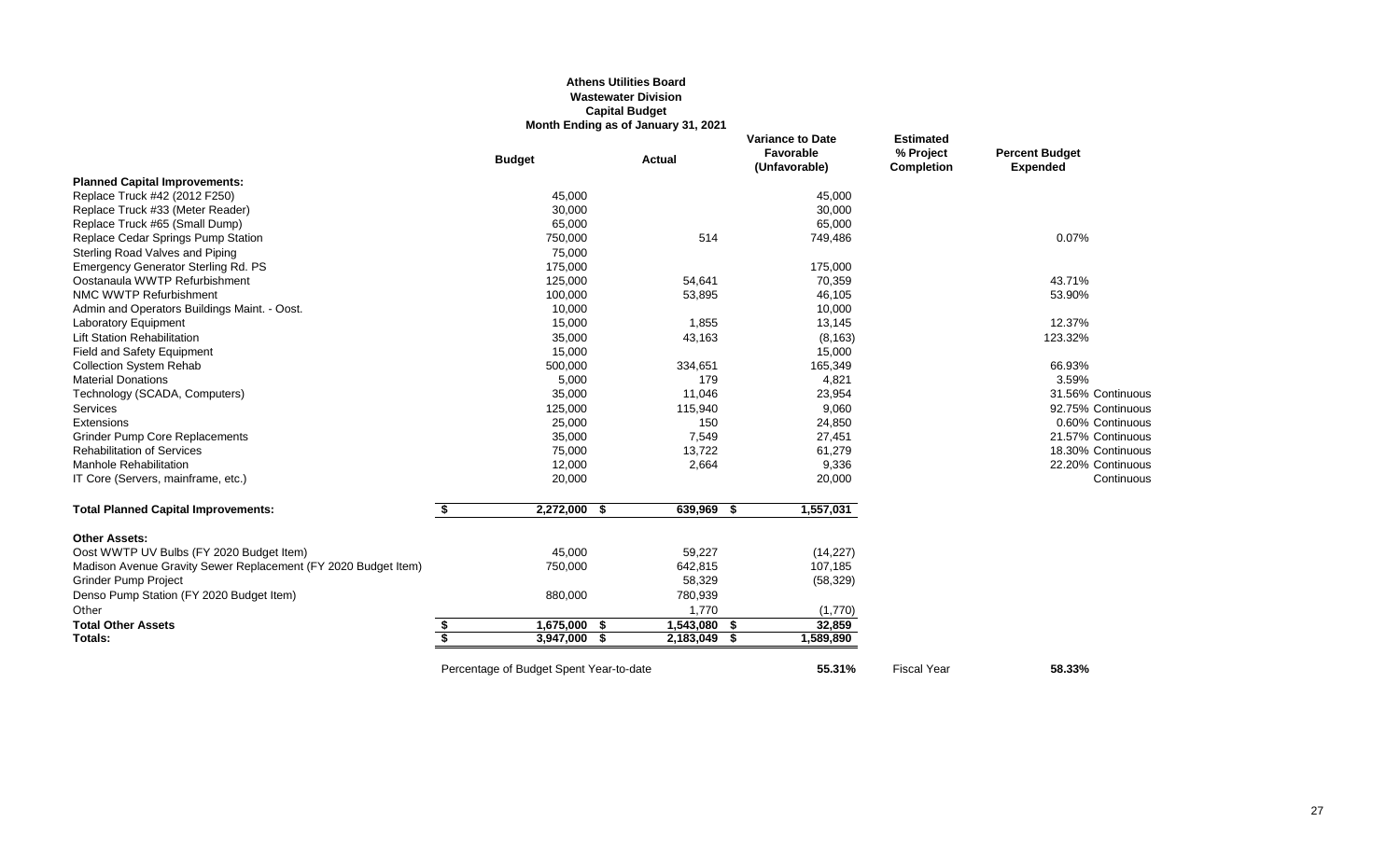## **Athens Utilities Board Wastewater Division Capital Budget Month Ending as of January 31, 2021**

|                                                                |    | <b>Budget</b>                           | <b>Actual</b> |           |     | <b>Variance to Date</b><br>Favorable<br>(Unfavorable) | <b>Estimated</b><br>% Project<br><b>Completion</b> | <b>Percent Budget</b><br><b>Expended</b> |
|----------------------------------------------------------------|----|-----------------------------------------|---------------|-----------|-----|-------------------------------------------------------|----------------------------------------------------|------------------------------------------|
| <b>Planned Capital Improvements:</b>                           |    |                                         |               |           |     |                                                       |                                                    |                                          |
| Replace Truck #42 (2012 F250)                                  |    | 45,000                                  |               |           |     | 45,000                                                |                                                    |                                          |
| Replace Truck #33 (Meter Reader)                               |    | 30,000                                  |               |           |     | 30,000                                                |                                                    |                                          |
| Replace Truck #65 (Small Dump)                                 |    | 65,000                                  |               |           |     | 65,000                                                |                                                    |                                          |
| Replace Cedar Springs Pump Station                             |    | 750,000                                 |               | 514       |     | 749,486                                               |                                                    | 0.07%                                    |
| Sterling Road Valves and Piping                                |    | 75,000                                  |               |           |     |                                                       |                                                    |                                          |
| <b>Emergency Generator Sterling Rd. PS</b>                     |    | 175,000                                 |               |           |     | 175,000                                               |                                                    |                                          |
| Oostanaula WWTP Refurbishment                                  |    | 125,000                                 |               | 54,641    |     | 70,359                                                |                                                    | 43.71%                                   |
| NMC WWTP Refurbishment                                         |    | 100,000                                 |               | 53,895    |     | 46,105                                                |                                                    | 53.90%                                   |
| Admin and Operators Buildings Maint. - Oost.                   |    | 10,000                                  |               |           |     | 10,000                                                |                                                    |                                          |
| <b>Laboratory Equipment</b>                                    |    | 15,000                                  |               | 1,855     |     | 13,145                                                |                                                    | 12.37%                                   |
| <b>Lift Station Rehabilitation</b>                             |    | 35,000                                  |               | 43,163    |     | (8, 163)                                              |                                                    | 123.32%                                  |
| Field and Safety Equipment                                     |    | 15,000                                  |               |           |     | 15,000                                                |                                                    |                                          |
| <b>Collection System Rehab</b>                                 |    | 500,000                                 |               | 334,651   |     | 165,349                                               |                                                    | 66.93%                                   |
| <b>Material Donations</b>                                      |    | 5,000                                   |               | 179       |     | 4,821                                                 |                                                    | 3.59%                                    |
| Technology (SCADA, Computers)                                  |    | 35,000                                  |               | 11,046    |     | 23,954                                                |                                                    | 31.56% Continuous                        |
| <b>Services</b>                                                |    | 125,000                                 |               | 115,940   |     | 9,060                                                 |                                                    | 92.75% Continuous                        |
| Extensions                                                     |    | 25,000                                  |               | 150       |     | 24,850                                                |                                                    | 0.60% Continuous                         |
| <b>Grinder Pump Core Replacements</b>                          |    | 35,000                                  |               | 7,549     |     | 27,451                                                |                                                    | 21.57% Continuous                        |
| <b>Rehabilitation of Services</b>                              |    | 75,000                                  |               | 13,722    |     | 61,279                                                |                                                    | 18.30% Continuous                        |
| <b>Manhole Rehabilitation</b>                                  |    | 12,000                                  |               | 2,664     |     | 9,336                                                 |                                                    | 22.20% Continuous                        |
| IT Core (Servers, mainframe, etc.)                             |    | 20,000                                  |               |           |     | 20,000                                                |                                                    | Continuous                               |
| <b>Total Planned Capital Improvements:</b>                     | \$ | $2,272,000$ \$                          |               | 639,969   | -\$ | 1,557,031                                             |                                                    |                                          |
| <b>Other Assets:</b>                                           |    |                                         |               |           |     |                                                       |                                                    |                                          |
| Oost WWTP UV Bulbs (FY 2020 Budget Item)                       |    | 45,000                                  |               | 59,227    |     | (14, 227)                                             |                                                    |                                          |
| Madison Avenue Gravity Sewer Replacement (FY 2020 Budget Item) |    | 750,000                                 |               | 642,815   |     | 107,185                                               |                                                    |                                          |
| <b>Grinder Pump Project</b>                                    |    |                                         |               | 58,329    |     | (58, 329)                                             |                                                    |                                          |
| Denso Pump Station (FY 2020 Budget Item)                       |    | 880,000                                 |               | 780,939   |     |                                                       |                                                    |                                          |
| Other                                                          |    |                                         |               | 1,770     |     | (1,770)                                               |                                                    |                                          |
| <b>Total Other Assets</b>                                      | \$ | $1,675,000$ \$                          |               | 1,543,080 | -S  | 32,859                                                |                                                    |                                          |
| Totals:                                                        | S, | 3,947,000                               | - \$          | 2,183,049 | -S  | 1,589,890                                             |                                                    |                                          |
|                                                                |    | Percentage of Budget Spent Year-to-date |               |           |     | 55.31%                                                | <b>Fiscal Year</b>                                 | 58.33%                                   |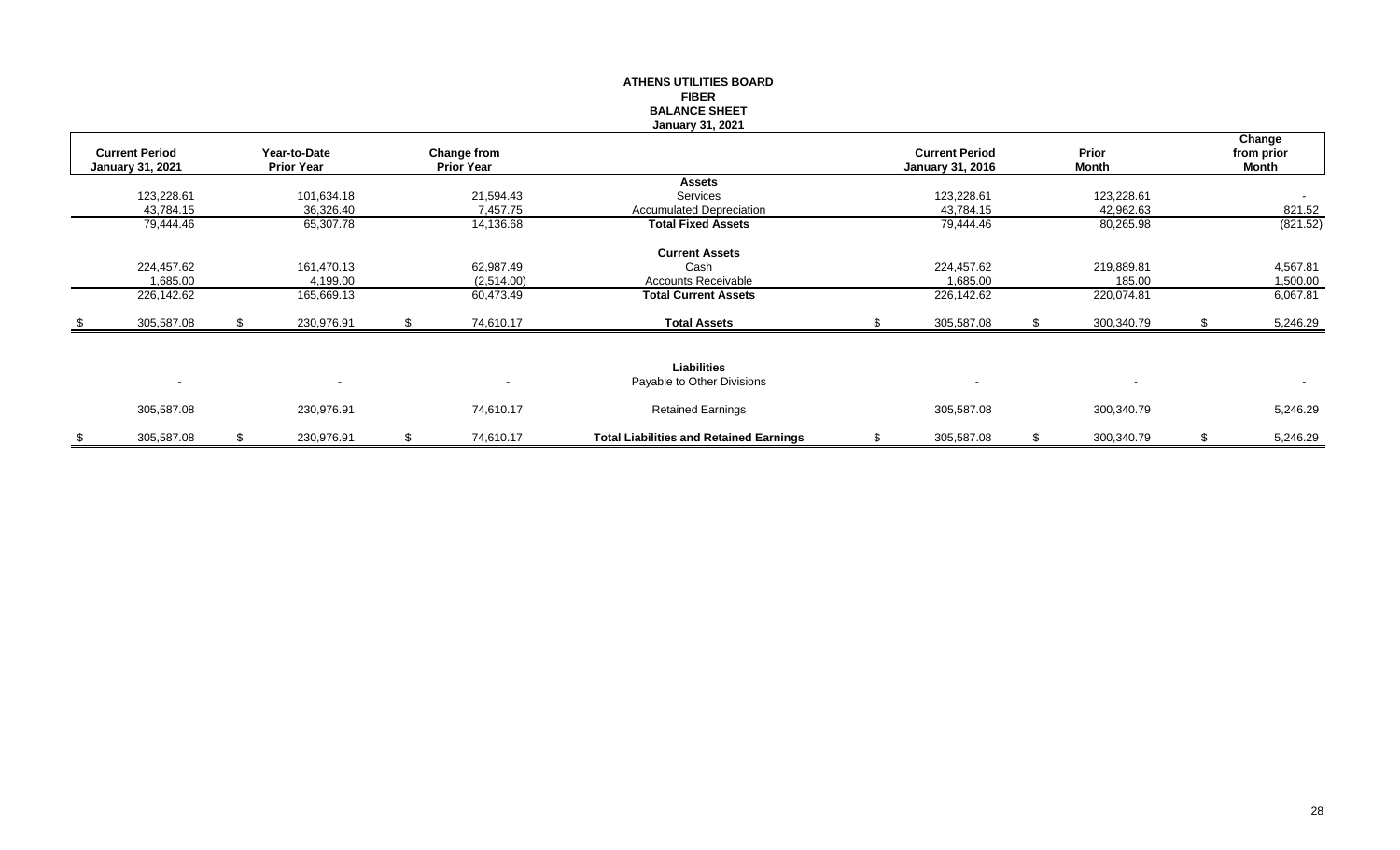|      |                                                  |    |                                   |    |                                  | <b>ATHENS UTILITIES BOARD</b>                  |                                                  |                  |    |                               |
|------|--------------------------------------------------|----|-----------------------------------|----|----------------------------------|------------------------------------------------|--------------------------------------------------|------------------|----|-------------------------------|
|      |                                                  |    |                                   |    |                                  | <b>FIBER</b>                                   |                                                  |                  |    |                               |
|      |                                                  |    |                                   |    |                                  | <b>BALANCE SHEET</b>                           |                                                  |                  |    |                               |
|      |                                                  |    |                                   |    |                                  | <b>January 31, 2021</b>                        |                                                  |                  |    |                               |
|      | <b>Current Period</b><br><b>January 31, 2021</b> |    | Year-to-Date<br><b>Prior Year</b> |    | Change from<br><b>Prior Year</b> |                                                | <b>Current Period</b><br><b>January 31, 2016</b> | Prior<br>Month   |    | Change<br>from prior<br>Month |
|      |                                                  |    |                                   |    |                                  | <b>Assets</b>                                  |                                                  |                  |    |                               |
|      | 123,228.61                                       |    | 101,634.18                        |    | 21,594.43                        | Services                                       | 123,228.61                                       | 123,228.61       |    |                               |
|      | 43,784.15                                        |    | 36,326.40                         |    | 7,457.75                         | <b>Accumulated Depreciation</b>                | 43,784.15                                        | 42,962.63        |    | 821.52                        |
|      | 79,444.46                                        |    | 65,307.78                         |    | 14,136.68                        | <b>Total Fixed Assets</b>                      | 79,444.46                                        | 80,265.98        |    | (821.52)                      |
|      |                                                  |    |                                   |    |                                  | <b>Current Assets</b>                          |                                                  |                  |    |                               |
|      | 224,457.62                                       |    | 161,470.13                        |    | 62,987.49                        | Cash                                           | 224,457.62                                       | 219,889.81       |    | 4,567.81                      |
|      | 1,685.00                                         |    | 4,199.00                          |    | (2,514.00)                       | Accounts Receivable                            | 1,685.00                                         | 185.00           |    | 1,500.00                      |
|      | 226,142.62                                       |    | 165,669.13                        |    | 60,473.49                        | <b>Total Current Assets</b>                    | 226,142.62                                       | 220,074.81       |    | 6,067.81                      |
| - \$ | 305,587.08                                       | £. | 230,976.91                        | £. | 74,610.17                        | <b>Total Assets</b>                            | 305,587.08                                       | 300,340.79       | £. | 5,246.29                      |
|      |                                                  |    |                                   |    |                                  |                                                |                                                  |                  |    |                               |
|      | $\sim$                                           |    |                                   |    |                                  | Liabilities<br>Payable to Other Divisions      |                                                  |                  |    | $\sim$                        |
|      | 305,587.08                                       |    | 230,976.91                        |    | 74,610.17                        | <b>Retained Earnings</b>                       | 305,587.08                                       | 300,340.79       |    | 5,246.29                      |
| \$   | 305,587.08                                       | \$ | 230,976.91                        | \$ | 74,610.17                        | <b>Total Liabilities and Retained Earnings</b> | \$<br>305,587.08                                 | \$<br>300,340.79 | \$ | 5,246.29                      |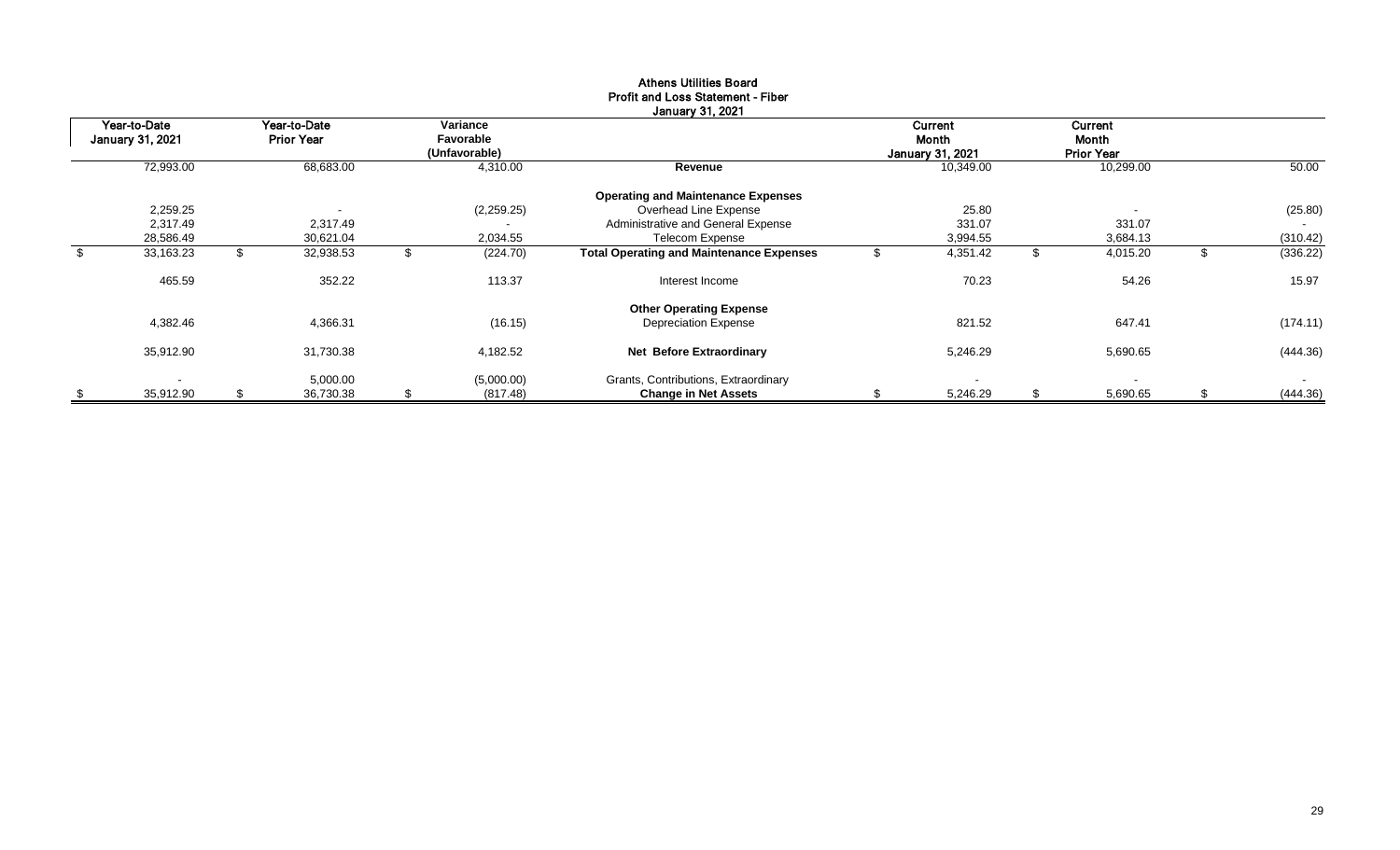|                                  | Jaliualy JI, 2021 |                                   |                          |                                        |            |                                                 |  |                                             |    |                                       |    |          |
|----------------------------------|-------------------|-----------------------------------|--------------------------|----------------------------------------|------------|-------------------------------------------------|--|---------------------------------------------|----|---------------------------------------|----|----------|
| Year-to-Date<br>January 31, 2021 |                   | Year-to-Date<br><b>Prior Year</b> |                          | Variance<br>Favorable<br>(Unfavorable) |            |                                                 |  | Current<br>Month<br><b>January 31, 2021</b> |    | Current<br>Month<br><b>Prior Year</b> |    |          |
|                                  | 72,993.00         |                                   | 68,683.00                |                                        | 4,310.00   | Revenue                                         |  | 10,349.00                                   |    | 10,299.00                             |    | 50.00    |
|                                  |                   |                                   |                          |                                        |            | <b>Operating and Maintenance Expenses</b>       |  |                                             |    |                                       |    |          |
|                                  | 2,259.25          |                                   | $\overline{\phantom{a}}$ |                                        | (2,259.25) | Overhead Line Expense                           |  | 25.80                                       |    | $\overline{\phantom{a}}$              |    | (25.80)  |
|                                  | 2,317.49          |                                   | 2,317.49                 |                                        |            | Administrative and General Expense              |  | 331.07                                      |    | 331.07                                |    |          |
|                                  | 28,586.49         |                                   | 30,621.04                |                                        | 2,034.55   | <b>Telecom Expense</b>                          |  | 3,994.55                                    |    | 3,684.13                              |    | (310.42) |
| \$                               | 33,163.23         |                                   | 32,938.53                |                                        | (224.70)   | <b>Total Operating and Maintenance Expenses</b> |  | 4,351.42                                    | S  | 4,015.20                              |    | (336.22) |
|                                  | 465.59            |                                   | 352.22                   |                                        | 113.37     | Interest Income                                 |  | 70.23                                       |    | 54.26                                 |    | 15.97    |
|                                  |                   |                                   |                          |                                        |            | <b>Other Operating Expense</b>                  |  |                                             |    |                                       |    |          |
|                                  | 4,382.46          |                                   | 4,366.31                 |                                        | (16.15)    | <b>Depreciation Expense</b>                     |  | 821.52                                      |    | 647.41                                |    | (174.11) |
|                                  | 35,912.90         |                                   | 31,730.38                |                                        | 4,182.52   | <b>Net Before Extraordinary</b>                 |  | 5,246.29                                    |    | 5,690.65                              |    | (444.36) |
|                                  | $\blacksquare$    |                                   | 5,000.00                 |                                        | (5,000.00) | Grants, Contributions, Extraordinary            |  |                                             |    | $\sim$                                |    | $\sim$   |
| \$                               | 35,912.90         | S                                 | 36,730.38                | S                                      | (817.48)   | <b>Change in Net Assets</b>                     |  | 5,246.29                                    | \$ | 5,690.65                              | \$ | (444.36) |

#### Athens Utilities Board Profit and Loss Statement - Fiber January 31, 2021